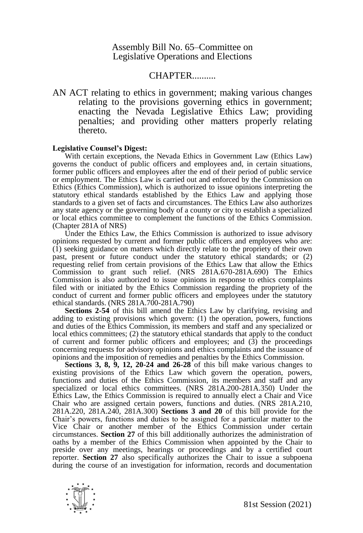# Assembly Bill No. 65–Committee on Legislative Operations and Elections

# CHAPTER..........

AN ACT relating to ethics in government; making various changes relating to the provisions governing ethics in government; enacting the Nevada Legislative Ethics Law; providing penalties; and providing other matters properly relating thereto.

#### **Legislative Counsel's Digest:**

With certain exceptions, the Nevada Ethics in Government Law (Ethics Law) governs the conduct of public officers and employees and, in certain situations, former public officers and employees after the end of their period of public service or employment. The Ethics Law is carried out and enforced by the Commission on Ethics (Ethics Commission), which is authorized to issue opinions interpreting the statutory ethical standards established by the Ethics Law and applying those standards to a given set of facts and circumstances. The Ethics Law also authorizes any state agency or the governing body of a county or city to establish a specialized or local ethics committee to complement the functions of the Ethics Commission. (Chapter 281A of NRS)

Under the Ethics Law, the Ethics Commission is authorized to issue advisory opinions requested by current and former public officers and employees who are: (1) seeking guidance on matters which directly relate to the propriety of their own past, present or future conduct under the statutory ethical standards; or (2) requesting relief from certain provisions of the Ethics Law that allow the Ethics Commission to grant such relief. (NRS 281A.670-281A.690) The Ethics Commission is also authorized to issue opinions in response to ethics complaints filed with or initiated by the Ethics Commission regarding the propriety of the conduct of current and former public officers and employees under the statutory ethical standards. (NRS 281A.700-281A.790)

**Sections 2-54** of this bill amend the Ethics Law by clarifying, revising and adding to existing provisions which govern: (1) the operation, powers, functions and duties of the Ethics Commission, its members and staff and any specialized or local ethics committees; (2) the statutory ethical standards that apply to the conduct of current and former public officers and employees; and  $(3)$  the proceedings concerning requests for advisory opinions and ethics complaints and the issuance of opinions and the imposition of remedies and penalties by the Ethics Commission.

**Sections 3, 8, 9, 12, 20-24 and 26-28** of this bill make various changes to existing provisions of the Ethics Law which govern the operation, powers, functions and duties of the Ethics Commission, its members and staff and any specialized or local ethics committees. (NRS 281A.200-281A.350) Under the Ethics Law, the Ethics Commission is required to annually elect a Chair and Vice Chair who are assigned certain powers, functions and duties. (NRS 281A.210, 281A.220, 281A.240, 281A.300) **Sections 3 and 20** of this bill provide for the Chair's powers, functions and duties to be assigned for a particular matter to the Vice Chair or another member of the Ethics Commission under certain circumstances. **Section 27** of this bill additionally authorizes the administration of oaths by a member of the Ethics Commission when appointed by the Chair to preside over any meetings, hearings or proceedings and by a certified court reporter. **Section 27** also specifically authorizes the Chair to issue a subpoena during the course of an investigation for information, records and documentation

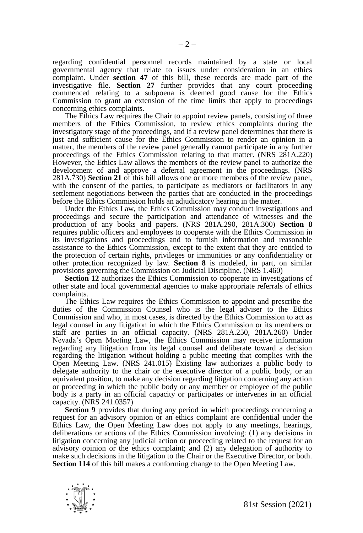regarding confidential personnel records maintained by a state or local governmental agency that relate to issues under consideration in an ethics complaint. Under **section 47** of this bill, these records are made part of the investigative file. **Section 27** further provides that any court proceeding commenced relating to a subpoena is deemed good cause for the Ethics Commission to grant an extension of the time limits that apply to proceedings concerning ethics complaints.

The Ethics Law requires the Chair to appoint review panels, consisting of three members of the Ethics Commission, to review ethics complaints during the investigatory stage of the proceedings, and if a review panel determines that there is just and sufficient cause for the Ethics Commission to render an opinion in a matter, the members of the review panel generally cannot participate in any further proceedings of the Ethics Commission relating to that matter. (NRS 281A.220) However, the Ethics Law allows the members of the review panel to authorize the development of and approve a deferral agreement in the proceedings. (NRS 281A.730) **Section 21** of this bill allows one or more members of the review panel, with the consent of the parties, to participate as mediators or facilitators in any settlement negotiations between the parties that are conducted in the proceedings before the Ethics Commission holds an adjudicatory hearing in the matter.

Under the Ethics Law, the Ethics Commission may conduct investigations and proceedings and secure the participation and attendance of witnesses and the production of any books and papers. (NRS 281A.290, 281A.300) **Section 8** requires public officers and employees to cooperate with the Ethics Commission in its investigations and proceedings and to furnish information and reasonable assistance to the Ethics Commission, except to the extent that they are entitled to the protection of certain rights, privileges or immunities or any confidentiality or other protection recognized by law. **Section 8** is modeled, in part, on similar provisions governing the Commission on Judicial Discipline. (NRS 1.460)

**Section 12** authorizes the Ethics Commission to cooperate in investigations of other state and local governmental agencies to make appropriate referrals of ethics complaints.

The Ethics Law requires the Ethics Commission to appoint and prescribe the duties of the Commission Counsel who is the legal adviser to the Ethics Commission and who, in most cases, is directed by the Ethics Commission to act as legal counsel in any litigation in which the Ethics Commission or its members or staff are parties in an official capacity. (NRS 281A.250, 281A.260) Under Nevada's Open Meeting Law, the Ethics Commission may receive information regarding any litigation from its legal counsel and deliberate toward a decision regarding the litigation without holding a public meeting that complies with the Open Meeting Law. (NRS 241.015) Existing law authorizes a public body to delegate authority to the chair or the executive director of a public body, or an equivalent position, to make any decision regarding litigation concerning any action or proceeding in which the public body or any member or employee of the public body is a party in an official capacity or participates or intervenes in an official capacity. (NRS 241.0357)

**Section 9** provides that during any period in which proceedings concerning a request for an advisory opinion or an ethics complaint are confidential under the Ethics Law, the Open Meeting Law does not apply to any meetings, hearings, deliberations or actions of the Ethics Commission involving: (1) any decisions in litigation concerning any judicial action or proceeding related to the request for an advisory opinion or the ethics complaint; and (2) any delegation of authority to make such decisions in the litigation to the Chair or the Executive Director, or both. **Section 114** of this bill makes a conforming change to the Open Meeting Law.

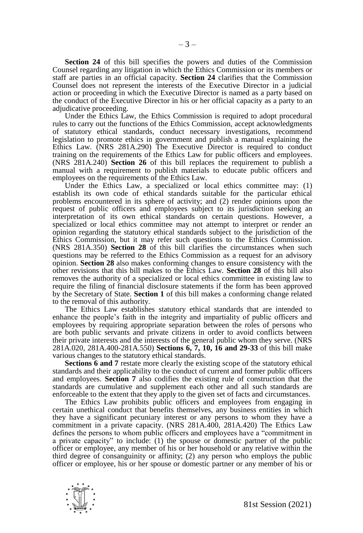**Section 24** of this bill specifies the powers and duties of the Commission Counsel regarding any litigation in which the Ethics Commission or its members or staff are parties in an official capacity. **Section 24** clarifies that the Commission Counsel does not represent the interests of the Executive Director in a judicial action or proceeding in which the Executive Director is named as a party based on the conduct of the Executive Director in his or her official capacity as a party to an adjudicative proceeding.

Under the Ethics Law, the Ethics Commission is required to adopt procedural rules to carry out the functions of the Ethics Commission, accept acknowledgments of statutory ethical standards, conduct necessary investigations, recommend legislation to promote ethics in government and publish a manual explaining the Ethics Law. (NRS 281A.290) The Executive Director is required to conduct training on the requirements of the Ethics Law for public officers and employees. (NRS 281A.240) **Section 26** of this bill replaces the requirement to publish a manual with a requirement to publish materials to educate public officers and employees on the requirements of the Ethics Law.

Under the Ethics Law, a specialized or local ethics committee may: (1) establish its own code of ethical standards suitable for the particular ethical problems encountered in its sphere of activity; and (2) render opinions upon the request of public officers and employees subject to its jurisdiction seeking an interpretation of its own ethical standards on certain questions. However, a specialized or local ethics committee may not attempt to interpret or render an opinion regarding the statutory ethical standards subject to the jurisdiction of the Ethics Commission, but it may refer such questions to the Ethics Commission. (NRS 281A.350) **Section 28** of this bill clarifies the circumstances when such questions may be referred to the Ethics Commission as a request for an advisory opinion. **Section 28** also makes conforming changes to ensure consistency with the other revisions that this bill makes to the Ethics Law. **Section 28** of this bill also removes the authority of a specialized or local ethics committee in existing law to require the filing of financial disclosure statements if the form has been approved by the Secretary of State. **Section 1** of this bill makes a conforming change related to the removal of this authority.

The Ethics Law establishes statutory ethical standards that are intended to enhance the people's faith in the integrity and impartiality of public officers and employees by requiring appropriate separation between the roles of persons who are both public servants and private citizens in order to avoid conflicts between their private interests and the interests of the general public whom they serve. (NRS 281A.020, 281A.400-281A.550) **Sections 6, 7, 10, 16 and 29-33** of this bill make various changes to the statutory ethical standards.

**Sections 6 and 7** restate more clearly the existing scope of the statutory ethical standards and their applicability to the conduct of current and former public officers and employees. **Section 7** also codifies the existing rule of construction that the standards are cumulative and supplement each other and all such standards are enforceable to the extent that they apply to the given set of facts and circumstances.

The Ethics Law prohibits public officers and employees from engaging in certain unethical conduct that benefits themselves, any business entities in which they have a significant pecuniary interest or any persons to whom they have a commitment in a private capacity. (NRS 281A.400, 281A.420) The Ethics Law defines the persons to whom public officers and employees have a "commitment in a private capacity" to include: (1) the spouse or domestic partner of the public officer or employee, any member of his or her household or any relative within the third degree of consanguinity or affinity; (2) any person who employs the public officer or employee, his or her spouse or domestic partner or any member of his or

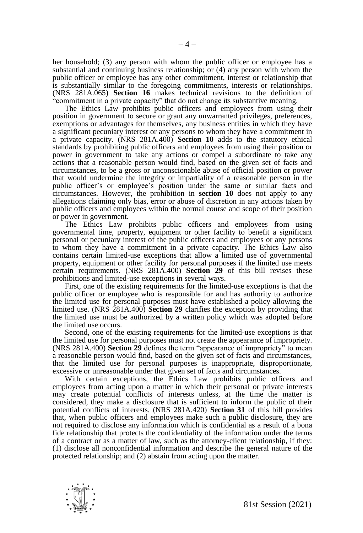her household; (3) any person with whom the public officer or employee has a substantial and continuing business relationship; or (4) any person with whom the public officer or employee has any other commitment, interest or relationship that is substantially similar to the foregoing commitments, interests or relationships. (NRS 281A.065) **Section 16** makes technical revisions to the definition of "commitment in a private capacity" that do not change its substantive meaning.

The Ethics Law prohibits public officers and employees from using their position in government to secure or grant any unwarranted privileges, preferences, exemptions or advantages for themselves, any business entities in which they have a significant pecuniary interest or any persons to whom they have a commitment in a private capacity. (NRS 281A.400) **Section 10** adds to the statutory ethical standards by prohibiting public officers and employees from using their position or power in government to take any actions or compel a subordinate to take any actions that a reasonable person would find, based on the given set of facts and circumstances, to be a gross or unconscionable abuse of official position or power that would undermine the integrity or impartiality of a reasonable person in the public officer's or employee's position under the same or similar facts and circumstances. However, the prohibition in **section 10** does not apply to any allegations claiming only bias, error or abuse of discretion in any actions taken by public officers and employees within the normal course and scope of their position or power in government.

The Ethics Law prohibits public officers and employees from using governmental time, property, equipment or other facility to benefit a significant personal or pecuniary interest of the public officers and employees or any persons to whom they have a commitment in a private capacity. The Ethics Law also contains certain limited-use exceptions that allow a limited use of governmental property, equipment or other facility for personal purposes if the limited use meets certain requirements. (NRS 281A.400) **Section 29** of this bill revises these prohibitions and limited-use exceptions in several ways.

First, one of the existing requirements for the limited-use exceptions is that the public officer or employee who is responsible for and has authority to authorize the limited use for personal purposes must have established a policy allowing the limited use. (NRS 281A.400) **Section 29** clarifies the exception by providing that the limited use must be authorized by a written policy which was adopted before the limited use occurs.

Second, one of the existing requirements for the limited-use exceptions is that the limited use for personal purposes must not create the appearance of impropriety. (NRS 281A.400) **Section 29** defines the term "appearance of impropriety" to mean a reasonable person would find, based on the given set of facts and circumstances, that the limited use for personal purposes is inappropriate, disproportionate, excessive or unreasonable under that given set of facts and circumstances.

With certain exceptions, the Ethics Law prohibits public officers and employees from acting upon a matter in which their personal or private interests may create potential conflicts of interests unless, at the time the matter is considered, they make a disclosure that is sufficient to inform the public of their potential conflicts of interests. (NRS 281A.420) **Section 31** of this bill provides that, when public officers and employees make such a public disclosure, they are not required to disclose any information which is confidential as a result of a bona fide relationship that protects the confidentiality of the information under the terms of a contract or as a matter of law, such as the attorney-client relationship, if they: (1) disclose all nonconfidential information and describe the general nature of the protected relationship; and (2) abstain from acting upon the matter.

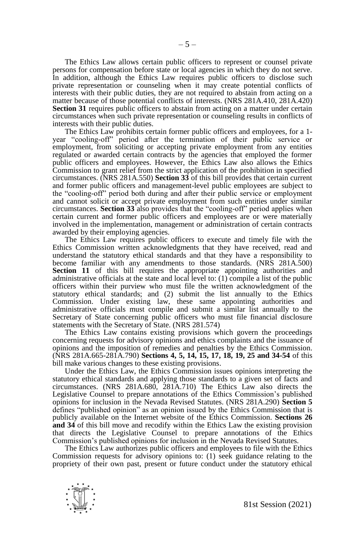The Ethics Law allows certain public officers to represent or counsel private persons for compensation before state or local agencies in which they do not serve. In addition, although the Ethics Law requires public officers to disclose such private representation or counseling when it may create potential conflicts of interests with their public duties, they are not required to abstain from acting on a matter because of those potential conflicts of interests. (NRS 281A.410, 281A.420) **Section 31** requires public officers to abstain from acting on a matter under certain circumstances when such private representation or counseling results in conflicts of interests with their public duties.

The Ethics Law prohibits certain former public officers and employees, for a 1 year "cooling-off" period after the termination of their public service or employment, from soliciting or accepting private employment from any entities regulated or awarded certain contracts by the agencies that employed the former public officers and employees. However, the Ethics Law also allows the Ethics Commission to grant relief from the strict application of the prohibition in specified circumstances. (NRS 281A.550) **Section 33** of this bill provides that certain current and former public officers and management-level public employees are subject to the "cooling-off" period both during and after their public service or employment and cannot solicit or accept private employment from such entities under similar circumstances. **Section 33** also provides that the "cooling-off" period applies when certain current and former public officers and employees are or were materially involved in the implementation, management or administration of certain contracts awarded by their employing agencies.

The Ethics Law requires public officers to execute and timely file with the Ethics Commission written acknowledgments that they have received, read and understand the statutory ethical standards and that they have a responsibility to become familiar with any amendments to those standards. (NRS 281A.500) **Section 11** of this bill requires the appropriate appointing authorities and administrative officials at the state and local level to: (1) compile a list of the public officers within their purview who must file the written acknowledgment of the statutory ethical standards; and (2) submit the list annually to the Ethics Commission. Under existing law, these same appointing authorities and administrative officials must compile and submit a similar list annually to the Secretary of State concerning public officers who must file financial disclosure statements with the Secretary of State. (NRS 281.574)

The Ethics Law contains existing provisions which govern the proceedings concerning requests for advisory opinions and ethics complaints and the issuance of opinions and the imposition of remedies and penalties by the Ethics Commission. (NRS 281A.665-281A.790) **Sections 4, 5, 14, 15, 17, 18, 19, 25 and 34-54** of this bill make various changes to these existing provisions.

Under the Ethics Law, the Ethics Commission issues opinions interpreting the statutory ethical standards and applying those standards to a given set of facts and circumstances. (NRS 281A.680, 281A.710) The Ethics Law also directs the Legislative Counsel to prepare annotations of the Ethics Commission's published opinions for inclusion in the Nevada Revised Statutes. (NRS 281A.290) **Section 5**  defines "published opinion" as an opinion issued by the Ethics Commission that is publicly available on the Internet website of the Ethics Commission. **Sections 26 and 34** of this bill move and recodify within the Ethics Law the existing provision that directs the Legislative Counsel to prepare annotations of the Ethics Commission's published opinions for inclusion in the Nevada Revised Statutes.

The Ethics Law authorizes public officers and employees to file with the Ethics Commission requests for advisory opinions to: (1) seek guidance relating to the propriety of their own past, present or future conduct under the statutory ethical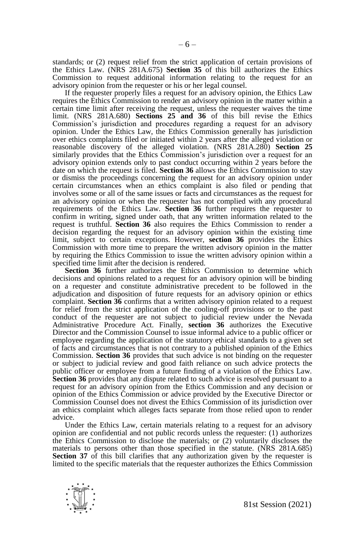standards; or (2) request relief from the strict application of certain provisions of the Ethics Law. (NRS 281A.675) **Section 35** of this bill authorizes the Ethics Commission to request additional information relating to the request for an advisory opinion from the requester or his or her legal counsel.

If the requester properly files a request for an advisory opinion, the Ethics Law requires the Ethics Commission to render an advisory opinion in the matter within a certain time limit after receiving the request, unless the requester waives the time limit. (NRS 281A.680) **Sections 25 and 36** of this bill revise the Ethics Commission's jurisdiction and procedures regarding a request for an advisory opinion. Under the Ethics Law, the Ethics Commission generally has jurisdiction over ethics complaints filed or initiated within 2 years after the alleged violation or reasonable discovery of the alleged violation. (NRS 281A.280) **Section 25** similarly provides that the Ethics Commission's jurisdiction over a request for an advisory opinion extends only to past conduct occurring within 2 years before the date on which the request is filed. **Section 36** allows the Ethics Commission to stay or dismiss the proceedings concerning the request for an advisory opinion under certain circumstances when an ethics complaint is also filed or pending that involves some or all of the same issues or facts and circumstances as the request for an advisory opinion or when the requester has not complied with any procedural requirements of the Ethics Law. **Section 36** further requires the requester to confirm in writing, signed under oath, that any written information related to the request is truthful. **Section 36** also requires the Ethics Commission to render a decision regarding the request for an advisory opinion within the existing time limit, subject to certain exceptions. However, **section 36** provides the Ethics Commission with more time to prepare the written advisory opinion in the matter by requiring the Ethics Commission to issue the written advisory opinion within a specified time limit after the decision is rendered.

**Section 36** further authorizes the Ethics Commission to determine which decisions and opinions related to a request for an advisory opinion will be binding on a requester and constitute administrative precedent to be followed in the adjudication and disposition of future requests for an advisory opinion or ethics complaint. **Section 36** confirms that a written advisory opinion related to a request for relief from the strict application of the cooling-off provisions or to the past conduct of the requester are not subject to judicial review under the Nevada Administrative Procedure Act. Finally, **section 36** authorizes the Executive Director and the Commission Counsel to issue informal advice to a public officer or employee regarding the application of the statutory ethical standards to a given set of facts and circumstances that is not contrary to a published opinion of the Ethics Commission. **Section 36** provides that such advice is not binding on the requester or subject to judicial review and good faith reliance on such advice protects the public officer or employee from a future finding of a violation of the Ethics Law. **Section 36** provides that any dispute related to such advice is resolved pursuant to a request for an advisory opinion from the Ethics Commission and any decision or opinion of the Ethics Commission or advice provided by the Executive Director or Commission Counsel does not divest the Ethics Commission of its jurisdiction over an ethics complaint which alleges facts separate from those relied upon to render advice.

Under the Ethics Law, certain materials relating to a request for an advisory opinion are confidential and not public records unless the requester: (1) authorizes the Ethics Commission to disclose the materials; or (2) voluntarily discloses the materials to persons other than those specified in the statute. (NRS 281A.685) **Section 37** of this bill clarifies that any authorization given by the requester is limited to the specific materials that the requester authorizes the Ethics Commission

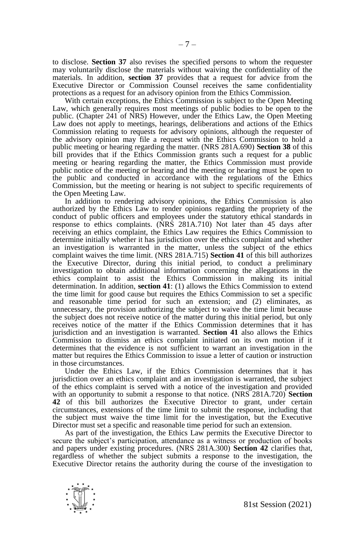to disclose. **Section 37** also revises the specified persons to whom the requester may voluntarily disclose the materials without waiving the confidentiality of the materials. In addition, **section 37** provides that a request for advice from the Executive Director or Commission Counsel receives the same confidentiality protections as a request for an advisory opinion from the Ethics Commission.

With certain exceptions, the Ethics Commission is subject to the Open Meeting Law, which generally requires most meetings of public bodies to be open to the public. (Chapter 241 of NRS) However, under the Ethics Law, the Open Meeting Law does not apply to meetings, hearings, deliberations and actions of the Ethics Commission relating to requests for advisory opinions, although the requester of the advisory opinion may file a request with the Ethics Commission to hold a public meeting or hearing regarding the matter. (NRS 281A.690) **Section 38** of this bill provides that if the Ethics Commission grants such a request for a public meeting or hearing regarding the matter, the Ethics Commission must provide public notice of the meeting or hearing and the meeting or hearing must be open to the public and conducted in accordance with the regulations of the Ethics Commission, but the meeting or hearing is not subject to specific requirements of the Open Meeting Law.

In addition to rendering advisory opinions, the Ethics Commission is also authorized by the Ethics Law to render opinions regarding the propriety of the conduct of public officers and employees under the statutory ethical standards in response to ethics complaints. (NRS 281A.710) Not later than 45 days after receiving an ethics complaint, the Ethics Law requires the Ethics Commission to determine initially whether it has jurisdiction over the ethics complaint and whether an investigation is warranted in the matter, unless the subject of the ethics complaint waives the time limit. (NRS 281A.715) **Section 41** of this bill authorizes the Executive Director, during this initial period, to conduct a preliminary investigation to obtain additional information concerning the allegations in the ethics complaint to assist the Ethics Commission in making its initial determination. In addition, **section 41**: (1) allows the Ethics Commission to extend the time limit for good cause but requires the Ethics Commission to set a specific and reasonable time period for such an extension; and (2) eliminates, as unnecessary, the provision authorizing the subject to waive the time limit because the subject does not receive notice of the matter during this initial period, but only receives notice of the matter if the Ethics Commission determines that it has jurisdiction and an investigation is warranted. **Section 41** also allows the Ethics Commission to dismiss an ethics complaint initiated on its own motion if it determines that the evidence is not sufficient to warrant an investigation in the matter but requires the Ethics Commission to issue a letter of caution or instruction in those circumstances.

Under the Ethics Law, if the Ethics Commission determines that it has jurisdiction over an ethics complaint and an investigation is warranted, the subject of the ethics complaint is served with a notice of the investigation and provided with an opportunity to submit a response to that notice. (NRS 281A.720) **Section 42** of this bill authorizes the Executive Director to grant, under certain circumstances, extensions of the time limit to submit the response, including that the subject must waive the time limit for the investigation, but the Executive Director must set a specific and reasonable time period for such an extension.

As part of the investigation, the Ethics Law permits the Executive Director to secure the subject's participation, attendance as a witness or production of books and papers under existing procedures. (NRS 281A.300) **Section 42** clarifies that, regardless of whether the subject submits a response to the investigation, the Executive Director retains the authority during the course of the investigation to

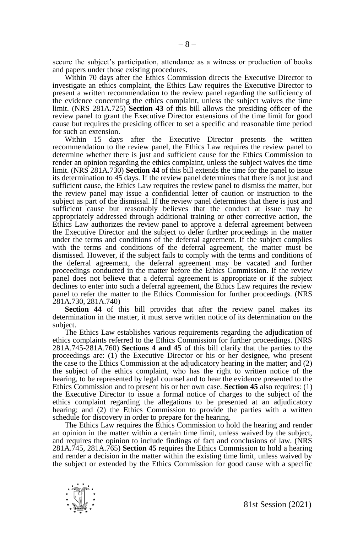secure the subject's participation, attendance as a witness or production of books and papers under those existing procedures.

Within 70 days after the Ethics Commission directs the Executive Director to investigate an ethics complaint, the Ethics Law requires the Executive Director to present a written recommendation to the review panel regarding the sufficiency of the evidence concerning the ethics complaint, unless the subject waives the time limit. (NRS 281A.725) **Section 43** of this bill allows the presiding officer of the review panel to grant the Executive Director extensions of the time limit for good cause but requires the presiding officer to set a specific and reasonable time period for such an extension.

Within 15 days after the Executive Director presents the written recommendation to the review panel, the Ethics Law requires the review panel to determine whether there is just and sufficient cause for the Ethics Commission to render an opinion regarding the ethics complaint, unless the subject waives the time limit. (NRS 281A.730) **Section 44** of this bill extends the time for the panel to issue its determination to 45 days. If the review panel determines that there is not just and sufficient cause, the Ethics Law requires the review panel to dismiss the matter, but the review panel may issue a confidential letter of caution or instruction to the subject as part of the dismissal. If the review panel determines that there is just and sufficient cause but reasonably believes that the conduct at issue may be appropriately addressed through additional training or other corrective action, the Ethics Law authorizes the review panel to approve a deferral agreement between the Executive Director and the subject to defer further proceedings in the matter under the terms and conditions of the deferral agreement. If the subject complies with the terms and conditions of the deferral agreement, the matter must be dismissed. However, if the subject fails to comply with the terms and conditions of the deferral agreement, the deferral agreement may be vacated and further proceedings conducted in the matter before the Ethics Commission. If the review panel does not believe that a deferral agreement is appropriate or if the subject declines to enter into such a deferral agreement, the Ethics Law requires the review panel to refer the matter to the Ethics Commission for further proceedings. (NRS 281A.730, 281A.740)

Section 44 of this bill provides that after the review panel makes its determination in the matter, it must serve written notice of its determination on the subject.

The Ethics Law establishes various requirements regarding the adjudication of ethics complaints referred to the Ethics Commission for further proceedings. (NRS 281A.745-281A.760) **Sections 4 and 45** of this bill clarify that the parties to the proceedings are: (1) the Executive Director or his or her designee, who present the case to the Ethics Commission at the adjudicatory hearing in the matter; and (2) the subject of the ethics complaint, who has the right to written notice of the hearing, to be represented by legal counsel and to hear the evidence presented to the Ethics Commission and to present his or her own case. **Section 45** also requires: (1) the Executive Director to issue a formal notice of charges to the subject of the ethics complaint regarding the allegations to be presented at an adjudicatory hearing; and (2) the Ethics Commission to provide the parties with a written schedule for discovery in order to prepare for the hearing.

The Ethics Law requires the Ethics Commission to hold the hearing and render an opinion in the matter within a certain time limit, unless waived by the subject, and requires the opinion to include findings of fact and conclusions of law. (NRS 281A.745, 281A.765) **Section 45** requires the Ethics Commission to hold a hearing and render a decision in the matter within the existing time limit, unless waived by the subject or extended by the Ethics Commission for good cause with a specific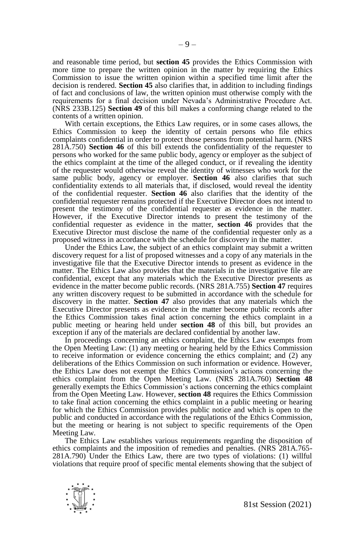and reasonable time period, but **section 45** provides the Ethics Commission with more time to prepare the written opinion in the matter by requiring the Ethics Commission to issue the written opinion within a specified time limit after the decision is rendered. **Section 45** also clarifies that, in addition to including findings of fact and conclusions of law, the written opinion must otherwise comply with the requirements for a final decision under Nevada's Administrative Procedure Act. (NRS 233B.125) **Section 49** of this bill makes a conforming change related to the contents of a written opinion.

With certain exceptions, the Ethics Law requires, or in some cases allows, the Ethics Commission to keep the identity of certain persons who file ethics complaints confidential in order to protect those persons from potential harm. (NRS 281A.750) **Section 46** of this bill extends the confidentiality of the requester to persons who worked for the same public body, agency or employer as the subject of the ethics complaint at the time of the alleged conduct, or if revealing the identity of the requester would otherwise reveal the identity of witnesses who work for the same public body, agency or employer. **Section 46** also clarifies that such confidentiality extends to all materials that, if disclosed, would reveal the identity of the confidential requester. **Section 46** also clarifies that the identity of the confidential requester remains protected if the Executive Director does not intend to present the testimony of the confidential requester as evidence in the matter. However, if the Executive Director intends to present the testimony of the confidential requester as evidence in the matter, **section 46** provides that the Executive Director must disclose the name of the confidential requester only as a proposed witness in accordance with the schedule for discovery in the matter.

Under the Ethics Law, the subject of an ethics complaint may submit a written discovery request for a list of proposed witnesses and a copy of any materials in the investigative file that the Executive Director intends to present as evidence in the matter. The Ethics Law also provides that the materials in the investigative file are confidential, except that any materials which the Executive Director presents as evidence in the matter become public records. (NRS 281A.755) **Section 47** requires any written discovery request to be submitted in accordance with the schedule for discovery in the matter. **Section 47** also provides that any materials which the Executive Director presents as evidence in the matter become public records after the Ethics Commission takes final action concerning the ethics complaint in a public meeting or hearing held under **section 48** of this bill, but provides an exception if any of the materials are declared confidential by another law.

In proceedings concerning an ethics complaint, the Ethics Law exempts from the Open Meeting Law: (1) any meeting or hearing held by the Ethics Commission to receive information or evidence concerning the ethics complaint; and (2) any deliberations of the Ethics Commission on such information or evidence. However, the Ethics Law does not exempt the Ethics Commission's actions concerning the ethics complaint from the Open Meeting Law. (NRS 281A.760) **Section 48** generally exempts the Ethics Commission's actions concerning the ethics complaint from the Open Meeting Law. However, **section 48** requires the Ethics Commission to take final action concerning the ethics complaint in a public meeting or hearing for which the Ethics Commission provides public notice and which is open to the public and conducted in accordance with the regulations of the Ethics Commission, but the meeting or hearing is not subject to specific requirements of the Open Meeting Law.

The Ethics Law establishes various requirements regarding the disposition of ethics complaints and the imposition of remedies and penalties. (NRS 281A.765- 281A.790) Under the Ethics Law, there are two types of violations: (1) willful violations that require proof of specific mental elements showing that the subject of

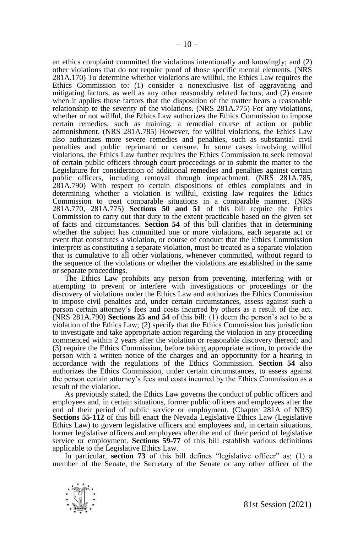an ethics complaint committed the violations intentionally and knowingly; and (2) other violations that do not require proof of those specific mental elements. (NRS 281A.170) To determine whether violations are willful, the Ethics Law requires the Ethics Commission to: (1) consider a nonexclusive list of aggravating and mitigating factors, as well as any other reasonably related factors; and (2) ensure when it applies those factors that the disposition of the matter bears a reasonable relationship to the severity of the violations. (NRS 281A.775) For any violations, whether or not willful, the Ethics Law authorizes the Ethics Commission to impose certain remedies, such as training, a remedial course of action or public admonishment. (NRS 281A.785) However, for willful violations, the Ethics Law also authorizes more severe remedies and penalties, such as substantial civil penalties and public reprimand or censure. In some cases involving willful violations, the Ethics Law further requires the Ethics Commission to seek removal of certain public officers through court proceedings or to submit the matter to the Legislature for consideration of additional remedies and penalties against certain public officers, including removal through impeachment. (NRS 281A.785, 281A.790) With respect to certain dispositions of ethics complaints and in determining whether a violation is willful, existing law requires the Ethics Commission to treat comparable situations in a comparable manner. (NRS 281A.770, 281A.775) **Sections 50 and 51** of this bill require the Ethics Commission to carry out that duty to the extent practicable based on the given set of facts and circumstances. **Section 54** of this bill clarifies that in determining whether the subject has committed one or more violations, each separate act or event that constitutes a violation, or course of conduct that the Ethics Commission interprets as constituting a separate violation, must be treated as a separate violation that is cumulative to all other violations, whenever committed, without regard to the sequence of the violations or whether the violations are established in the same or separate proceedings.

The Ethics Law prohibits any person from preventing, interfering with or attempting to prevent or interfere with investigations or proceedings or the discovery of violations under the Ethics Law and authorizes the Ethics Commission to impose civil penalties and, under certain circumstances, assess against such a person certain attorney's fees and costs incurred by others as a result of the act. (NRS 281A.790) **Sections 25 and 54** of this bill: (1) deem the person's act to be a violation of the Ethics Law; (2) specify that the Ethics Commission has jurisdiction to investigate and take appropriate action regarding the violation in any proceeding commenced within 2 years after the violation or reasonable discovery thereof; and (3) require the Ethics Commission, before taking appropriate action, to provide the person with a written notice of the charges and an opportunity for a hearing in accordance with the regulations of the Ethics Commission. **Section 54** also authorizes the Ethics Commission, under certain circumstances, to assess against the person certain attorney's fees and costs incurred by the Ethics Commission as a result of the violation.

As previously stated, the Ethics Law governs the conduct of public officers and employees and, in certain situations, former public officers and employees after the end of their period of public service or employment. (Chapter 281A of NRS) **Sections 55-112** of this bill enact the Nevada Legislative Ethics Law (Legislative Ethics Law) to govern legislative officers and employees and, in certain situations, former legislative officers and employees after the end of their period of legislative service or employment. **Sections 59-77** of this bill establish various definitions applicable to the Legislative Ethics Law.

In particular, **section 73** of this bill defines "legislative officer" as: (1) a member of the Senate, the Secretary of the Senate or any other officer of the

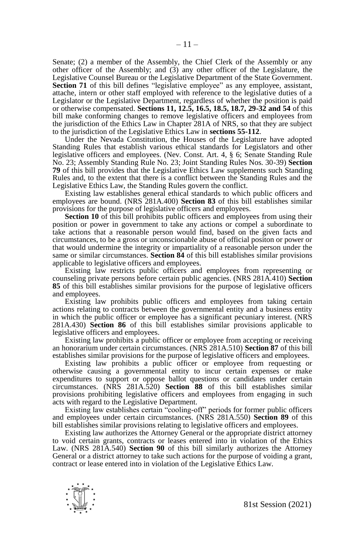Senate; (2) a member of the Assembly, the Chief Clerk of the Assembly or any other officer of the Assembly; and  $(3)$  any other officer of the Legislature, the Legislative Counsel Bureau or the Legislative Department of the State Government. **Section 71** of this bill defines "legislative employee" as any employee, assistant, attache, intern or other staff employed with reference to the legislative duties of a Legislator or the Legislative Department, regardless of whether the position is paid or otherwise compensated. **Sections 11, 12.5, 16.5, 18.5, 18.7, 29-32 and 54** of this bill make conforming changes to remove legislative officers and employees from the jurisdiction of the Ethics Law in Chapter 281A of NRS, so that they are subject to the jurisdiction of the Legislative Ethics Law in **sections 55-112**.

Under the Nevada Constitution, the Houses of the Legislature have adopted Standing Rules that establish various ethical standards for Legislators and other legislative officers and employees. (Nev. Const. Art. 4, § 6; Senate Standing Rule No. 23; Assembly Standing Rule No. 23; Joint Standing Rules Nos. 30-39) **Section 79** of this bill provides that the Legislative Ethics Law supplements such Standing Rules and, to the extent that there is a conflict between the Standing Rules and the Legislative Ethics Law, the Standing Rules govern the conflict.

Existing law establishes general ethical standards to which public officers and employees are bound. (NRS 281A.400) **Section 83** of this bill establishes similar provisions for the purpose of legislative officers and employees.

**Section 10** of this bill prohibits public officers and employees from using their position or power in government to take any actions or compel a subordinate to take actions that a reasonable person would find, based on the given facts and circumstances, to be a gross or unconscionable abuse of official positon or power or that would undermine the integrity or impartiality of a reasonable person under the same or similar circumstances. **Section 84** of this bill establishes similar provisions applicable to legislative officers and employees.

Existing law restricts public officers and employees from representing or counseling private persons before certain public agencies. (NRS 281A.410) **Section 85** of this bill establishes similar provisions for the purpose of legislative officers and employees.

Existing law prohibits public officers and employees from taking certain actions relating to contracts between the governmental entity and a business entity in which the public officer or employee has a significant pecuniary interest. (NRS 281A.430) **Section 86** of this bill establishes similar provisions applicable to legislative officers and employees.

Existing law prohibits a public officer or employee from accepting or receiving an honorarium under certain circumstances. (NRS 281A.510) **Section 87** of this bill establishes similar provisions for the purpose of legislative officers and employees.

Existing law prohibits a public officer or employee from requesting or otherwise causing a governmental entity to incur certain expenses or make expenditures to support or oppose ballot questions or candidates under certain circumstances. (NRS 281A.520) **Section 88** of this bill establishes similar provisions prohibiting legislative officers and employees from engaging in such acts with regard to the Legislative Department.

Existing law establishes certain "cooling-off" periods for former public officers and employees under certain circumstances. (NRS 281A.550) **Section 89** of this bill establishes similar provisions relating to legislative officers and employees.

Existing law authorizes the Attorney General or the appropriate district attorney to void certain grants, contracts or leases entered into in violation of the Ethics Law. (NRS 281A.540) **Section 90** of this bill similarly authorizes the Attorney General or a district attorney to take such actions for the purpose of voiding a grant, contract or lease entered into in violation of the Legislative Ethics Law.

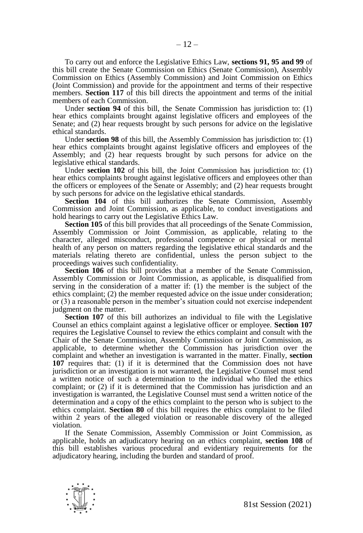To carry out and enforce the Legislative Ethics Law, **sections 91, 95 and 99** of this bill create the Senate Commission on Ethics (Senate Commission), Assembly Commission on Ethics (Assembly Commission) and Joint Commission on Ethics (Joint Commission) and provide for the appointment and terms of their respective members. **Section 117** of this bill directs the appointment and terms of the initial members of each Commission.

Under **section 94** of this bill, the Senate Commission has jurisdiction to: (1) hear ethics complaints brought against legislative officers and employees of the Senate; and (2) hear requests brought by such persons for advice on the legislative ethical standards.

Under **section 98** of this bill, the Assembly Commission has jurisdiction to: (1) hear ethics complaints brought against legislative officers and employees of the Assembly; and (2) hear requests brought by such persons for advice on the legislative ethical standards.

Under **section 102** of this bill, the Joint Commission has jurisdiction to: (1) hear ethics complaints brought against legislative officers and employees other than the officers or employees of the Senate or Assembly; and (2) hear requests brought by such persons for advice on the legislative ethical standards.

**Section 104** of this bill authorizes the Senate Commission, Assembly Commission and Joint Commission, as applicable, to conduct investigations and hold hearings to carry out the Legislative Ethics Law.

**Section 105** of this bill provides that all proceedings of the Senate Commission, Assembly Commission or Joint Commission, as applicable, relating to the character, alleged misconduct, professional competence or physical or mental health of any person on matters regarding the legislative ethical standards and the materials relating thereto are confidential, unless the person subject to the proceedings waives such confidentiality.

**Section 106** of this bill provides that a member of the Senate Commission, Assembly Commission or Joint Commission, as applicable, is disqualified from serving in the consideration of a matter if: (1) the member is the subject of the ethics complaint; (2) the member requested advice on the issue under consideration; or (3) a reasonable person in the member's situation could not exercise independent judgment on the matter.

**Section 107** of this bill authorizes an individual to file with the Legislative Counsel an ethics complaint against a legislative officer or employee. **Section 107** requires the Legislative Counsel to review the ethics complaint and consult with the Chair of the Senate Commission, Assembly Commission or Joint Commission, as applicable, to determine whether the Commission has jurisdiction over the complaint and whether an investigation is warranted in the matter. Finally, **section 107** requires that: (1) if it is determined that the Commission does not have jurisdiction or an investigation is not warranted, the Legislative Counsel must send a written notice of such a determination to the individual who filed the ethics complaint; or (2) if it is determined that the Commission has jurisdiction and an investigation is warranted, the Legislative Counsel must send a written notice of the determination and a copy of the ethics complaint to the person who is subject to the ethics complaint. **Section 80** of this bill requires the ethics complaint to be filed within 2 years of the alleged violation or reasonable discovery of the alleged violation.

If the Senate Commission, Assembly Commission or Joint Commission, as applicable, holds an adjudicatory hearing on an ethics complaint, **section 108** of this bill establishes various procedural and evidentiary requirements for the adjudicatory hearing, including the burden and standard of proof.

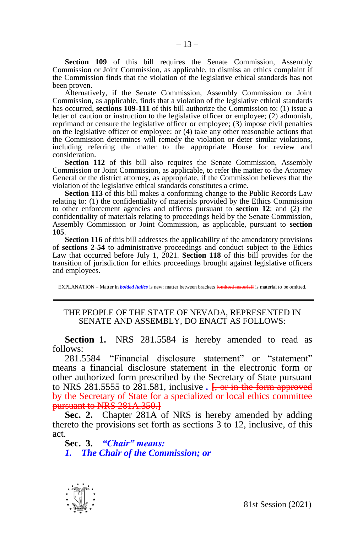**Section 109** of this bill requires the Senate Commission, Assembly Commission or Joint Commission, as applicable, to dismiss an ethics complaint if the Commission finds that the violation of the legislative ethical standards has not been proven.

Alternatively, if the Senate Commission, Assembly Commission or Joint Commission, as applicable, finds that a violation of the legislative ethical standards has occurred, **sections 109-111** of this bill authorize the Commission to: (1) issue a letter of caution or instruction to the legislative officer or employee; (2) admonish, reprimand or censure the legislative officer or employee; (3) impose civil penalties on the legislative officer or employee; or (4) take any other reasonable actions that the Commission determines will remedy the violation or deter similar violations, including referring the matter to the appropriate House for review and consideration.

Section 112 of this bill also requires the Senate Commission, Assembly Commission or Joint Commission, as applicable, to refer the matter to the Attorney General or the district attorney, as appropriate, if the Commission believes that the violation of the legislative ethical standards constitutes a crime.

**Section 113** of this bill makes a conforming change to the Public Records Law relating to: (1) the confidentiality of materials provided by the Ethics Commission to other enforcement agencies and officers pursuant to **section 12**; and (2) the confidentiality of materials relating to proceedings held by the Senate Commission, Assembly Commission or Joint Commission, as applicable, pursuant to **section 105**.

**Section 116** of this bill addresses the applicability of the amendatory provisions of **sections 2-54** to administrative proceedings and conduct subject to the Ethics Law that occurred before July 1,  $2021$ . **Section 118** of this bill provides for the transition of jurisdiction for ethics proceedings brought against legislative officers and employees.

EXPLANATION – Matter in *bolded italics* is new; matter between brackets **[omitted material]** is material to be omitted.

### THE PEOPLE OF THE STATE OF NEVADA, REPRESENTED IN SENATE AND ASSEMBLY, DO ENACT AS FOLLOWS:

**Section 1.** NRS 281.5584 is hereby amended to read as follows:

281.5584 "Financial disclosure statement" or "statement" means a financial disclosure statement in the electronic form or other authorized form prescribed by the Secretary of State pursuant to NRS 281.5555 to 281.581, inclusive  $\frac{1}{2}$ , or in the form approved by the Secretary of State for a specialized or local ethics committee pursuant to NRS 281A.350.**]**

**Sec. 2.** Chapter 281A of NRS is hereby amended by adding thereto the provisions set forth as sections 3 to 12, inclusive, of this act.

**Sec. 3.** *"Chair" means: 1. The Chair of the Commission; or*

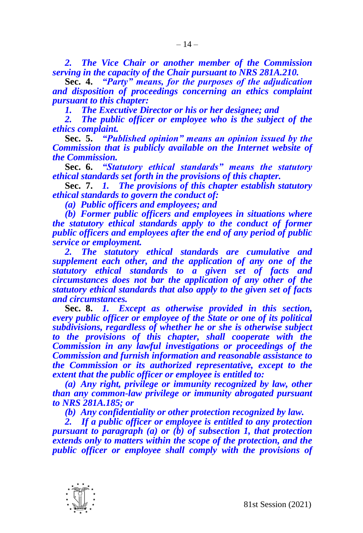*2. The Vice Chair or another member of the Commission serving in the capacity of the Chair pursuant to NRS 281A.210.*

**Sec. 4.** *"Party" means, for the purposes of the adjudication and disposition of proceedings concerning an ethics complaint pursuant to this chapter:*

*1. The Executive Director or his or her designee; and*

*2. The public officer or employee who is the subject of the ethics complaint.*

**Sec. 5.** *"Published opinion" means an opinion issued by the Commission that is publicly available on the Internet website of the Commission.*

**Sec. 6.** *"Statutory ethical standards" means the statutory ethical standards set forth in the provisions of this chapter.*

**Sec. 7.** *1. The provisions of this chapter establish statutory ethical standards to govern the conduct of:*

*(a) Public officers and employees; and*

*(b) Former public officers and employees in situations where the statutory ethical standards apply to the conduct of former public officers and employees after the end of any period of public service or employment.*

*2. The statutory ethical standards are cumulative and supplement each other, and the application of any one of the statutory ethical standards to a given set of facts and circumstances does not bar the application of any other of the statutory ethical standards that also apply to the given set of facts and circumstances.*

**Sec. 8.** *1. Except as otherwise provided in this section, every public officer or employee of the State or one of its political subdivisions, regardless of whether he or she is otherwise subject to the provisions of this chapter, shall cooperate with the Commission in any lawful investigations or proceedings of the Commission and furnish information and reasonable assistance to the Commission or its authorized representative, except to the extent that the public officer or employee is entitled to:*

*(a) Any right, privilege or immunity recognized by law, other than any common-law privilege or immunity abrogated pursuant to NRS 281A.185; or*

*(b) Any confidentiality or other protection recognized by law.*

*2. If a public officer or employee is entitled to any protection pursuant to paragraph (a) or (b) of subsection 1, that protection extends only to matters within the scope of the protection, and the public officer or employee shall comply with the provisions of* 

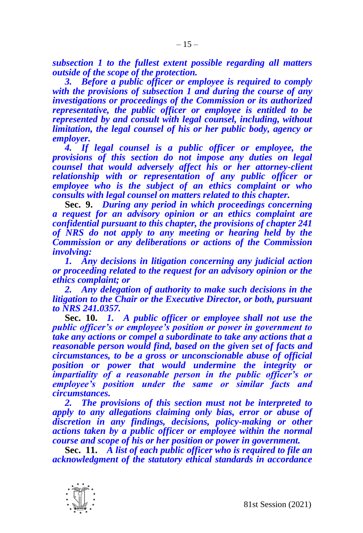*subsection 1 to the fullest extent possible regarding all matters outside of the scope of the protection.*

*3. Before a public officer or employee is required to comply with the provisions of subsection 1 and during the course of any investigations or proceedings of the Commission or its authorized representative, the public officer or employee is entitled to be represented by and consult with legal counsel, including, without limitation, the legal counsel of his or her public body, agency or employer.*

*4. If legal counsel is a public officer or employee, the provisions of this section do not impose any duties on legal counsel that would adversely affect his or her attorney-client relationship with or representation of any public officer or employee who is the subject of an ethics complaint or who consults with legal counsel on matters related to this chapter.*

**Sec. 9.** *During any period in which proceedings concerning a request for an advisory opinion or an ethics complaint are confidential pursuant to this chapter, the provisions of chapter 241 of NRS do not apply to any meeting or hearing held by the Commission or any deliberations or actions of the Commission involving:*

*1. Any decisions in litigation concerning any judicial action or proceeding related to the request for an advisory opinion or the ethics complaint; or*

*2. Any delegation of authority to make such decisions in the litigation to the Chair or the Executive Director, or both, pursuant to NRS 241.0357.*

**Sec. 10.** *1. A public officer or employee shall not use the public officer's or employee's position or power in government to take any actions or compel a subordinate to take any actions that a reasonable person would find, based on the given set of facts and circumstances, to be a gross or unconscionable abuse of official position or power that would undermine the integrity or impartiality of a reasonable person in the public officer's or employee's position under the same or similar facts and circumstances.*

*2. The provisions of this section must not be interpreted to apply to any allegations claiming only bias, error or abuse of discretion in any findings, decisions, policy-making or other actions taken by a public officer or employee within the normal course and scope of his or her position or power in government.*

**Sec. 11.** *A list of each public officer who is required to file an acknowledgment of the statutory ethical standards in accordance* 

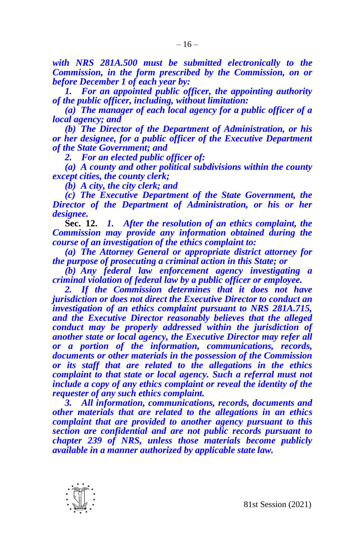*with NRS 281A.500 must be submitted electronically to the Commission, in the form prescribed by the Commission, on or before December 1 of each year by:*

*1. For an appointed public officer, the appointing authority of the public officer, including, without limitation:*

*(a) The manager of each local agency for a public officer of a local agency; and*

*(b) The Director of the Department of Administration, or his or her designee, for a public officer of the Executive Department of the State Government; and*

*2. For an elected public officer of:*

*(a) A county and other political subdivisions within the county except cities, the county clerk;*

*(b) A city, the city clerk; and*

*(c) The Executive Department of the State Government, the Director of the Department of Administration, or his or her designee.*

**Sec. 12.** *1. After the resolution of an ethics complaint, the Commission may provide any information obtained during the course of an investigation of the ethics complaint to:*

*(a) The Attorney General or appropriate district attorney for the purpose of prosecuting a criminal action in this State; or*

*(b) Any federal law enforcement agency investigating a criminal violation of federal law by a public officer or employee.*

*2. If the Commission determines that it does not have jurisdiction or does not direct the Executive Director to conduct an investigation of an ethics complaint pursuant to NRS 281A.715, and the Executive Director reasonably believes that the alleged conduct may be properly addressed within the jurisdiction of another state or local agency, the Executive Director may refer all or a portion of the information, communications, records, documents or other materials in the possession of the Commission or its staff that are related to the allegations in the ethics complaint to that state or local agency. Such a referral must not include a copy of any ethics complaint or reveal the identity of the requester of any such ethics complaint.*

*3. All information, communications, records, documents and other materials that are related to the allegations in an ethics complaint that are provided to another agency pursuant to this section are confidential and are not public records pursuant to chapter 239 of NRS, unless those materials become publicly available in a manner authorized by applicable state law.*

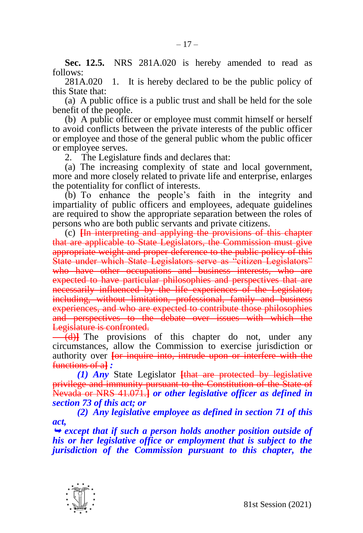**Sec. 12.5.** NRS 281A.020 is hereby amended to read as follows:

281A.020 1. It is hereby declared to be the public policy of this State that:

(a) A public office is a public trust and shall be held for the sole benefit of the people.

(b) A public officer or employee must commit himself or herself to avoid conflicts between the private interests of the public officer or employee and those of the general public whom the public officer or employee serves.

2. The Legislature finds and declares that:

(a) The increasing complexity of state and local government, more and more closely related to private life and enterprise, enlarges the potentiality for conflict of interests.

(b) To enhance the people's faith in the integrity and impartiality of public officers and employees, adequate guidelines are required to show the appropriate separation between the roles of persons who are both public servants and private citizens.

(c) **[**In interpreting and applying the provisions of this chapter that are applicable to State Legislators, the Commission must give appropriate weight and proper deference to the public policy of this State under which State Legislators serve as "citizen Legislators" who have other occupations and business interests, who are expected to have particular philosophies and perspectives that are necessarily influenced by the life experiences of the Legislator, including, without limitation, professional, family and business experiences, and who are expected to contribute those philosophies and perspectives to the debate over issues with which the Legislature is confronted.

(d)<sup>The</sup> provisions of this chapter do not, under any circumstances, allow the Commission to exercise jurisdiction or authority over **[**or inquire into, intrude upon or interfere with the functions of a**]** *:*

*(1) Any* State Legislator **[**that are protected by legislative privilege and immunity pursuant to the Constitution of the State of Nevada or NRS 41.071.**]** *or other legislative officer as defined in section 73 of this act; or*

*(2) Any legislative employee as defined in section 71 of this act,*

 *except that if such a person holds another position outside of his or her legislative office or employment that is subject to the jurisdiction of the Commission pursuant to this chapter, the* 

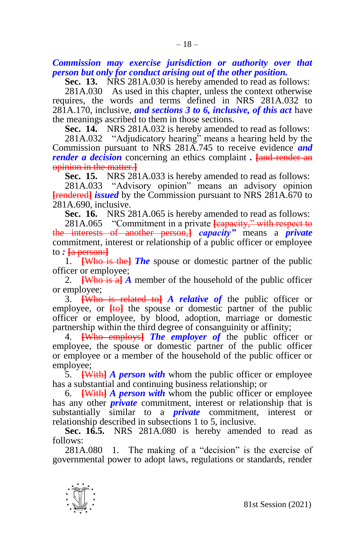*Commission may exercise jurisdiction or authority over that person but only for conduct arising out of the other position.*

**Sec. 13.** NRS 281A.030 is hereby amended to read as follows:

281A.030 As used in this chapter, unless the context otherwise requires, the words and terms defined in NRS 281A.032 to 281A.170, inclusive, *and sections 3 to 6, inclusive, of this act* have the meanings ascribed to them in those sections.

**Sec. 14.** NRS 281A.032 is hereby amended to read as follows:

281A.032 "Adjudicatory hearing" means a hearing held by the Commission pursuant to NRS 281A.745 to receive evidence *and render a decision* concerning an ethics complaint *.* **[**and render an opinion in the matter.**]**

**Sec. 15.** NRS 281A.033 is hereby amended to read as follows:

281A.033 "Advisory opinion" means an advisory opinion **[**rendered**]** *issued* by the Commission pursuant to NRS 281A.670 to 281A.690, inclusive.

**Sec. 16.** NRS 281A.065 is hereby amended to read as follows:

281A.065 "Commitment in a private **[**capacity," with respect to the interests of another person,**]** *capacity"* means a *private*  commitment, interest or relationship of a public officer or employee to *:* **[**a person:**]**

1. **[**Who is the**]** *The* spouse or domestic partner of the public officer or employee;

2. **[**Who is a**]** *A* member of the household of the public officer or employee;

3. **[**Who is related to**]** *A relative of* the public officer or employee, or  $[t\omega]$  the spouse or domestic partner of the public officer or employee, by blood, adoption, marriage or domestic partnership within the third degree of consanguinity or affinity;

4. **[**Who employs**]** *The employer of* the public officer or employee, the spouse or domestic partner of the public officer or employee or a member of the household of the public officer or employee;

5. **[**With**]** *A person with* whom the public officer or employee has a substantial and continuing business relationship; or

6. **[**With**]** *A person with* whom the public officer or employee has any other *private* commitment, interest or relationship that is substantially similar to a *private* commitment, interest or relationship described in subsections 1 to 5, inclusive.

**Sec. 16.5.** NRS 281A.080 is hereby amended to read as follows:

281A.080 1. The making of a "decision" is the exercise of governmental power to adopt laws, regulations or standards, render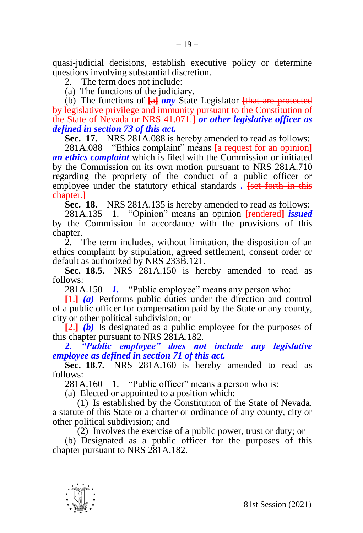quasi-judicial decisions, establish executive policy or determine questions involving substantial discretion.

2. The term does not include:

(a) The functions of the judiciary.

(b) The functions of **[**a**]** *any* State Legislator **[**that are protected by legislative privilege and immunity pursuant to the Constitution of the State of Nevada or NRS 41.071.**]** *or other legislative officer as defined in section 73 of this act.*

**Sec. 17.** NRS 281A.088 is hereby amended to read as follows:

281A.088 "Ethics complaint" means **[**a request for an opinion**]** *an ethics complaint* which is filed with the Commission or initiated by the Commission on its own motion pursuant to NRS 281A.710 regarding the propriety of the conduct of a public officer or employee under the statutory ethical standards *.* **[**set forth in this chapter.**]**

**Sec. 18.** NRS 281A.135 is hereby amended to read as follows:

281A.135 1. "Opinion" means an opinion **[**rendered**]** *issued*  by the Commission in accordance with the provisions of this chapter.

2. The term includes, without limitation, the disposition of an ethics complaint by stipulation, agreed settlement, consent order or default as authorized by NRS 233B.121.

**Sec. 18.5.** NRS 281A.150 is hereby amended to read as follows:

281A.150 *1.* "Public employee" means any person who:

**[**1.**]** *(a)* Performs public duties under the direction and control of a public officer for compensation paid by the State or any county, city or other political subdivision; or

**[**2.**]** *(b)* Is designated as a public employee for the purposes of this chapter pursuant to NRS 281A.182.

*2. "Public employee" does not include any legislative employee as defined in section 71 of this act.*

**Sec. 18.7.** NRS 281A.160 is hereby amended to read as follows:

281A.160 1. "Public officer" means a person who is:

(a) Elected or appointed to a position which:

(1) Is established by the Constitution of the State of Nevada, a statute of this State or a charter or ordinance of any county, city or other political subdivision; and

(2) Involves the exercise of a public power, trust or duty; or

(b) Designated as a public officer for the purposes of this chapter pursuant to NRS 281A.182.

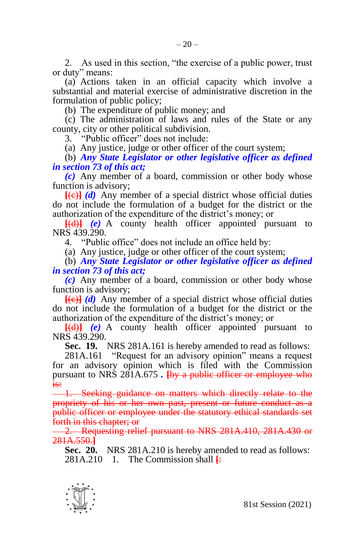2. As used in this section, "the exercise of a public power, trust or duty" means:

(a) Actions taken in an official capacity which involve a substantial and material exercise of administrative discretion in the formulation of public policy;

(b) The expenditure of public money; and

(c) The administration of laws and rules of the State or any county, city or other political subdivision.

3. "Public officer" does not include:

(a) Any justice, judge or other officer of the court system;

(b) *Any State Legislator or other legislative officer as defined in section 73 of this act;*

*(c)* Any member of a board, commission or other body whose function is advisory;

 $[ (e)$   $( d)$  Any member of a special district whose official duties do not include the formulation of a budget for the district or the authorization of the expenditure of the district's money; or

**[**(d)**]** *(e)* A county health officer appointed pursuant to NRS 439.290

4. "Public office" does not include an office held by:

(a) Any justice, judge or other officer of the court system;

(b) *Any State Legislator or other legislative officer as defined in section 73 of this act;*

*(c)* Any member of a board, commission or other body whose function is advisory;

**[**(c)**]** *(d)* Any member of a special district whose official duties do not include the formulation of a budget for the district or the authorization of the expenditure of the district's money; or

**[**(d)**]** *(e)* A county health officer appointed pursuant to NRS 439.290.

**Sec. 19.** NRS 281A.161 is hereby amended to read as follows:

281A.161 "Request for an advisory opinion" means a request for an advisory opinion which is filed with the Commission pursuant to NRS 281A.675 *.* **[**by a public officer or employee who is:

1. Seeking guidance on matters which directly relate to the propriety of his or her own past, present or future conduct as a public officer or employee under the statutory ethical standards set forth in this chapter; or

2. Requesting relief pursuant to NRS 281A.410, 281A.430 or 281A.550.**]**

**Sec. 20.** NRS 281A.210 is hereby amended to read as follows: 281A.210 1. The Commission shall  $\frac{1}{2}$ 

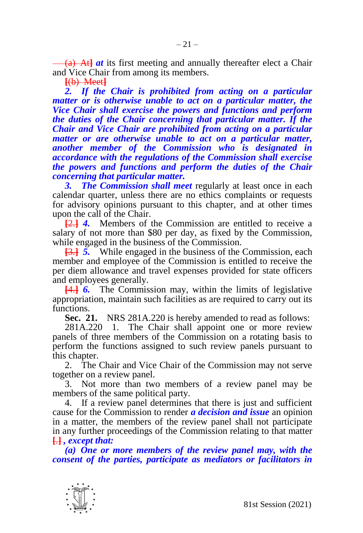(a) At**]** *at* its first meeting and annually thereafter elect a Chair and Vice Chair from among its members.

**[**(b) Meet**]**

2. If the Chair is prohibited from acting on a particular *matter or is otherwise unable to act on a particular matter, the Vice Chair shall exercise the powers and functions and perform the duties of the Chair concerning that particular matter. If the Chair and Vice Chair are prohibited from acting on a particular matter or are otherwise unable to act on a particular matter, another member of the Commission who is designated in accordance with the regulations of the Commission shall exercise the powers and functions and perform the duties of the Chair concerning that particular matter.*

*3. The Commission shall meet* regularly at least once in each calendar quarter, unless there are no ethics complaints or requests for advisory opinions pursuant to this chapter, and at other times upon the call of the Chair.

**[**2.**]** *4.* Members of the Commission are entitled to receive a salary of not more than \$80 per day, as fixed by the Commission, while engaged in the business of the Commission.

**[**3.**]** *5.* While engaged in the business of the Commission, each member and employee of the Commission is entitled to receive the per diem allowance and travel expenses provided for state officers and employees generally.

**[**4.**]** *6.* The Commission may, within the limits of legislative appropriation, maintain such facilities as are required to carry out its functions.

**Sec. 21.** NRS 281A.220 is hereby amended to read as follows:

281A.220 1. The Chair shall appoint one or more review panels of three members of the Commission on a rotating basis to perform the functions assigned to such review panels pursuant to this chapter.

2. The Chair and Vice Chair of the Commission may not serve together on a review panel.

3. Not more than two members of a review panel may be members of the same political party.

4. If a review panel determines that there is just and sufficient cause for the Commission to render *a decision and issue* an opinion in a matter, the members of the review panel shall not participate in any further proceedings of the Commission relating to that matter **[**.**]** *, except that:*

*(a) One or more members of the review panel may, with the consent of the parties, participate as mediators or facilitators in* 

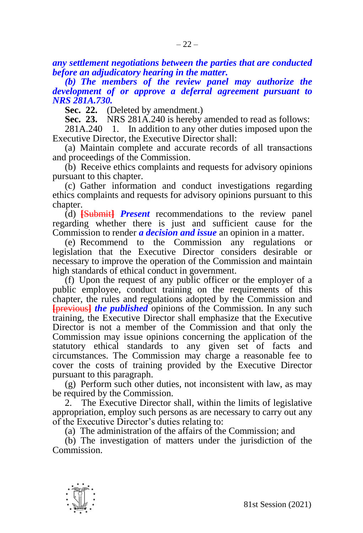*(b) The members of the review panel may authorize the development of or approve a deferral agreement pursuant to NRS 281A.730.*

**Sec. 22.** (Deleted by amendment.)

**Sec. 23.** NRS 281A.240 is hereby amended to read as follows:

281A.240 1. In addition to any other duties imposed upon the Executive Director, the Executive Director shall:

(a) Maintain complete and accurate records of all transactions and proceedings of the Commission.

(b) Receive ethics complaints and requests for advisory opinions pursuant to this chapter.

(c) Gather information and conduct investigations regarding ethics complaints and requests for advisory opinions pursuant to this chapter.

(d) **[**Submit**]** *Present* recommendations to the review panel regarding whether there is just and sufficient cause for the Commission to render *a decision and issue* an opinion in a matter.

(e) Recommend to the Commission any regulations or legislation that the Executive Director considers desirable or necessary to improve the operation of the Commission and maintain high standards of ethical conduct in government.

(f) Upon the request of any public officer or the employer of a public employee, conduct training on the requirements of this chapter, the rules and regulations adopted by the Commission and **[**previous**]** *the published* opinions of the Commission. In any such training, the Executive Director shall emphasize that the Executive Director is not a member of the Commission and that only the Commission may issue opinions concerning the application of the statutory ethical standards to any given set of facts and circumstances. The Commission may charge a reasonable fee to cover the costs of training provided by the Executive Director pursuant to this paragraph.

(g) Perform such other duties, not inconsistent with law, as may be required by the Commission.

2. The Executive Director shall, within the limits of legislative appropriation, employ such persons as are necessary to carry out any of the Executive Director's duties relating to:

(a) The administration of the affairs of the Commission; and

(b) The investigation of matters under the jurisdiction of the Commission.

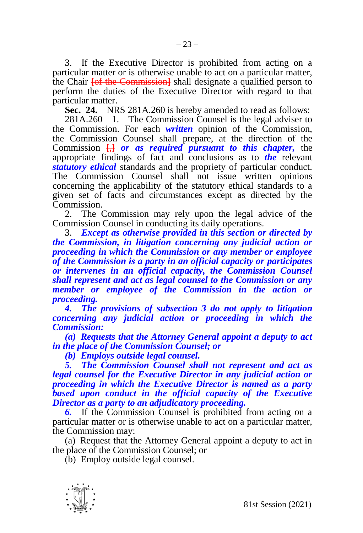3. If the Executive Director is prohibited from acting on a particular matter or is otherwise unable to act on a particular matter, the Chair **[**of the Commission**]** shall designate a qualified person to perform the duties of the Executive Director with regard to that particular matter.

**Sec. 24.** NRS 281A.260 is hereby amended to read as follows:

281A.260 1. The Commission Counsel is the legal adviser to the Commission. For each *written* opinion of the Commission, the Commission Counsel shall prepare, at the direction of the Commission **[**,**]** *or as required pursuant to this chapter,* the appropriate findings of fact and conclusions as to *the* relevant *statutory ethical* standards and the propriety of particular conduct. The Commission Counsel shall not issue written opinions concerning the applicability of the statutory ethical standards to a given set of facts and circumstances except as directed by the Commission.

2. The Commission may rely upon the legal advice of the Commission Counsel in conducting its daily operations.

3. *Except as otherwise provided in this section or directed by the Commission, in litigation concerning any judicial action or proceeding in which the Commission or any member or employee of the Commission is a party in an official capacity or participates or intervenes in an official capacity, the Commission Counsel shall represent and act as legal counsel to the Commission or any member or employee of the Commission in the action or proceeding.* 

*4. The provisions of subsection 3 do not apply to litigation concerning any judicial action or proceeding in which the Commission:*

*(a) Requests that the Attorney General appoint a deputy to act in the place of the Commission Counsel; or*

*(b) Employs outside legal counsel.*

*5. The Commission Counsel shall not represent and act as legal counsel for the Executive Director in any judicial action or proceeding in which the Executive Director is named as a party based upon conduct in the official capacity of the Executive Director as a party to an adjudicatory proceeding.*

*6.* If the Commission Counsel is prohibited from acting on a particular matter or is otherwise unable to act on a particular matter, the Commission may:

(a) Request that the Attorney General appoint a deputy to act in the place of the Commission Counsel; or

(b) Employ outside legal counsel.

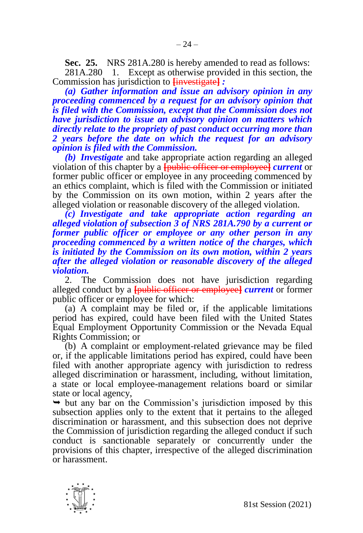**Sec. 25.** NRS 281A.280 is hereby amended to read as follows:

281A.280 1. Except as otherwise provided in this section, the Commission has jurisdiction to **[**investigate**]** *:*

*(a) Gather information and issue an advisory opinion in any proceeding commenced by a request for an advisory opinion that is filed with the Commission, except that the Commission does not have jurisdiction to issue an advisory opinion on matters which directly relate to the propriety of past conduct occurring more than 2 years before the date on which the request for an advisory opinion is filed with the Commission.*

*(b) Investigate* and take appropriate action regarding an alleged violation of this chapter by a **[**public officer or employee**]** *current* or former public officer or employee in any proceeding commenced by an ethics complaint, which is filed with the Commission or initiated by the Commission on its own motion, within 2 years after the alleged violation or reasonable discovery of the alleged violation.

*(c) Investigate and take appropriate action regarding an alleged violation of subsection 3 of NRS 281A.790 by a current or former public officer or employee or any other person in any proceeding commenced by a written notice of the charges, which is initiated by the Commission on its own motion, within 2 years after the alleged violation or reasonable discovery of the alleged violation.*

2. The Commission does not have jurisdiction regarding alleged conduct by a **[**public officer or employee**]** *current* or former public officer or employee for which:

(a) A complaint may be filed or, if the applicable limitations period has expired, could have been filed with the United States Equal Employment Opportunity Commission or the Nevada Equal Rights Commission; or

(b) A complaint or employment-related grievance may be filed or, if the applicable limitations period has expired, could have been filed with another appropriate agency with jurisdiction to redress alleged discrimination or harassment, including, without limitation, a state or local employee-management relations board or similar state or local agency,

 $\rightarrow$  but any bar on the Commission's jurisdiction imposed by this subsection applies only to the extent that it pertains to the alleged discrimination or harassment, and this subsection does not deprive the Commission of jurisdiction regarding the alleged conduct if such conduct is sanctionable separately or concurrently under the provisions of this chapter, irrespective of the alleged discrimination or harassment.

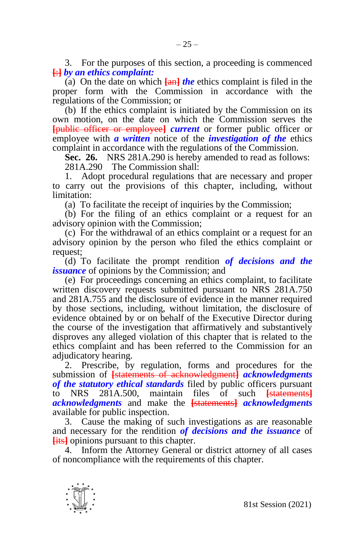3. For the purposes of this section, a proceeding is commenced **[**:**]** *by an ethics complaint:*

(a) On the date on which **[**an**]** *the* ethics complaint is filed in the proper form with the Commission in accordance with the regulations of the Commission; or

(b) If the ethics complaint is initiated by the Commission on its own motion, on the date on which the Commission serves the **[**public officer or employee**]** *current* or former public officer or employee with *a written* notice of the *investigation of the* ethics complaint in accordance with the regulations of the Commission.

**Sec. 26.** NRS 281A.290 is hereby amended to read as follows: 281A.290 The Commission shall:

1. Adopt procedural regulations that are necessary and proper to carry out the provisions of this chapter, including, without limitation:

(a) To facilitate the receipt of inquiries by the Commission;

(b) For the filing of an ethics complaint or a request for an advisory opinion with the Commission;

(c) For the withdrawal of an ethics complaint or a request for an advisory opinion by the person who filed the ethics complaint or request;

(d) To facilitate the prompt rendition *of decisions and the issuance* of opinions by the Commission; and

(e) For proceedings concerning an ethics complaint, to facilitate written discovery requests submitted pursuant to NRS 281A.750 and 281A.755 and the disclosure of evidence in the manner required by those sections, including, without limitation, the disclosure of evidence obtained by or on behalf of the Executive Director during the course of the investigation that affirmatively and substantively disproves any alleged violation of this chapter that is related to the ethics complaint and has been referred to the Commission for an adjudicatory hearing.

2. Prescribe, by regulation, forms and procedures for the submission of **[**statements of acknowledgment**]** *acknowledgments of the statutory ethical standards* filed by public officers pursuant to NRS 281A.500, maintain files of such **[**statements**]** *acknowledgments* and make the **[**statements**]** *acknowledgments*  available for public inspection.

3. Cause the making of such investigations as are reasonable and necessary for the rendition *of decisions and the issuance* of **[**its**]** opinions pursuant to this chapter.

4. Inform the Attorney General or district attorney of all cases of noncompliance with the requirements of this chapter.

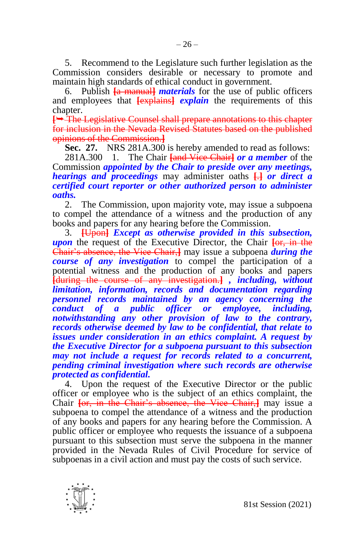5. Recommend to the Legislature such further legislation as the Commission considers desirable or necessary to promote and maintain high standards of ethical conduct in government.

6. Publish **[**a manual**]** *materials* for the use of public officers and employees that **[**explains**]** *explain* the requirements of this chapter.

**[→ The Legislative Counsel shall prepare annotations to this chapter** for inclusion in the Nevada Revised Statutes based on the published opinions of the Commission.**]**

**Sec. 27.** NRS 281A.300 is hereby amended to read as follows:

281A.300 1. The Chair **[**and Vice Chair**]** *or a member* of the Commission *appointed by the Chair to preside over any meetings, hearings and proceedings* may administer oaths **[**.**]** *or direct a certified court reporter or other authorized person to administer oaths.*

2. The Commission, upon majority vote, may issue a subpoena to compel the attendance of a witness and the production of any books and papers for any hearing before the Commission.

3. **[**Upon**]** *Except as otherwise provided in this subsection, upon* the request of the Executive Director, the Chair **[**or, in the Chair's absence, the Vice Chair,**]** may issue a subpoena *during the course of any investigation* to compel the participation of a potential witness and the production of any books and papers **[**during the course of any investigation.**]** *, including, without limitation, information, records and documentation regarding personnel records maintained by an agency concerning the conduct of a public officer or employee, including, notwithstanding any other provision of law to the contrary, records otherwise deemed by law to be confidential, that relate to issues under consideration in an ethics complaint. A request by the Executive Director for a subpoena pursuant to this subsection may not include a request for records related to a concurrent, pending criminal investigation where such records are otherwise protected as confidential.*

4. Upon the request of the Executive Director or the public officer or employee who is the subject of an ethics complaint, the Chair **[**or, in the Chair's absence, the Vice Chair,**]** may issue a subpoena to compel the attendance of a witness and the production of any books and papers for any hearing before the Commission. A public officer or employee who requests the issuance of a subpoena pursuant to this subsection must serve the subpoena in the manner provided in the Nevada Rules of Civil Procedure for service of subpoenas in a civil action and must pay the costs of such service.

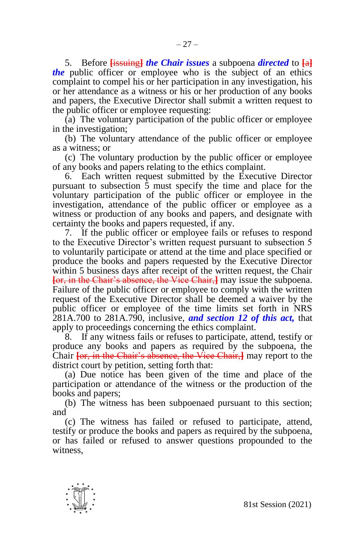5. Before **[**issuing**]** *the Chair issues* a subpoena *directed* to **[**a**]** *the* public officer or employee who is the subject of an ethics complaint to compel his or her participation in any investigation, his or her attendance as a witness or his or her production of any books and papers, the Executive Director shall submit a written request to the public officer or employee requesting:

(a) The voluntary participation of the public officer or employee in the investigation;

(b) The voluntary attendance of the public officer or employee as a witness; or

(c) The voluntary production by the public officer or employee of any books and papers relating to the ethics complaint.

6. Each written request submitted by the Executive Director pursuant to subsection 5 must specify the time and place for the voluntary participation of the public officer or employee in the investigation, attendance of the public officer or employee as a witness or production of any books and papers, and designate with certainty the books and papers requested, if any.

7. If the public officer or employee fails or refuses to respond to the Executive Director's written request pursuant to subsection 5 to voluntarily participate or attend at the time and place specified or produce the books and papers requested by the Executive Director within 5 business days after receipt of the written request, the Chair **[**or, in the Chair's absence, the Vice Chair,**]** may issue the subpoena. Failure of the public officer or employee to comply with the written request of the Executive Director shall be deemed a waiver by the public officer or employee of the time limits set forth in NRS 281A.700 to 281A.790, inclusive, *and section 12 of this act,* that apply to proceedings concerning the ethics complaint.

8. If any witness fails or refuses to participate, attend, testify or produce any books and papers as required by the subpoena, the Chair **[**or, in the Chair's absence, the Vice Chair,**]** may report to the district court by petition, setting forth that:

(a) Due notice has been given of the time and place of the participation or attendance of the witness or the production of the books and papers;

(b) The witness has been subpoenaed pursuant to this section; and

(c) The witness has failed or refused to participate, attend, testify or produce the books and papers as required by the subpoena, or has failed or refused to answer questions propounded to the witness,

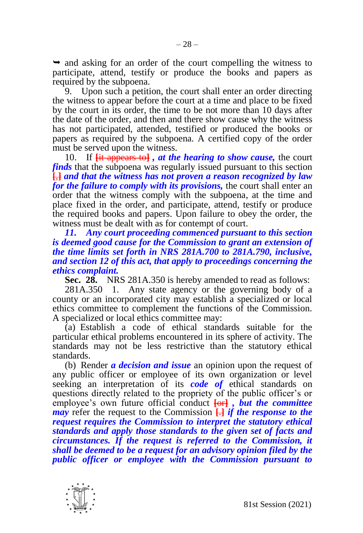$\rightarrow$  and asking for an order of the court compelling the witness to participate, attend, testify or produce the books and papers as required by the subpoena.

9. Upon such a petition, the court shall enter an order directing the witness to appear before the court at a time and place to be fixed by the court in its order, the time to be not more than 10 days after the date of the order, and then and there show cause why the witness has not participated, attended, testified or produced the books or papers as required by the subpoena. A certified copy of the order must be served upon the witness.

10. If **[**it appears to**]** *, at the hearing to show cause,* the court *finds* that the subpoena was regularly issued pursuant to this section **[**,**]** *and that the witness has not proven a reason recognized by law for the failure to comply with its provisions, the court shall enter an* order that the witness comply with the subpoena, at the time and place fixed in the order, and participate, attend, testify or produce the required books and papers. Upon failure to obey the order, the witness must be dealt with as for contempt of court.

*11. Any court proceeding commenced pursuant to this section is deemed good cause for the Commission to grant an extension of the time limits set forth in NRS 281A.700 to 281A.790, inclusive, and section 12 of this act, that apply to proceedings concerning the ethics complaint.*

**Sec. 28.** NRS 281A.350 is hereby amended to read as follows:

281A.350 1. Any state agency or the governing body of a county or an incorporated city may establish a specialized or local ethics committee to complement the functions of the Commission. A specialized or local ethics committee may:

(a) Establish a code of ethical standards suitable for the particular ethical problems encountered in its sphere of activity. The standards may not be less restrictive than the statutory ethical standards.

(b) Render *a decision and issue* an opinion upon the request of any public officer or employee of its own organization or level seeking an interpretation of its *code of* ethical standards on questions directly related to the propriety of the public officer's or employee's own future official conduct **[**or**]** *, but the committee may* refer the request to the Commission **[**.**]** *if the response to the request requires the Commission to interpret the statutory ethical standards and apply those standards to the given set of facts and circumstances. If the request is referred to the Commission, it shall be deemed to be a request for an advisory opinion filed by the public officer or employee with the Commission pursuant to* 

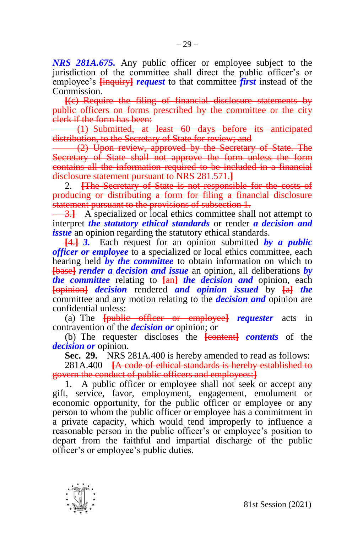*NRS 281A.675.* Any public officer or employee subject to the jurisdiction of the committee shall direct the public officer's or employee's **[**inquiry**]** *request* to that committee *first* instead of the Commission.

 $-29-$ 

**[**(c) Require the filing of financial disclosure statements by public officers on forms prescribed by the committee or the city clerk if the form has been:

(1) Submitted, at least 60 days before its anticipated distribution, to the Secretary of State for review; and

(2) Upon review, approved by the Secretary of State. The Secretary of State shall not approve the form unless the form contains all the information required to be included in a financial disclosure statement pursuant to NRS 281.571.**]**

2. **[**The Secretary of State is not responsible for the costs of producing or distributing a form for filing a financial disclosure statement pursuant to the provisions of subsection 1.

3.**]** A specialized or local ethics committee shall not attempt to interpret *the statutory ethical standards* or render *a decision and issue* an opinion regarding the statutory ethical standards.

**[**4.**]** *3.* Each request for an opinion submitted *by a public officer or employee* to a specialized or local ethics committee, each hearing held *by the committee* to obtain information on which to **[**base**]** *render a decision and issue* an opinion, all deliberations *by the committee* relating to **[**an**]** *the decision and* opinion, each **[**opinion**]** *decision* rendered *and opinion issued* by **[**a**]** *the*  committee and any motion relating to the *decision and* opinion are confidential unless:

(a) The **[**public officer or employee**]** *requester* acts in contravention of the *decision or* opinion; or

(b) The requester discloses the **[**content**]** *contents* of the *decision or* opinion.

**Sec. 29.** NRS 281A.400 is hereby amended to read as follows:

281A.400 **[**A code of ethical standards is hereby established to govern the conduct of public officers and employees:**]**

1. A public officer or employee shall not seek or accept any gift, service, favor, employment, engagement, emolument or economic opportunity, for the public officer or employee or any person to whom the public officer or employee has a commitment in a private capacity, which would tend improperly to influence a reasonable person in the public officer's or employee's position to depart from the faithful and impartial discharge of the public officer's or employee's public duties.

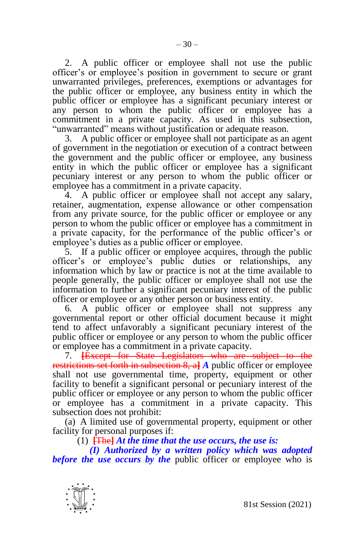2. A public officer or employee shall not use the public officer's or employee's position in government to secure or grant unwarranted privileges, preferences, exemptions or advantages for the public officer or employee, any business entity in which the public officer or employee has a significant pecuniary interest or any person to whom the public officer or employee has a commitment in a private capacity. As used in this subsection, "unwarranted" means without justification or adequate reason.

3. A public officer or employee shall not participate as an agent of government in the negotiation or execution of a contract between the government and the public officer or employee, any business entity in which the public officer or employee has a significant pecuniary interest or any person to whom the public officer or employee has a commitment in a private capacity.

4. A public officer or employee shall not accept any salary, retainer, augmentation, expense allowance or other compensation from any private source, for the public officer or employee or any person to whom the public officer or employee has a commitment in a private capacity, for the performance of the public officer's or employee's duties as a public officer or employee.

5. If a public officer or employee acquires, through the public officer's or employee's public duties or relationships, any information which by law or practice is not at the time available to people generally, the public officer or employee shall not use the information to further a significant pecuniary interest of the public officer or employee or any other person or business entity.

6. A public officer or employee shall not suppress any governmental report or other official document because it might tend to affect unfavorably a significant pecuniary interest of the public officer or employee or any person to whom the public officer or employee has a commitment in a private capacity.

7. **[**Except for State Legislators who are subject to the restrictions set forth in subsection 8, a**]** *A* public officer or employee shall not use governmental time, property, equipment or other facility to benefit a significant personal or pecuniary interest of the public officer or employee or any person to whom the public officer or employee has a commitment in a private capacity. This subsection does not prohibit:

(a) A limited use of governmental property, equipment or other facility for personal purposes if:

(1) **[**The**]** *At the time that the use occurs, the use is:*

*(I) Authorized by a written policy which was adopted before the use occurs by the* public officer or employee who is

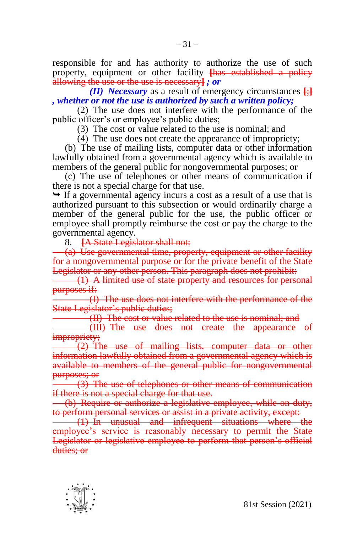responsible for and has authority to authorize the use of such property, equipment or other facility **[**has established a policy allowing the use or the use is necessary**]** *; or*

*(II) Necessary* as a result of emergency circumstances **[**;**]** *, whether or not the use is authorized by such a written policy;*

(2) The use does not interfere with the performance of the public officer's or employee's public duties;

(3) The cost or value related to the use is nominal; and

(4) The use does not create the appearance of impropriety;

(b) The use of mailing lists, computer data or other information lawfully obtained from a governmental agency which is available to members of the general public for nongovernmental purposes; or

(c) The use of telephones or other means of communication if there is not a special charge for that use.

 $\rightarrow$  If a governmental agency incurs a cost as a result of a use that is authorized pursuant to this subsection or would ordinarily charge a member of the general public for the use, the public officer or employee shall promptly reimburse the cost or pay the charge to the governmental agency.

8. **[**A State Legislator shall not:

(a) Use governmental time, property, equipment or other facility for a nongovernmental purpose or for the private benefit of the State Legislator or any other person. This paragraph does not prohibit:

(1) A limited use of state property and resources for personal purposes if:

(I) The use does not interfere with the performance of the State Legislator's public duties;

(II) The cost or value related to the use is nominal; and

(III) The use does not create the appearance of impropriety;

(2) The use of mailing lists, computer data or other information lawfully obtained from a governmental agency which is available to members of the general public for nongovernmental purposes; or

(3) The use of telephones or other means of communication if there is not a special charge for that use.

(b) Require or authorize a legislative employee, while on duty, to perform personal services or assist in a private activity, except:

(1) In unusual and infrequent situations where the employee's service is reasonably necessary to permit the State Legislator or legislative employee to perform that person's official duties; or

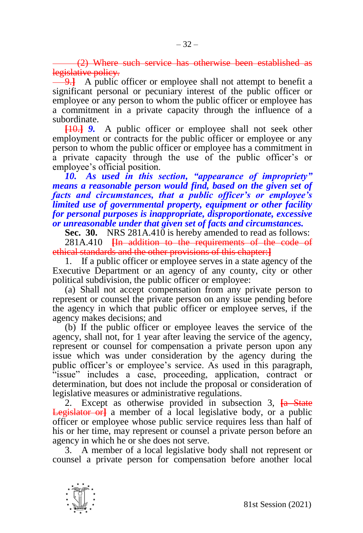(2) Where such service has otherwise been established as legislative policy.

**4.** A public officer or employee shall not attempt to benefit a significant personal or pecuniary interest of the public officer or employee or any person to whom the public officer or employee has a commitment in a private capacity through the influence of a subordinate.

**[**10.**]** *9.* A public officer or employee shall not seek other employment or contracts for the public officer or employee or any person to whom the public officer or employee has a commitment in a private capacity through the use of the public officer's or employee's official position.

*10. As used in this section, "appearance of impropriety" means a reasonable person would find, based on the given set of facts and circumstances, that a public officer's or employee's limited use of governmental property, equipment or other facility for personal purposes is inappropriate, disproportionate, excessive or unreasonable under that given set of facts and circumstances.*

**Sec. 30.** NRS 281A.410 is hereby amended to read as follows:

281A.410 **[**In addition to the requirements of the code of ethical standards and the other provisions of this chapter:**]**

1. If a public officer or employee serves in a state agency of the Executive Department or an agency of any county, city or other political subdivision, the public officer or employee:

(a) Shall not accept compensation from any private person to represent or counsel the private person on any issue pending before the agency in which that public officer or employee serves, if the agency makes decisions; and

(b) If the public officer or employee leaves the service of the agency, shall not, for 1 year after leaving the service of the agency, represent or counsel for compensation a private person upon any issue which was under consideration by the agency during the public officer's or employee's service. As used in this paragraph, "issue" includes a case, proceeding, application, contract or determination, but does not include the proposal or consideration of legislative measures or administrative regulations.

2. Except as otherwise provided in subsection 3, **[**a State Legislator or**]** a member of a local legislative body, or a public officer or employee whose public service requires less than half of his or her time, may represent or counsel a private person before an agency in which he or she does not serve.

3. A member of a local legislative body shall not represent or counsel a private person for compensation before another local

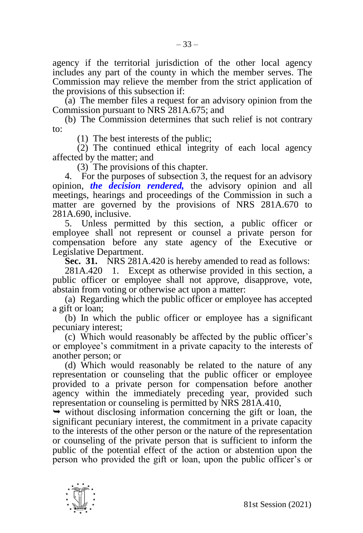agency if the territorial jurisdiction of the other local agency includes any part of the county in which the member serves. The Commission may relieve the member from the strict application of the provisions of this subsection if:

(a) The member files a request for an advisory opinion from the Commission pursuant to NRS 281A.675; and

(b) The Commission determines that such relief is not contrary to:

(1) The best interests of the public;

(2) The continued ethical integrity of each local agency affected by the matter; and

(3) The provisions of this chapter.

4. For the purposes of subsection 3, the request for an advisory opinion, *the decision rendered,* the advisory opinion and all meetings, hearings and proceedings of the Commission in such a matter are governed by the provisions of NRS 281A.670 to 281A.690, inclusive.

5. Unless permitted by this section, a public officer or employee shall not represent or counsel a private person for compensation before any state agency of the Executive or Legislative Department.

**Sec. 31.** NRS 281A.420 is hereby amended to read as follows:

281A.420 1. Except as otherwise provided in this section, a public officer or employee shall not approve, disapprove, vote, abstain from voting or otherwise act upon a matter:

(a) Regarding which the public officer or employee has accepted a gift or loan;

(b) In which the public officer or employee has a significant pecuniary interest;

(c) Which would reasonably be affected by the public officer's or employee's commitment in a private capacity to the interests of another person; or

(d) Which would reasonably be related to the nature of any representation or counseling that the public officer or employee provided to a private person for compensation before another agency within the immediately preceding year, provided such representation or counseling is permitted by NRS 281A.410,

 $\rightarrow$  without disclosing information concerning the gift or loan, the significant pecuniary interest, the commitment in a private capacity to the interests of the other person or the nature of the representation or counseling of the private person that is sufficient to inform the public of the potential effect of the action or abstention upon the person who provided the gift or loan, upon the public officer's or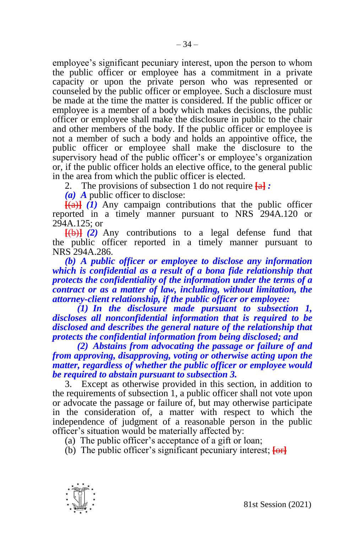employee's significant pecuniary interest, upon the person to whom the public officer or employee has a commitment in a private capacity or upon the private person who was represented or counseled by the public officer or employee. Such a disclosure must be made at the time the matter is considered. If the public officer or employee is a member of a body which makes decisions, the public officer or employee shall make the disclosure in public to the chair and other members of the body. If the public officer or employee is not a member of such a body and holds an appointive office, the public officer or employee shall make the disclosure to the supervisory head of the public officer's or employee's organization or, if the public officer holds an elective office, to the general public in the area from which the public officer is elected.

2. The provisions of subsection 1 do not require **[**a**]** *:*

*(a) A* public officer to disclose:

 $\overline{f(a)}$   $\overline{(1)}$  Any campaign contributions that the public officer reported in a timely manner pursuant to NRS 294A.120 or 294A.125; or

**[**(b)**]** *(2)* Any contributions to a legal defense fund that the public officer reported in a timely manner pursuant to NRS 294A.286.

*(b) A public officer or employee to disclose any information which is confidential as a result of a bona fide relationship that protects the confidentiality of the information under the terms of a contract or as a matter of law, including, without limitation, the attorney-client relationship, if the public officer or employee:*

*(1) In the disclosure made pursuant to subsection 1, discloses all nonconfidential information that is required to be disclosed and describes the general nature of the relationship that protects the confidential information from being disclosed; and*

*(2) Abstains from advocating the passage or failure of and from approving, disapproving, voting or otherwise acting upon the matter, regardless of whether the public officer or employee would be required to abstain pursuant to subsection 3.*

3. Except as otherwise provided in this section, in addition to the requirements of subsection 1, a public officer shall not vote upon or advocate the passage or failure of, but may otherwise participate in the consideration of, a matter with respect to which the independence of judgment of a reasonable person in the public officer's situation would be materially affected by:

(a) The public officer's acceptance of a gift or loan;

(b) The public officer's significant pecuniary interest; **[**or**]**

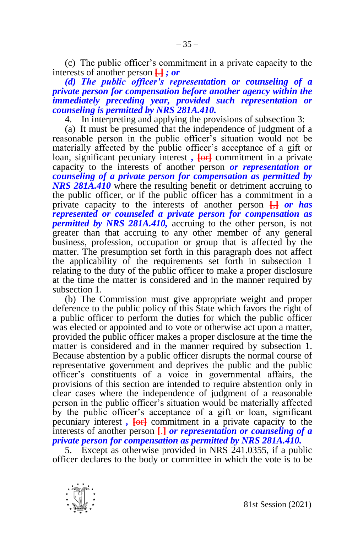(c) The public officer's commitment in a private capacity to the interests of another person **[**.**]** *; or*

# *(d) The public officer's representation or counseling of a private person for compensation before another agency within the immediately preceding year, provided such representation or counseling is permitted by NRS 281A.410.*

4. In interpreting and applying the provisions of subsection 3:

(a) It must be presumed that the independence of judgment of a reasonable person in the public officer's situation would not be materially affected by the public officer's acceptance of a gift or loan, significant pecuniary interest,  $\overline{f}$  commitment in a private capacity to the interests of another person *or representation or counseling of a private person for compensation as permitted by NRS 281A.410* where the resulting benefit or detriment accruing to the public officer, or if the public officer has a commitment in a private capacity to the interests of another person **[**,**]** *or has represented or counseled a private person for compensation as permitted by NRS 281A.410*, accruing to the other person, is not greater than that accruing to any other member of any general business, profession, occupation or group that is affected by the matter. The presumption set forth in this paragraph does not affect the applicability of the requirements set forth in subsection 1 relating to the duty of the public officer to make a proper disclosure at the time the matter is considered and in the manner required by subsection 1.

(b) The Commission must give appropriate weight and proper deference to the public policy of this State which favors the right of a public officer to perform the duties for which the public officer was elected or appointed and to vote or otherwise act upon a matter, provided the public officer makes a proper disclosure at the time the matter is considered and in the manner required by subsection 1. Because abstention by a public officer disrupts the normal course of representative government and deprives the public and the public officer's constituents of a voice in governmental affairs, the provisions of this section are intended to require abstention only in clear cases where the independence of judgment of a reasonable person in the public officer's situation would be materially affected by the public officer's acceptance of a gift or loan, significant pecuniary interest *,* **[**or**]** commitment in a private capacity to the interests of another person **[**.**]** *or representation or counseling of a private person for compensation as permitted by NRS 281A.410.*

5. Except as otherwise provided in NRS 241.0355, if a public officer declares to the body or committee in which the vote is to be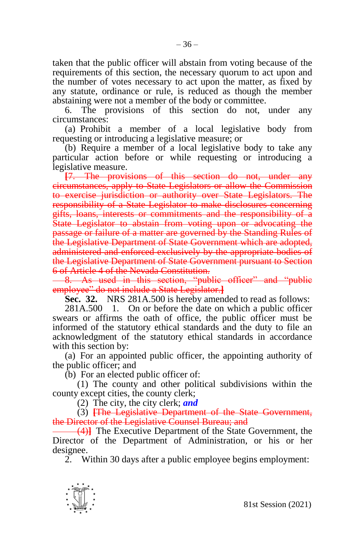taken that the public officer will abstain from voting because of the requirements of this section, the necessary quorum to act upon and the number of votes necessary to act upon the matter, as fixed by any statute, ordinance or rule, is reduced as though the member abstaining were not a member of the body or committee.

6. The provisions of this section do not, under any circumstances:

(a) Prohibit a member of a local legislative body from requesting or introducing a legislative measure; or

(b) Require a member of a local legislative body to take any particular action before or while requesting or introducing a legislative measure.

**[**7. The provisions of this section do not, under any circumstances, apply to State Legislators or allow the Commission to exercise jurisdiction or authority over State Legislators. The responsibility of a State Legislator to make disclosures concerning gifts, loans, interests or commitments and the responsibility of a State Legislator to abstain from voting upon or advocating the passage or failure of a matter are governed by the Standing Rules of the Legislative Department of State Government which are adopted, administered and enforced exclusively by the appropriate bodies of the Legislative Department of State Government pursuant to Section 6 of Article 4 of the Nevada Constitution.

8. As used in this section, "public officer" and "public employee" do not include a State Legislator.**]**

**Sec. 32.** NRS 281A.500 is hereby amended to read as follows:

281A.500 1. On or before the date on which a public officer swears or affirms the oath of office, the public officer must be informed of the statutory ethical standards and the duty to file an acknowledgment of the statutory ethical standards in accordance with this section by:

(a) For an appointed public officer, the appointing authority of the public officer; and

(b) For an elected public officer of:

(1) The county and other political subdivisions within the county except cities, the county clerk;

(2) The city, the city clerk; *and*

(3) **[**The Legislative Department of the State Government, the Director of the Legislative Counsel Bureau; and

(4)**]** The Executive Department of the State Government, the Director of the Department of Administration, or his or her designee.

2. Within 30 days after a public employee begins employment:

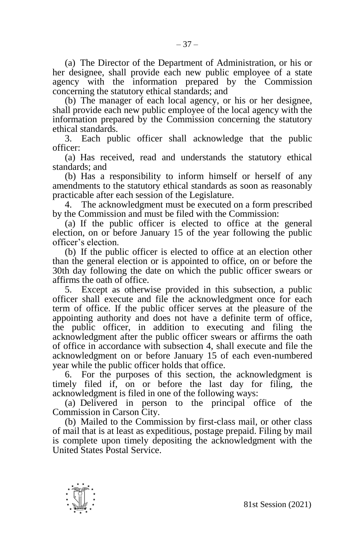(a) The Director of the Department of Administration, or his or her designee, shall provide each new public employee of a state agency with the information prepared by the Commission concerning the statutory ethical standards; and

(b) The manager of each local agency, or his or her designee, shall provide each new public employee of the local agency with the information prepared by the Commission concerning the statutory ethical standards.

3. Each public officer shall acknowledge that the public officer:

(a) Has received, read and understands the statutory ethical standards; and

(b) Has a responsibility to inform himself or herself of any amendments to the statutory ethical standards as soon as reasonably practicable after each session of the Legislature.

4. The acknowledgment must be executed on a form prescribed by the Commission and must be filed with the Commission:

(a) If the public officer is elected to office at the general election, on or before January 15 of the year following the public officer's election.

(b) If the public officer is elected to office at an election other than the general election or is appointed to office, on or before the 30th day following the date on which the public officer swears or affirms the oath of office.

5. Except as otherwise provided in this subsection, a public officer shall execute and file the acknowledgment once for each term of office. If the public officer serves at the pleasure of the appointing authority and does not have a definite term of office, the public officer, in addition to executing and filing the acknowledgment after the public officer swears or affirms the oath of office in accordance with subsection 4, shall execute and file the acknowledgment on or before January 15 of each even-numbered year while the public officer holds that office.

6. For the purposes of this section, the acknowledgment is timely filed if, on or before the last day for filing, the acknowledgment is filed in one of the following ways:

(a) Delivered in person to the principal office of the Commission in Carson City.

(b) Mailed to the Commission by first-class mail, or other class of mail that is at least as expeditious, postage prepaid. Filing by mail is complete upon timely depositing the acknowledgment with the United States Postal Service.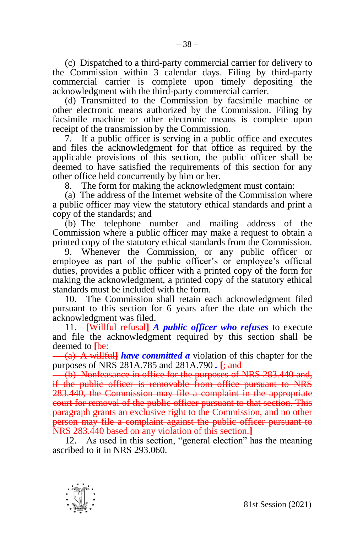(c) Dispatched to a third-party commercial carrier for delivery to the Commission within 3 calendar days. Filing by third-party commercial carrier is complete upon timely depositing the acknowledgment with the third-party commercial carrier.

(d) Transmitted to the Commission by facsimile machine or other electronic means authorized by the Commission. Filing by facsimile machine or other electronic means is complete upon receipt of the transmission by the Commission.

7. If a public officer is serving in a public office and executes and files the acknowledgment for that office as required by the applicable provisions of this section, the public officer shall be deemed to have satisfied the requirements of this section for any other office held concurrently by him or her.

8. The form for making the acknowledgment must contain:

(a) The address of the Internet website of the Commission where a public officer may view the statutory ethical standards and print a copy of the standards; and

(b) The telephone number and mailing address of the Commission where a public officer may make a request to obtain a printed copy of the statutory ethical standards from the Commission.

9. Whenever the Commission, or any public officer or employee as part of the public officer's or employee's official duties, provides a public officer with a printed copy of the form for making the acknowledgment, a printed copy of the statutory ethical standards must be included with the form.

10. The Commission shall retain each acknowledgment filed pursuant to this section for 6 years after the date on which the acknowledgment was filed.

11. **[**Willful refusal**]** *A public officer who refuses* to execute and file the acknowledgment required by this section shall be deemed to **Hee**:

(a) A willful**]** *have committed a* violation of this chapter for the purposes of NRS 281A.785 and 281A.790 *.* **[**; and

(b) Nonfeasance in office for the purposes of NRS 283.440 and, if the public officer is removable from office pursuant to NRS 283.440, the Commission may file a complaint in the appropriate court for removal of the public officer pursuant to that section. This paragraph grants an exclusive right to the Commission, and no other person may file a complaint against the public officer pursuant to NRS 283.440 based on any violation of this section.**]**

12. As used in this section, "general election" has the meaning ascribed to it in NRS 293.060.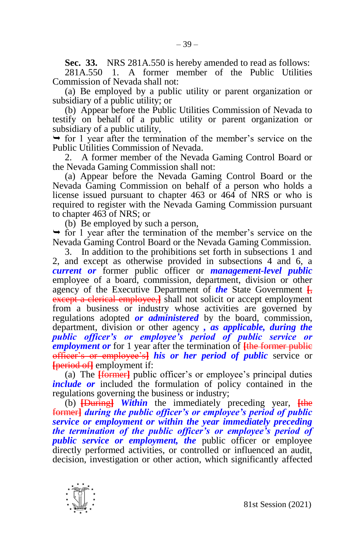**Sec. 33.** NRS 281A.550 is hereby amended to read as follows:

281A.550 1. A former member of the Public Utilities Commission of Nevada shall not:

(a) Be employed by a public utility or parent organization or subsidiary of a public utility; or

(b) Appear before the Public Utilities Commission of Nevada to testify on behalf of a public utility or parent organization or subsidiary of a public utility,

 $\rightarrow$  for 1 year after the termination of the member's service on the Public Utilities Commission of Nevada.

2. A former member of the Nevada Gaming Control Board or the Nevada Gaming Commission shall not:

(a) Appear before the Nevada Gaming Control Board or the Nevada Gaming Commission on behalf of a person who holds a license issued pursuant to chapter 463 or 464 of NRS or who is required to register with the Nevada Gaming Commission pursuant to chapter 463 of NRS; or

(b) Be employed by such a person,

 $\rightarrow$  for 1 year after the termination of the member's service on the Nevada Gaming Control Board or the Nevada Gaming Commission.

3. In addition to the prohibitions set forth in subsections 1 and 2, and except as otherwise provided in subsections 4 and 6, a *current or* former public officer or *management-level public*  employee of a board, commission, department, division or other agency of the Executive Department of *the* State Government **[**, except a clerical employee,**]** shall not solicit or accept employment from a business or industry whose activities are governed by regulations adopted *or administered* by the board, commission, department, division or other agency *, as applicable, during the public officer's or employee's period of public service or employment or* for 1 year after the termination of **[**the former public officer's or employee's**]** *his or her period of public* service or **[**period of**]** employment if:

(a) The **[**former**]** public officer's or employee's principal duties *include or* included the formulation of policy contained in the regulations governing the business or industry;

(b) **[**During**]** *Within* the immediately preceding year, **[**the former**]** *during the public officer's or employee's period of public service or employment or within the year immediately preceding the termination of the public officer's or employee's period of public service or employment, the* public officer or employee directly performed activities, or controlled or influenced an audit, decision, investigation or other action, which significantly affected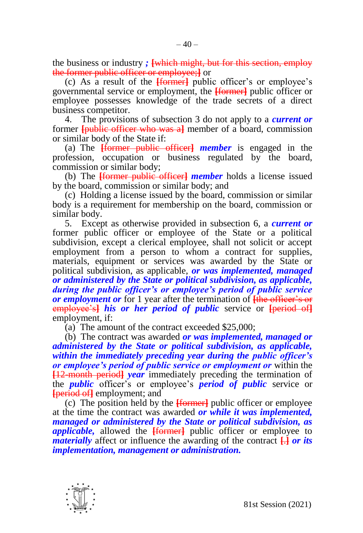the business or industry *;* **[**which might, but for this section, employ the former public officer or employee;**]** or

(c) As a result of the **[**former**]** public officer's or employee's governmental service or employment, the **[**former**]** public officer or employee possesses knowledge of the trade secrets of a direct business competitor.

4. The provisions of subsection 3 do not apply to a *current or*  former **[**public officer who was a**]** member of a board, commission or similar body of the State if:

(a) The **[**former public officer**]** *member* is engaged in the profession, occupation or business regulated by the board, commission or similar body;

(b) The **[**former public officer**]** *member* holds a license issued by the board, commission or similar body; and

(c) Holding a license issued by the board, commission or similar body is a requirement for membership on the board, commission or similar body.

5. Except as otherwise provided in subsection 6, a *current or*  former public officer or employee of the State or a political subdivision, except a clerical employee, shall not solicit or accept employment from a person to whom a contract for supplies, materials, equipment or services was awarded by the State or political subdivision, as applicable, *or was implemented, managed or administered by the State or political subdivision, as applicable, during the public officer's or employee's period of public service or employment or* for 1 year after the termination of **[**the officer's or employee's**]** *his or her period of public* service or **[**period of**]** employment, if:

(a) The amount of the contract exceeded \$25,000;

(b) The contract was awarded *or was implemented, managed or administered by the State or political subdivision, as applicable, within the immediately preceding year during the public officer's or employee's period of public service or employment or* within the **[**12-month period**]** *year* immediately preceding the termination of the *public* officer's or employee's *period of public* service or **[**period of**]** employment; and

(c) The position held by the **[**former**]** public officer or employee at the time the contract was awarded *or while it was implemented, managed or administered by the State or political subdivision, as applicable,* allowed the **[**former**]** public officer or employee to *materially* affect or influence the awarding of the contract **[**.**]** *or its implementation, management or administration.*

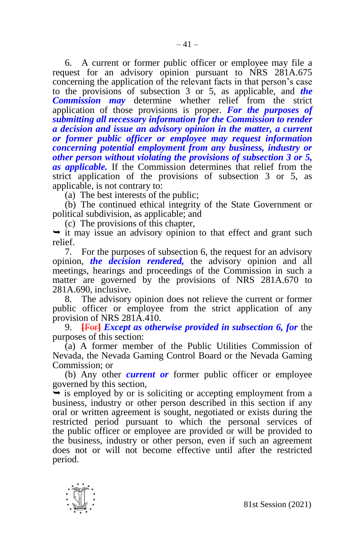6. A current or former public officer or employee may file a request for an advisory opinion pursuant to NRS 281A.675 concerning the application of the relevant facts in that person's case to the provisions of subsection 3 or 5, as applicable, and *the Commission may* determine whether relief from the strict application of those provisions is proper. *For the purposes of submitting all necessary information for the Commission to render a decision and issue an advisory opinion in the matter, a current or former public officer or employee may request information concerning potential employment from any business, industry or other person without violating the provisions of subsection 3 or 5, as applicable.* If the Commission determines that relief from the strict application of the provisions of subsection 3 or 5, as applicable, is not contrary to:

(a) The best interests of the public;

(b) The continued ethical integrity of the State Government or political subdivision, as applicable; and

(c) The provisions of this chapter,

 $\rightarrow$  it may issue an advisory opinion to that effect and grant such relief.

7. For the purposes of subsection 6, the request for an advisory opinion, *the decision rendered,* the advisory opinion and all meetings, hearings and proceedings of the Commission in such a matter are governed by the provisions of NRS 281A.670 to 281A.690, inclusive.

8. The advisory opinion does not relieve the current or former public officer or employee from the strict application of any provision of NRS 281A.410.

9. **[**For**]** *Except as otherwise provided in subsection 6, for* the purposes of this section:

(a) A former member of the Public Utilities Commission of Nevada, the Nevada Gaming Control Board or the Nevada Gaming Commission; or

(b) Any other *current or* former public officer or employee governed by this section,

 $\rightarrow$  is employed by or is soliciting or accepting employment from a business, industry or other person described in this section if any oral or written agreement is sought, negotiated or exists during the restricted period pursuant to which the personal services of the public officer or employee are provided or will be provided to the business, industry or other person, even if such an agreement does not or will not become effective until after the restricted period.

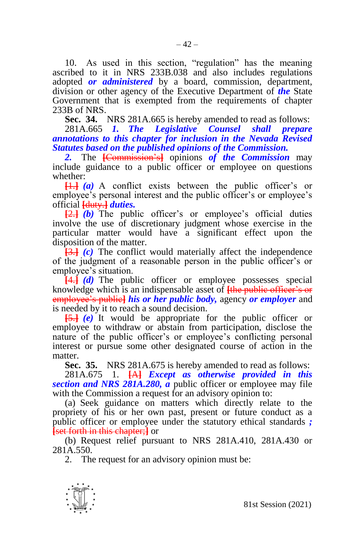10. As used in this section, "regulation" has the meaning ascribed to it in NRS 233B.038 and also includes regulations adopted *or administered* by a board, commission, department, division or other agency of the Executive Department of *the* State Government that is exempted from the requirements of chapter 233B of NRS.

 $-42-$ 

**Sec. 34.** NRS 281A.665 is hereby amended to read as follows:

281A.665 *1. The Legislative Counsel shall prepare annotations to this chapter for inclusion in the Nevada Revised Statutes based on the published opinions of the Commission.*

*2.* The **[**Commission's**]** opinions *of the Commission* may include guidance to a public officer or employee on questions whether:

**[**1.**]** *(a)* A conflict exists between the public officer's or employee's personal interest and the public officer's or employee's official **[**duty.**]** *duties.*

**[**2.**]** *(b)* The public officer's or employee's official duties involve the use of discretionary judgment whose exercise in the particular matter would have a significant effect upon the disposition of the matter.

**[**3.**]** *(c)* The conflict would materially affect the independence of the judgment of a reasonable person in the public officer's or employee's situation.

**[**4.**]** *(d)* The public officer or employee possesses special knowledge which is an indispensable asset of **[**the public officer's or employee's public**]** *his or her public body,* agency *or employer* and is needed by it to reach a sound decision.

**[**5.**]** *(e)* It would be appropriate for the public officer or employee to withdraw or abstain from participation, disclose the nature of the public officer's or employee's conflicting personal interest or pursue some other designated course of action in the matter.

**Sec. 35.** NRS 281A.675 is hereby amended to read as follows: 281A.675 1. **[**A**]** *Except as otherwise provided in this* 

*section and NRS 281A.280, a* public officer or employee may file with the Commission a request for an advisory opinion to:

(a) Seek guidance on matters which directly relate to the propriety of his or her own past, present or future conduct as a public officer or employee under the statutory ethical standards *;*  **[**set forth in this chapter;**]** or

(b) Request relief pursuant to NRS 281A.410, 281A.430 or 281A.550.

2. The request for an advisory opinion must be:

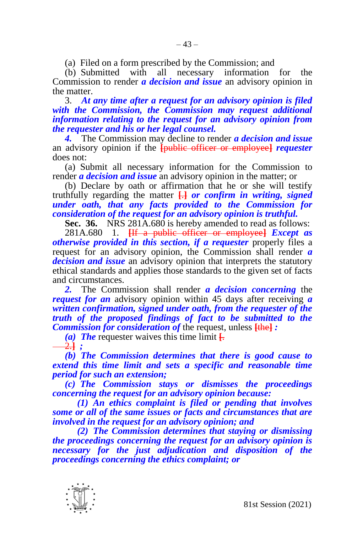(a) Filed on a form prescribed by the Commission; and

(b) Submitted with all necessary information for the Commission to render *a decision and issue* an advisory opinion in the matter.

3. *At any time after a request for an advisory opinion is filed with the Commission, the Commission may request additional information relating to the request for an advisory opinion from the requester and his or her legal counsel.*

*4.* The Commission may decline to render *a decision and issue* an advisory opinion if the **[**public officer or employee**]** *requester*  does not:

(a) Submit all necessary information for the Commission to render *a decision and issue* an advisory opinion in the matter; or

(b) Declare by oath or affirmation that he or she will testify truthfully regarding the matter **[**.**]** *or confirm in writing, signed under oath, that any facts provided to the Commission for consideration of the request for an advisory opinion is truthful.*

**Sec. 36.** NRS 281A.680 is hereby amended to read as follows:

281A.680 1. **[**If a public officer or employee**]** *Except as otherwise provided in this section, if a requester* properly files a request for an advisory opinion, the Commission shall render *a decision and issue* an advisory opinion that interprets the statutory ethical standards and applies those standards to the given set of facts and circumstances.

*2.* The Commission shall render *a decision concerning* the *request for an* advisory opinion within 45 days after receiving *a written confirmation, signed under oath, from the requester of the truth of the proposed findings of fact to be submitted to the Commission for consideration of* the request, unless **[**the**]** *:*

*(a) The* requester waives this time limit **[**. 2.**]** *;*

*(b) The Commission determines that there is good cause to extend this time limit and sets a specific and reasonable time period for such an extension;*

*(c) The Commission stays or dismisses the proceedings concerning the request for an advisory opinion because:*

*(1) An ethics complaint is filed or pending that involves some or all of the same issues or facts and circumstances that are involved in the request for an advisory opinion; and*

*(2) The Commission determines that staying or dismissing the proceedings concerning the request for an advisory opinion is necessary for the just adjudication and disposition of the proceedings concerning the ethics complaint; or* 

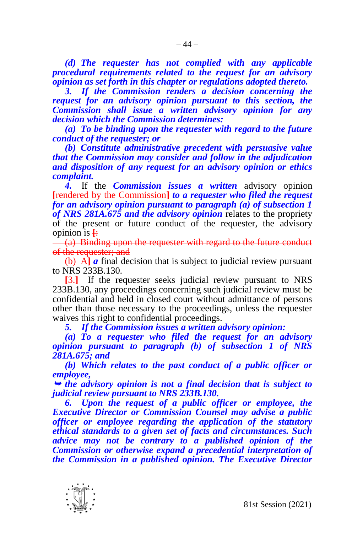*(d) The requester has not complied with any applicable procedural requirements related to the request for an advisory opinion as set forth in this chapter or regulations adopted thereto.*

*3. If the Commission renders a decision concerning the request for an advisory opinion pursuant to this section, the Commission shall issue a written advisory opinion for any decision which the Commission determines:*

*(a) To be binding upon the requester with regard to the future conduct of the requester; or*

*(b) Constitute administrative precedent with persuasive value that the Commission may consider and follow in the adjudication and disposition of any request for an advisory opinion or ethics complaint.*

*4.* If the *Commission issues a written* advisory opinion **[**rendered by the Commission**]** *to a requester who filed the request for an advisory opinion pursuant to paragraph (a) of subsection 1 of NRS 281A.675 and the advisory opinion* relates to the propriety of the present or future conduct of the requester, the advisory opinion is  $\frac{1}{\cdot}$ 

 $\frac{1}{1}$   $\frac{1}{2}$  Binding upon the requester with regard to the future conduct of the requester; and

(b) A**]** *a* final decision that is subject to judicial review pursuant to NRS 233B.130.

**[**3.**]** If the requester seeks judicial review pursuant to NRS 233B.130, any proceedings concerning such judicial review must be confidential and held in closed court without admittance of persons other than those necessary to the proceedings, unless the requester waives this right to confidential proceedings.

*5. If the Commission issues a written advisory opinion:*

*(a) To a requester who filed the request for an advisory opinion pursuant to paragraph (b) of subsection 1 of NRS 281A.675; and*

*(b) Which relates to the past conduct of a public officer or employee,* 

 *the advisory opinion is not a final decision that is subject to judicial review pursuant to NRS 233B.130.*

*6. Upon the request of a public officer or employee, the Executive Director or Commission Counsel may advise a public officer or employee regarding the application of the statutory ethical standards to a given set of facts and circumstances. Such advice may not be contrary to a published opinion of the Commission or otherwise expand a precedential interpretation of the Commission in a published opinion. The Executive Director* 

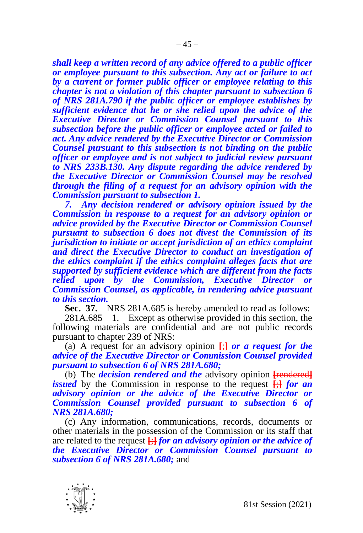*shall keep a written record of any advice offered to a public officer or employee pursuant to this subsection. Any act or failure to act by a current or former public officer or employee relating to this chapter is not a violation of this chapter pursuant to subsection 6 of NRS 281A.790 if the public officer or employee establishes by sufficient evidence that he or she relied upon the advice of the Executive Director or Commission Counsel pursuant to this subsection before the public officer or employee acted or failed to act. Any advice rendered by the Executive Director or Commission Counsel pursuant to this subsection is not binding on the public officer or employee and is not subject to judicial review pursuant to NRS 233B.130. Any dispute regarding the advice rendered by the Executive Director or Commission Counsel may be resolved through the filing of a request for an advisory opinion with the Commission pursuant to subsection 1.* 

*7. Any decision rendered or advisory opinion issued by the Commission in response to a request for an advisory opinion or advice provided by the Executive Director or Commission Counsel pursuant to subsection 6 does not divest the Commission of its jurisdiction to initiate or accept jurisdiction of an ethics complaint and direct the Executive Director to conduct an investigation of the ethics complaint if the ethics complaint alleges facts that are supported by sufficient evidence which are different from the facts relied upon by the Commission, Executive Director or Commission Counsel, as applicable, in rendering advice pursuant to this section.*

**Sec. 37.** NRS 281A.685 is hereby amended to read as follows:

281A.685 1. Except as otherwise provided in this section, the following materials are confidential and are not public records pursuant to chapter 239 of NRS:

(a) A request for an advisory opinion **[**;**]** *or a request for the advice of the Executive Director or Commission Counsel provided pursuant to subsection 6 of NRS 281A.680;*

(b) The *decision rendered and the* advisory opinion **[**rendered**]** *issued* by the Commission in response to the request **[**;**]** *for an advisory opinion or the advice of the Executive Director or Commission Counsel provided pursuant to subsection 6 of NRS 281A.680;*

(c) Any information, communications, records, documents or other materials in the possession of the Commission or its staff that are related to the request **[**;**]** *for an advisory opinion or the advice of the Executive Director or Commission Counsel pursuant to subsection 6 of NRS 281A.680;* and

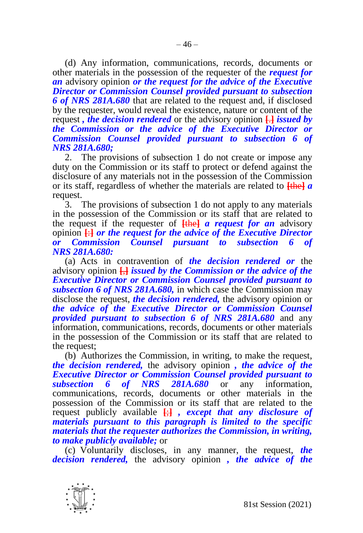(d) Any information, communications, records, documents or other materials in the possession of the requester of the *request for an* advisory opinion *or the request for the advice of the Executive Director or Commission Counsel provided pursuant to subsection 6 of NRS 281A.680* that are related to the request and, if disclosed by the requester, would reveal the existence, nature or content of the request *, the decision rendered* or the advisory opinion **[**.**]** *issued by the Commission or the advice of the Executive Director or Commission Counsel provided pursuant to subsection 6 of NRS 281A.680;*

2. The provisions of subsection 1 do not create or impose any duty on the Commission or its staff to protect or defend against the disclosure of any materials not in the possession of the Commission or its staff, regardless of whether the materials are related to **[**the**]** *a*  request.

3. The provisions of subsection 1 do not apply to any materials in the possession of the Commission or its staff that are related to the request if the requester of **[**the**]** *a request for an* advisory opinion **[**:**]** *or the request for the advice of the Executive Director Counsel pursuant to subsection 6 of NRS 281A.680:*

(a) Acts in contravention of *the decision rendered or* the advisory opinion **[**,**]** *issued by the Commission or the advice of the Executive Director or Commission Counsel provided pursuant to subsection 6 of NRS 281A.680,* in which case the Commission may disclose the request, *the decision rendered,* the advisory opinion or *the advice of the Executive Director or Commission Counsel provided pursuant to subsection 6 of NRS 281A.680* and any information, communications, records, documents or other materials in the possession of the Commission or its staff that are related to the request;

(b) Authorizes the Commission, in writing, to make the request, *the decision rendered,* the advisory opinion *, the advice of the Executive Director or Commission Counsel provided pursuant to subsection 6 of NRS 281A.680* or any information. *subsection 6 of NRS 281A.680* or any information, communications, records, documents or other materials in the possession of the Commission or its staff that are related to the request publicly available **[**;**]** *, except that any disclosure of materials pursuant to this paragraph is limited to the specific materials that the requester authorizes the Commission, in writing, to make publicly available;* or

(c) Voluntarily discloses, in any manner, the request, *the decision rendered,* the advisory opinion *, the advice of the* 

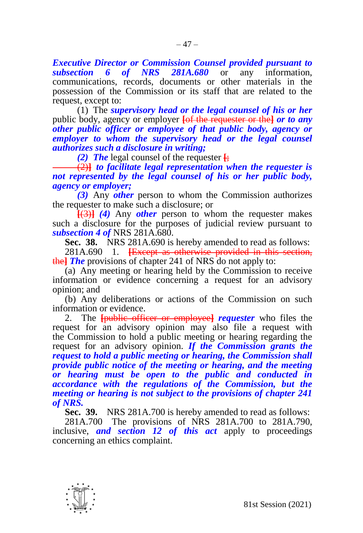*Executive Director or Commission Counsel provided pursuant to subsection 6 of NRS 281A.680* or any information, communications, records, documents or other materials in the possession of the Commission or its staff that are related to the request, except to:

(1) The *supervisory head or the legal counsel of his or her*  public body, agency or employer **[**of the requester or the**]** *or to any other public officer or employee of that public body, agency or employer to whom the supervisory head or the legal counsel authorizes such a disclosure in writing;*

*(2) The* legal counsel of the requester  $\frac{1}{2}$ 

(2)**]** *to facilitate legal representation when the requester is not represented by the legal counsel of his or her public body, agency or employer;*

*(3)* Any *other* person to whom the Commission authorizes the requester to make such a disclosure; or

**[**(3)**]** *(4)* Any *other* person to whom the requester makes such a disclosure for the purposes of judicial review pursuant to *subsection 4 of* NRS 281A.680.

**Sec. 38.** NRS 281A.690 is hereby amended to read as follows:

281A.690 1. **[**Except as otherwise provided in this section, the**]** *The* provisions of chapter 241 of NRS do not apply to:

(a) Any meeting or hearing held by the Commission to receive information or evidence concerning a request for an advisory opinion; and

(b) Any deliberations or actions of the Commission on such information or evidence.

2. The **[**public officer or employee**]** *requester* who files the request for an advisory opinion may also file a request with the Commission to hold a public meeting or hearing regarding the request for an advisory opinion. *If the Commission grants the request to hold a public meeting or hearing, the Commission shall provide public notice of the meeting or hearing, and the meeting or hearing must be open to the public and conducted in accordance with the regulations of the Commission, but the meeting or hearing is not subject to the provisions of chapter 241 of NRS.*

**Sec. 39.** NRS 281A.700 is hereby amended to read as follows:

281A.700 The provisions of NRS 281A.700 to 281A.790, inclusive, *and section 12 of this act* apply to proceedings concerning an ethics complaint.

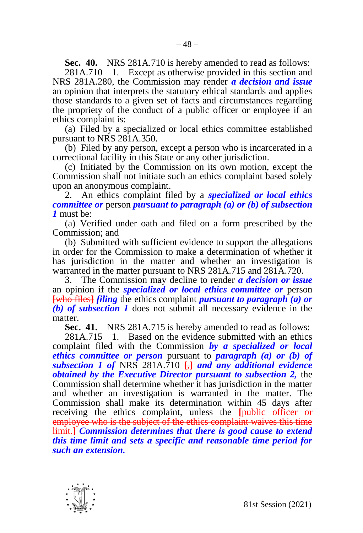**Sec. 40.** NRS 281A.710 is hereby amended to read as follows:

281A.710 1. Except as otherwise provided in this section and NRS 281A.280, the Commission may render *a decision and issue*  an opinion that interprets the statutory ethical standards and applies those standards to a given set of facts and circumstances regarding the propriety of the conduct of a public officer or employee if an ethics complaint is:

(a) Filed by a specialized or local ethics committee established pursuant to NRS 281A.350.

(b) Filed by any person, except a person who is incarcerated in a correctional facility in this State or any other jurisdiction.

(c) Initiated by the Commission on its own motion, except the Commission shall not initiate such an ethics complaint based solely upon an anonymous complaint.

2. An ethics complaint filed by a *specialized or local ethics committee or* person *pursuant to paragraph (a) or (b) of subsection 1* must be:

(a) Verified under oath and filed on a form prescribed by the Commission; and

(b) Submitted with sufficient evidence to support the allegations in order for the Commission to make a determination of whether it has jurisdiction in the matter and whether an investigation is warranted in the matter pursuant to NRS 281A.715 and 281A.720.

3. The Commission may decline to render *a decision or issue*  an opinion if the *specialized or local ethics committee or* person **[**who files**]** *filing* the ethics complaint *pursuant to paragraph (a) or (b) of subsection 1* does not submit all necessary evidence in the matter.

**Sec. 41.** NRS 281A.715 is hereby amended to read as follows:

281A.715 1. Based on the evidence submitted with an ethics complaint filed with the Commission *by a specialized or local ethics committee or person* pursuant to *paragraph (a) or (b) of subsection 1 of* NRS 281A.710 **[**,**]** *and any additional evidence obtained by the Executive Director pursuant to subsection 2,* the Commission shall determine whether it has jurisdiction in the matter and whether an investigation is warranted in the matter. The Commission shall make its determination within 45 days after receiving the ethics complaint, unless the **[**public officer or employee who is the subject of the ethics complaint waives this time limit.**]** *Commission determines that there is good cause to extend this time limit and sets a specific and reasonable time period for such an extension.*

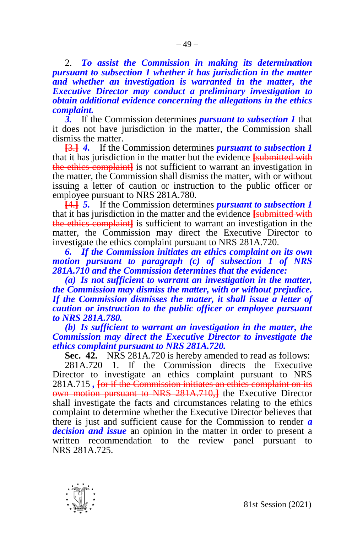2. *To assist the Commission in making its determination pursuant to subsection 1 whether it has jurisdiction in the matter and whether an investigation is warranted in the matter, the Executive Director may conduct a preliminary investigation to obtain additional evidence concerning the allegations in the ethics complaint.*

*3.* If the Commission determines *pursuant to subsection 1* that it does not have jurisdiction in the matter, the Commission shall dismiss the matter.

**[**3.**]** *4.* If the Commission determines *pursuant to subsection 1*  that it has jurisdiction in the matter but the evidence **[**submitted with the ethics complaint**]** is not sufficient to warrant an investigation in the matter, the Commission shall dismiss the matter, with or without issuing a letter of caution or instruction to the public officer or employee pursuant to NRS 281A.780.

**[**4.**]** *5.* If the Commission determines *pursuant to subsection 1*  that it has jurisdiction in the matter and the evidence **[**submitted with the ethics complaint**]** is sufficient to warrant an investigation in the matter, the Commission may direct the Executive Director to investigate the ethics complaint pursuant to NRS 281A.720.

*6. If the Commission initiates an ethics complaint on its own motion pursuant to paragraph (c) of subsection 1 of NRS 281A.710 and the Commission determines that the evidence:*

*(a) Is not sufficient to warrant an investigation in the matter, the Commission may dismiss the matter, with or without prejudice. If the Commission dismisses the matter, it shall issue a letter of caution or instruction to the public officer or employee pursuant to NRS 281A.780.*

*(b) Is sufficient to warrant an investigation in the matter, the Commission may direct the Executive Director to investigate the ethics complaint pursuant to NRS 281A.720.*

**Sec. 42.** NRS 281A.720 is hereby amended to read as follows:

281A.720 1. If the Commission directs the Executive Director to investigate an ethics complaint pursuant to NRS 281A.715 *,* **[**or if the Commission initiates an ethics complaint on its own motion pursuant to NRS 281A.710,**]** the Executive Director shall investigate the facts and circumstances relating to the ethics complaint to determine whether the Executive Director believes that there is just and sufficient cause for the Commission to render *a decision and issue* an opinion in the matter in order to present a written recommendation to the review panel pursuant to NRS 281A.725.

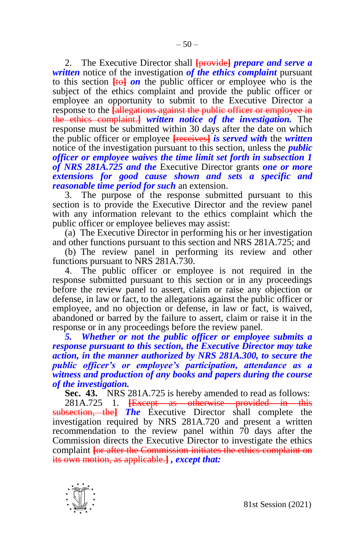2. The Executive Director shall **[**provide**]** *prepare and serve a written* notice of the investigation *of the ethics complaint* pursuant to this section **[**to**]** *on* the public officer or employee who is the subject of the ethics complaint and provide the public officer or employee an opportunity to submit to the Executive Director a response to the **[**allegations against the public officer or employee in the ethics complaint.**]** *written notice of the investigation.* The response must be submitted within 30 days after the date on which the public officer or employee **[**receives**]** *is served with* the *written*  notice of the investigation pursuant to this section, unless the *public officer or employee waives the time limit set forth in subsection 1 of NRS 281A.725 and the* Executive Director grants *one or more extensions for good cause shown and sets a specific and reasonable time period for such* an extension.

3. The purpose of the response submitted pursuant to this section is to provide the Executive Director and the review panel with any information relevant to the ethics complaint which the public officer or employee believes may assist:

(a) The Executive Director in performing his or her investigation and other functions pursuant to this section and NRS 281A.725; and

(b) The review panel in performing its review and other functions pursuant to NRS 281A.730.

4. The public officer or employee is not required in the response submitted pursuant to this section or in any proceedings before the review panel to assert, claim or raise any objection or defense, in law or fact, to the allegations against the public officer or employee, and no objection or defense, in law or fact, is waived, abandoned or barred by the failure to assert, claim or raise it in the response or in any proceedings before the review panel.

*5. Whether or not the public officer or employee submits a response pursuant to this section, the Executive Director may take action, in the manner authorized by NRS 281A.300, to secure the public officer's or employee's participation, attendance as a witness and production of any books and papers during the course of the investigation.*

**Sec. 43.** NRS 281A.725 is hereby amended to read as follows:

281A.725 1. **[**Except as otherwise provided in this subsection, the**]** *The* Executive Director shall complete the investigation required by NRS 281A.720 and present a written recommendation to the review panel within 70 days after the Commission directs the Executive Director to investigate the ethics complaint **[**or after the Commission initiates the ethics complaint on its own motion, as applicable.**]** *, except that:*

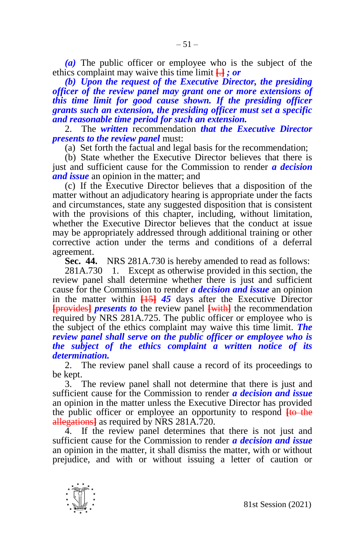*(a)* The public officer or employee who is the subject of the ethics complaint may waive this time limit **[**.**]** *; or*

*(b) Upon the request of the Executive Director, the presiding officer of the review panel may grant one or more extensions of this time limit for good cause shown. If the presiding officer grants such an extension, the presiding officer must set a specific and reasonable time period for such an extension.*

2. The *written* recommendation *that the Executive Director presents to the review panel* must:

(a) Set forth the factual and legal basis for the recommendation;

(b) State whether the Executive Director believes that there is just and sufficient cause for the Commission to render *a decision and issue* an opinion in the matter; and

(c) If the Executive Director believes that a disposition of the matter without an adjudicatory hearing is appropriate under the facts and circumstances, state any suggested disposition that is consistent with the provisions of this chapter, including, without limitation, whether the Executive Director believes that the conduct at issue may be appropriately addressed through additional training or other corrective action under the terms and conditions of a deferral agreement.

**Sec. 44.** NRS 281A.730 is hereby amended to read as follows:

281A.730 1. Except as otherwise provided in this section, the review panel shall determine whether there is just and sufficient cause for the Commission to render *a decision and issue* an opinion in the matter within **[**15**]** *45* days after the Executive Director **[**provides**]** *presents to* the review panel **[**with**]** the recommendation required by NRS 281A.725. The public officer or employee who is the subject of the ethics complaint may waive this time limit. *The review panel shall serve on the public officer or employee who is the subject of the ethics complaint a written notice of its determination.*

2. The review panel shall cause a record of its proceedings to be kept.

3. The review panel shall not determine that there is just and sufficient cause for the Commission to render *a decision and issue*  an opinion in the matter unless the Executive Director has provided the public officer or employee an opportunity to respond **[**to the allegations**]** as required by NRS 281A.720.

4. If the review panel determines that there is not just and sufficient cause for the Commission to render *a decision and issue*  an opinion in the matter, it shall dismiss the matter, with or without prejudice, and with or without issuing a letter of caution or

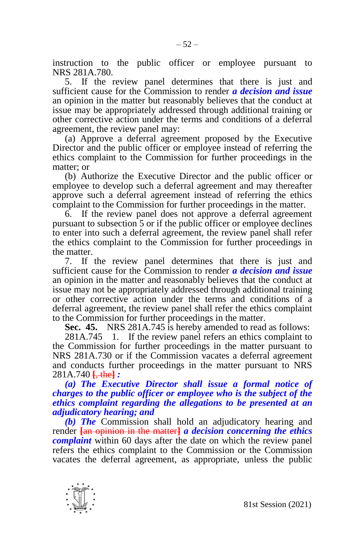instruction to the public officer or employee pursuant to NRS 281A.780.

5. If the review panel determines that there is just and sufficient cause for the Commission to render *a decision and issue*  an opinion in the matter but reasonably believes that the conduct at issue may be appropriately addressed through additional training or other corrective action under the terms and conditions of a deferral agreement, the review panel may:

(a) Approve a deferral agreement proposed by the Executive Director and the public officer or employee instead of referring the ethics complaint to the Commission for further proceedings in the matter; or

(b) Authorize the Executive Director and the public officer or employee to develop such a deferral agreement and may thereafter approve such a deferral agreement instead of referring the ethics complaint to the Commission for further proceedings in the matter.

6. If the review panel does not approve a deferral agreement pursuant to subsection 5 or if the public officer or employee declines to enter into such a deferral agreement, the review panel shall refer the ethics complaint to the Commission for further proceedings in the matter.

7. If the review panel determines that there is just and sufficient cause for the Commission to render *a decision and issue*  an opinion in the matter and reasonably believes that the conduct at issue may not be appropriately addressed through additional training or other corrective action under the terms and conditions of a deferral agreement, the review panel shall refer the ethics complaint to the Commission for further proceedings in the matter.

**Sec. 45.** NRS 281A.745 is hereby amended to read as follows:

281A.745 1. If the review panel refers an ethics complaint to the Commission for further proceedings in the matter pursuant to NRS 281A.730 or if the Commission vacates a deferral agreement and conducts further proceedings in the matter pursuant to NRS 281A.740 **[**, the**]** *:*

## *(a) The Executive Director shall issue a formal notice of charges to the public officer or employee who is the subject of the ethics complaint regarding the allegations to be presented at an adjudicatory hearing; and*

*(b) The* Commission shall hold an adjudicatory hearing and render **[**an opinion in the matter**]** *a decision concerning the ethics complaint* within 60 days after the date on which the review panel refers the ethics complaint to the Commission or the Commission vacates the deferral agreement, as appropriate, unless the public

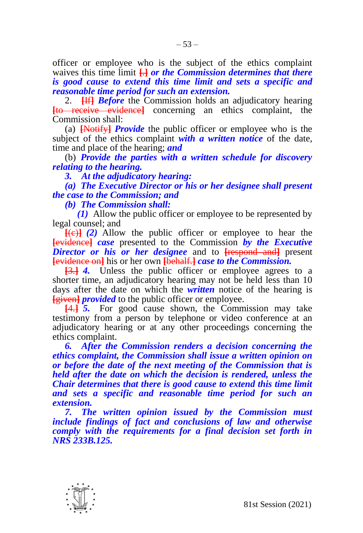officer or employee who is the subject of the ethics complaint waives this time limit **[**.**]** *or the Commission determines that there is good cause to extend this time limit and sets a specific and reasonable time period for such an extension.*

2. **[**If**]** *Before* the Commission holds an adjudicatory hearing **[**to receive evidence**]** concerning an ethics complaint, the Commission shall:

(a) **[**Notify**]** *Provide* the public officer or employee who is the subject of the ethics complaint *with a written notice* of the date, time and place of the hearing; *and*

(b) *Provide the parties with a written schedule for discovery relating to the hearing.*

*3. At the adjudicatory hearing:*

*(a) The Executive Director or his or her designee shall present the case to the Commission; and*

*(b) The Commission shall:*

*(1)* Allow the public officer or employee to be represented by legal counsel; and

**[**(c)**]** *(2)* Allow the public officer or employee to hear the **[**evidence**]** *case* presented to the Commission *by the Executive*  **Director or his or her designee** and to **[**respond and<sup>]</sup> present **[**evidence on**]** his or her own **[**behalf.**]** *case to the Commission.*

**[**3.**]** *4.* Unless the public officer or employee agrees to a shorter time, an adjudicatory hearing may not be held less than 10 days after the date on which the *written* notice of the hearing is **[**given**]** *provided* to the public officer or employee.

**[**4.**]** *5.* For good cause shown, the Commission may take testimony from a person by telephone or video conference at an adjudicatory hearing or at any other proceedings concerning the ethics complaint.

*6. After the Commission renders a decision concerning the ethics complaint, the Commission shall issue a written opinion on or before the date of the next meeting of the Commission that is held after the date on which the decision is rendered, unless the Chair determines that there is good cause to extend this time limit and sets a specific and reasonable time period for such an extension.*

*7. The written opinion issued by the Commission must include findings of fact and conclusions of law and otherwise comply with the requirements for a final decision set forth in NRS 233B.125.*

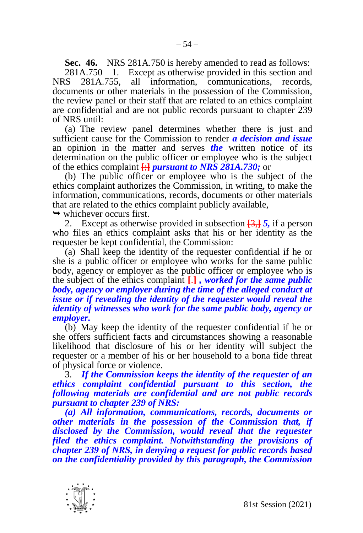**Sec. 46.** NRS 281A.750 is hereby amended to read as follows: 281A.750 1. Except as otherwise provided in this section and  $281A.755$ , all information, communications, records, NRS 281A.755, all information, communications, records, documents or other materials in the possession of the Commission, the review panel or their staff that are related to an ethics complaint are confidential and are not public records pursuant to chapter 239 of NRS until:

(a) The review panel determines whether there is just and sufficient cause for the Commission to render *a decision and issue*  an opinion in the matter and serves *the* written notice of its determination on the public officer or employee who is the subject of the ethics complaint **[**;**]** *pursuant to NRS 281A.730;* or

(b) The public officer or employee who is the subject of the ethics complaint authorizes the Commission, in writing, to make the information, communications, records, documents or other materials that are related to the ethics complaint publicly available,

 $\rightarrow$  whichever occurs first.

2. Except as otherwise provided in subsection **[**3,**]** *5,* if a person who files an ethics complaint asks that his or her identity as the requester be kept confidential, the Commission:

(a) Shall keep the identity of the requester confidential if he or she is a public officer or employee who works for the same public body, agency or employer as the public officer or employee who is the subject of the ethics complaint **[**.**]** *, worked for the same public body, agency or employer during the time of the alleged conduct at issue or if revealing the identity of the requester would reveal the identity of witnesses who work for the same public body, agency or employer.*

(b) May keep the identity of the requester confidential if he or she offers sufficient facts and circumstances showing a reasonable likelihood that disclosure of his or her identity will subject the requester or a member of his or her household to a bona fide threat of physical force or violence.

3. *If the Commission keeps the identity of the requester of an ethics complaint confidential pursuant to this section, the following materials are confidential and are not public records pursuant to chapter 239 of NRS:*

*(a) All information, communications, records, documents or other materials in the possession of the Commission that, if disclosed by the Commission, would reveal that the requester filed the ethics complaint. Notwithstanding the provisions of chapter 239 of NRS, in denying a request for public records based on the confidentiality provided by this paragraph, the Commission* 

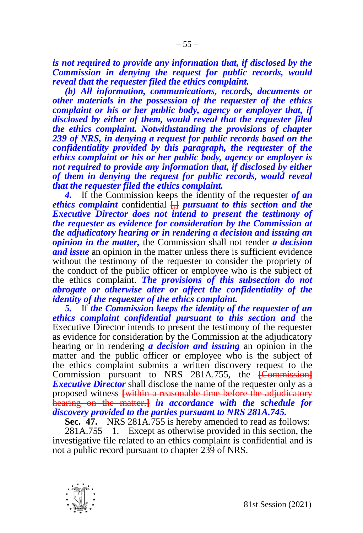*is not required to provide any information that, if disclosed by the Commission in denying the request for public records, would reveal that the requester filed the ethics complaint.*

*(b) All information, communications, records, documents or other materials in the possession of the requester of the ethics complaint or his or her public body, agency or employer that, if disclosed by either of them, would reveal that the requester filed the ethics complaint. Notwithstanding the provisions of chapter 239 of NRS, in denying a request for public records based on the confidentiality provided by this paragraph, the requester of the ethics complaint or his or her public body, agency or employer is not required to provide any information that, if disclosed by either of them in denying the request for public records, would reveal that the requester filed the ethics complaint.*

*4.* If the Commission keeps the identity of the requester *of an ethics complaint* confidential **[**,**]** *pursuant to this section and the Executive Director does not intend to present the testimony of the requester as evidence for consideration by the Commission at the adjudicatory hearing or in rendering a decision and issuing an opinion in the matter,* the Commission shall not render *a decision and issue* an opinion in the matter unless there is sufficient evidence without the testimony of the requester to consider the propriety of the conduct of the public officer or employee who is the subject of the ethics complaint. *The provisions of this subsection do not abrogate or otherwise alter or affect the confidentiality of the identity of the requester of the ethics complaint.*

*5.* If *the Commission keeps the identity of the requester of an ethics complaint confidential pursuant to this section and* the Executive Director intends to present the testimony of the requester as evidence for consideration by the Commission at the adjudicatory hearing or in rendering *a decision and issuing* an opinion in the matter and the public officer or employee who is the subject of the ethics complaint submits a written discovery request to the Commission pursuant to NRS 281A.755, the **[**Commission**]** *Executive Director* shall disclose the name of the requester only as a proposed witness **[**within a reasonable time before the adjudicatory hearing on the matter.**]** *in accordance with the schedule for discovery provided to the parties pursuant to NRS 281A.745.*

**Sec. 47.** NRS 281A.755 is hereby amended to read as follows:

281A.755 1. Except as otherwise provided in this section, the investigative file related to an ethics complaint is confidential and is not a public record pursuant to chapter 239 of NRS.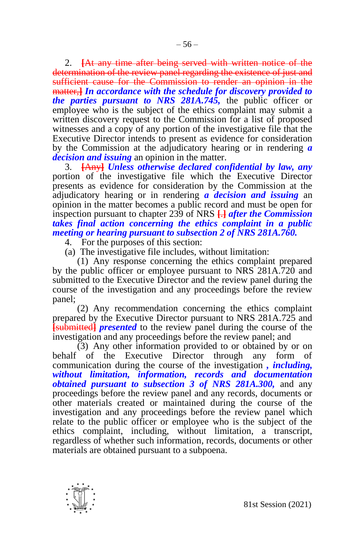2. **[**At any time after being served with written notice of the determination of the review panel regarding the existence of just and sufficient cause for the Commission to render an opinion in the matter,**]** *In accordance with the schedule for discovery provided to the parties pursuant to NRS 281A.745,* the public officer or employee who is the subject of the ethics complaint may submit a written discovery request to the Commission for a list of proposed witnesses and a copy of any portion of the investigative file that the Executive Director intends to present as evidence for consideration by the Commission at the adjudicatory hearing or in rendering *a decision and issuing* an opinion in the matter.

3. **[**Any**]** *Unless otherwise declared confidential by law, any*  portion of the investigative file which the Executive Director presents as evidence for consideration by the Commission at the adjudicatory hearing or in rendering *a decision and issuing* an opinion in the matter becomes a public record and must be open for inspection pursuant to chapter 239 of NRS **[**.**]** *after the Commission takes final action concerning the ethics complaint in a public meeting or hearing pursuant to subsection 2 of NRS 281A.760.*

- 4. For the purposes of this section:
- (a) The investigative file includes, without limitation:

(1) Any response concerning the ethics complaint prepared by the public officer or employee pursuant to NRS 281A.720 and submitted to the Executive Director and the review panel during the course of the investigation and any proceedings before the review panel;

(2) Any recommendation concerning the ethics complaint prepared by the Executive Director pursuant to NRS 281A.725 and **[**submitted**]** *presented* to the review panel during the course of the investigation and any proceedings before the review panel; and

(3) Any other information provided to or obtained by or on behalf of the Executive Director through any form of communication during the course of the investigation *, including, without limitation, information, records and documentation obtained pursuant to subsection 3 of NRS 281A.300,* and any proceedings before the review panel and any records, documents or other materials created or maintained during the course of the investigation and any proceedings before the review panel which relate to the public officer or employee who is the subject of the ethics complaint, including, without limitation, a transcript, regardless of whether such information, records, documents or other materials are obtained pursuant to a subpoena.

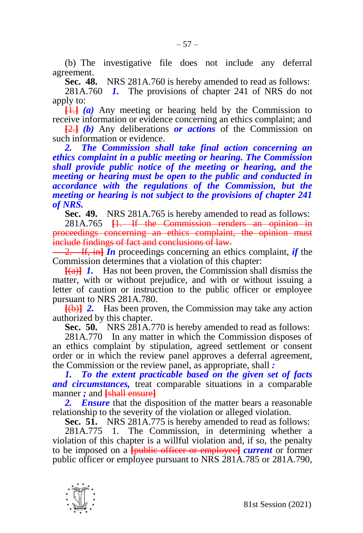**Sec. 48.** NRS 281A.760 is hereby amended to read as follows:

281A.760 *1.* The provisions of chapter 241 of NRS do not apply to:

**[**1.**]** *(a)* Any meeting or hearing held by the Commission to receive information or evidence concerning an ethics complaint; and

**[**2.**]** *(b)* Any deliberations *or actions* of the Commission on such information or evidence.

*2. The Commission shall take final action concerning an ethics complaint in a public meeting or hearing. The Commission shall provide public notice of the meeting or hearing, and the meeting or hearing must be open to the public and conducted in accordance with the regulations of the Commission, but the meeting or hearing is not subject to the provisions of chapter 241 of NRS.*

**Sec. 49.** NRS 281A.765 is hereby amended to read as follows:

281A.765 **[**1. If the Commission renders an opinion in proceedings concerning an ethics complaint, the opinion must include findings of fact and conclusions of law.

2. If, in**]** *In* proceedings concerning an ethics complaint, *if* the Commission determines that a violation of this chapter:

**[**(a)**]** *1.* Has not been proven, the Commission shall dismiss the matter, with or without prejudice, and with or without issuing a letter of caution or instruction to the public officer or employee pursuant to NRS 281A.780.

**[**(b)**]** *2.* Has been proven, the Commission may take any action authorized by this chapter.

**Sec. 50.** NRS 281A.770 is hereby amended to read as follows:

281A.770 In any matter in which the Commission disposes of an ethics complaint by stipulation, agreed settlement or consent order or in which the review panel approves a deferral agreement, the Commission or the review panel, as appropriate, shall *:*

*1. To the extent practicable based on the given set of facts and circumstances,* treat comparable situations in a comparable manner *;* and **[**shall ensure**]**

*2. Ensure* that the disposition of the matter bears a reasonable relationship to the severity of the violation or alleged violation.

**Sec. 51.** NRS 281A.775 is hereby amended to read as follows:

281A.775 1. The Commission, in determining whether a violation of this chapter is a willful violation and, if so, the penalty to be imposed on a **[**public officer or employee**]** *current* or former public officer or employee pursuant to NRS 281A.785 or 281A.790,

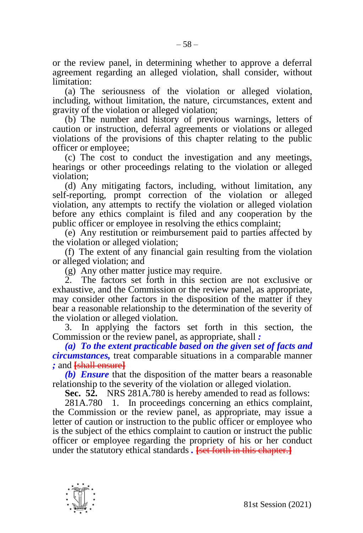or the review panel, in determining whether to approve a deferral agreement regarding an alleged violation, shall consider, without limitation:

(a) The seriousness of the violation or alleged violation, including, without limitation, the nature, circumstances, extent and gravity of the violation or alleged violation;

(b) The number and history of previous warnings, letters of caution or instruction, deferral agreements or violations or alleged violations of the provisions of this chapter relating to the public officer or employee;

(c) The cost to conduct the investigation and any meetings, hearings or other proceedings relating to the violation or alleged violation;

(d) Any mitigating factors, including, without limitation, any self-reporting, prompt correction of the violation or alleged violation, any attempts to rectify the violation or alleged violation before any ethics complaint is filed and any cooperation by the public officer or employee in resolving the ethics complaint;

(e) Any restitution or reimbursement paid to parties affected by the violation or alleged violation;

(f) The extent of any financial gain resulting from the violation or alleged violation; and

(g) Any other matter justice may require.

2. The factors set forth in this section are not exclusive or exhaustive, and the Commission or the review panel, as appropriate, may consider other factors in the disposition of the matter if they bear a reasonable relationship to the determination of the severity of the violation or alleged violation.

3. In applying the factors set forth in this section, the Commission or the review panel, as appropriate, shall *:*

*(a) To the extent practicable based on the given set of facts and circumstances,* treat comparable situations in a comparable manner *;* and **[**shall ensure**]**

*(b) Ensure* that the disposition of the matter bears a reasonable relationship to the severity of the violation or alleged violation.

**Sec. 52.** NRS 281A.780 is hereby amended to read as follows:

281A.780 1. In proceedings concerning an ethics complaint, the Commission or the review panel, as appropriate, may issue a letter of caution or instruction to the public officer or employee who is the subject of the ethics complaint to caution or instruct the public officer or employee regarding the propriety of his or her conduct under the statutory ethical standards *.* **[**set forth in this chapter.**]**

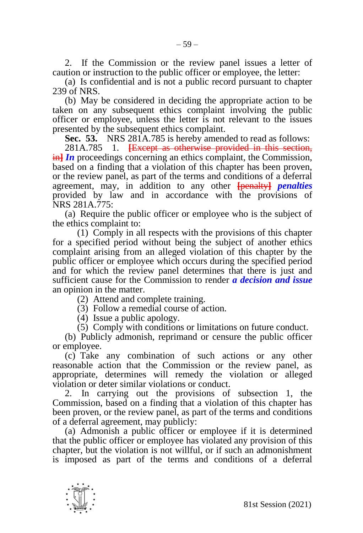2. If the Commission or the review panel issues a letter of caution or instruction to the public officer or employee, the letter:

(a) Is confidential and is not a public record pursuant to chapter 239 of NRS.

(b) May be considered in deciding the appropriate action to be taken on any subsequent ethics complaint involving the public officer or employee, unless the letter is not relevant to the issues presented by the subsequent ethics complaint.

**Sec. 53.** NRS 281A.785 is hereby amended to read as follows:

281A.785 1. **[**Except as otherwise provided in this section, in<sup>1</sup> In proceedings concerning an ethics complaint, the Commission, based on a finding that a violation of this chapter has been proven, or the review panel, as part of the terms and conditions of a deferral agreement, may, in addition to any other **[**penalty**]** *penalties*  provided by law and in accordance with the provisions of NRS 281A.775:

(a) Require the public officer or employee who is the subject of the ethics complaint to:

(1) Comply in all respects with the provisions of this chapter for a specified period without being the subject of another ethics complaint arising from an alleged violation of this chapter by the public officer or employee which occurs during the specified period and for which the review panel determines that there is just and sufficient cause for the Commission to render *a decision and issue*  an opinion in the matter.

(2) Attend and complete training.

(3) Follow a remedial course of action.

(4) Issue a public apology.

(5) Comply with conditions or limitations on future conduct.

(b) Publicly admonish, reprimand or censure the public officer or employee.

(c) Take any combination of such actions or any other reasonable action that the Commission or the review panel, as appropriate, determines will remedy the violation or alleged violation or deter similar violations or conduct.

2. In carrying out the provisions of subsection 1, the Commission, based on a finding that a violation of this chapter has been proven, or the review panel, as part of the terms and conditions of a deferral agreement, may publicly:

(a) Admonish a public officer or employee if it is determined that the public officer or employee has violated any provision of this chapter, but the violation is not willful, or if such an admonishment is imposed as part of the terms and conditions of a deferral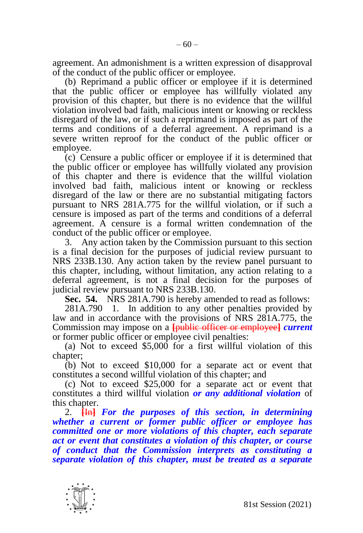agreement. An admonishment is a written expression of disapproval of the conduct of the public officer or employee.

(b) Reprimand a public officer or employee if it is determined that the public officer or employee has willfully violated any provision of this chapter, but there is no evidence that the willful violation involved bad faith, malicious intent or knowing or reckless disregard of the law, or if such a reprimand is imposed as part of the terms and conditions of a deferral agreement. A reprimand is a severe written reproof for the conduct of the public officer or employee.

(c) Censure a public officer or employee if it is determined that the public officer or employee has willfully violated any provision of this chapter and there is evidence that the willful violation involved bad faith, malicious intent or knowing or reckless disregard of the law or there are no substantial mitigating factors pursuant to NRS 281A.775 for the willful violation, or if such a censure is imposed as part of the terms and conditions of a deferral agreement. A censure is a formal written condemnation of the conduct of the public officer or employee.

3. Any action taken by the Commission pursuant to this section is a final decision for the purposes of judicial review pursuant to NRS 233B.130. Any action taken by the review panel pursuant to this chapter, including, without limitation, any action relating to a deferral agreement, is not a final decision for the purposes of judicial review pursuant to NRS 233B.130.

**Sec. 54.** NRS 281A.790 is hereby amended to read as follows:

281A.790 1. In addition to any other penalties provided by law and in accordance with the provisions of NRS 281A.775, the Commission may impose on a **[**public officer or employee**]** *current*  or former public officer or employee civil penalties:

(a) Not to exceed \$5,000 for a first willful violation of this chapter;

(b) Not to exceed \$10,000 for a separate act or event that constitutes a second willful violation of this chapter; and

(c) Not to exceed \$25,000 for a separate act or event that constitutes a third willful violation *or any additional violation* of this chapter.

2. **[**In**]** *For the purposes of this section, in determining whether a current or former public officer or employee has committed one or more violations of this chapter, each separate act or event that constitutes a violation of this chapter, or course of conduct that the Commission interprets as constituting a separate violation of this chapter, must be treated as a separate* 

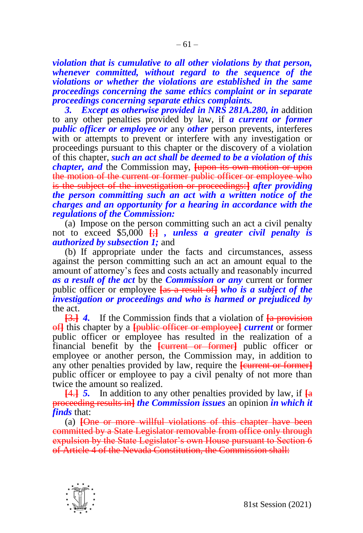*violation that is cumulative to all other violations by that person, whenever committed, without regard to the sequence of the violations or whether the violations are established in the same proceedings concerning the same ethics complaint or in separate proceedings concerning separate ethics complaints.*

*3. Except as otherwise provided in NRS 281A.280, in* addition to any other penalties provided by law, if *a current or former public officer or employee or any other person prevents, interferes* with or attempts to prevent or interfere with any investigation or proceedings pursuant to this chapter or the discovery of a violation of this chapter, *such an act shall be deemed to be a violation of this chapter, and* the Commission may, **[upon its own motion or upon** the motion of the current or former public officer or employee who is the subject of the investigation or proceedings:**]** *after providing the person committing such an act with a written notice of the charges and an opportunity for a hearing in accordance with the regulations of the Commission:*

(a) Impose on the person committing such an act a civil penalty not to exceed \$5,000 **[**;**]** *, unless a greater civil penalty is authorized by subsection 1;* and

(b) If appropriate under the facts and circumstances, assess against the person committing such an act an amount equal to the amount of attorney's fees and costs actually and reasonably incurred *as a result of the act* by the *Commission or any* current or former public officer or employee **[**as a result of**]** *who is a subject of the investigation or proceedings and who is harmed or prejudiced by*  the act.

**[**3.**]** *4.* If the Commission finds that a violation of **[**a provision of**]** this chapter by a **[**public officer or employee**]** *current* or former public officer or employee has resulted in the realization of a financial benefit by the **[**current or former**]** public officer or employee or another person, the Commission may, in addition to any other penalties provided by law, require the **[**current or former**]** public officer or employee to pay a civil penalty of not more than twice the amount so realized.

**[**4.**]** *5.* In addition to any other penalties provided by law, if **[**a proceeding results in**]** *the Commission issues* an opinion *in which it finds* that:

(a) **[**One or more willful violations of this chapter have been committed by a State Legislator removable from office only through expulsion by the State Legislator's own House pursuant to Section 6 of Article 4 of the Nevada Constitution, the Commission shall:

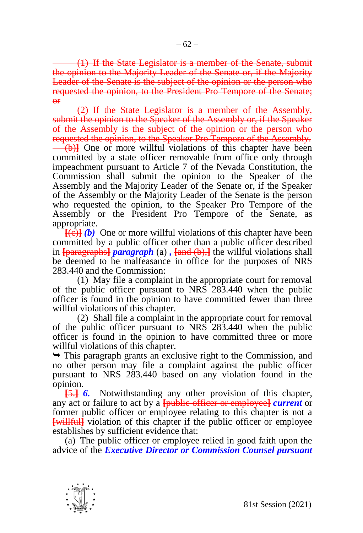(1) If the State Legislator is a member of the Senate, submit the opinion to the Majority Leader of the Senate or, if the Majority Leader of the Senate is the subject of the opinion or the person who requested the opinion, to the President Pro Tempore of the Senate; or

(2) If the State Legislator is a member of the Assembly, submit the opinion to the Speaker of the Assembly or, if the Speaker of the Assembly is the subject of the opinion or the person who requested the opinion, to the Speaker Pro Tempore of the Assembly. (b)**]** One or more willful violations of this chapter have been committed by a state officer removable from office only through impeachment pursuant to Article 7 of the Nevada Constitution, the Commission shall submit the opinion to the Speaker of the Assembly and the Majority Leader of the Senate or, if the Speaker of the Assembly or the Majority Leader of the Senate is the person who requested the opinion, to the Speaker Pro Tempore of the Assembly or the President Pro Tempore of the Senate, as appropriate.

 $\overline{f(e)}$  *(b)* One or more willful violations of this chapter have been committed by a public officer other than a public officer described in **[**paragraphs**]** *paragraph* (a) *,* **[**and (b),**]** the willful violations shall be deemed to be malfeasance in office for the purposes of NRS 283.440 and the Commission:

(1) May file a complaint in the appropriate court for removal of the public officer pursuant to NRS 283.440 when the public officer is found in the opinion to have committed fewer than three willful violations of this chapter.

(2) Shall file a complaint in the appropriate court for removal of the public officer pursuant to NRS 283.440 when the public officer is found in the opinion to have committed three or more willful violations of this chapter.

 $\rightarrow$  This paragraph grants an exclusive right to the Commission, and no other person may file a complaint against the public officer pursuant to NRS 283.440 based on any violation found in the opinion.

**[**5.**]** *6.* Notwithstanding any other provision of this chapter, any act or failure to act by a **[**public officer or employee**]** *current* or former public officer or employee relating to this chapter is not a **[**willful**]** violation of this chapter if the public officer or employee establishes by sufficient evidence that:

(a) The public officer or employee relied in good faith upon the advice of the *Executive Director or Commission Counsel pursuant*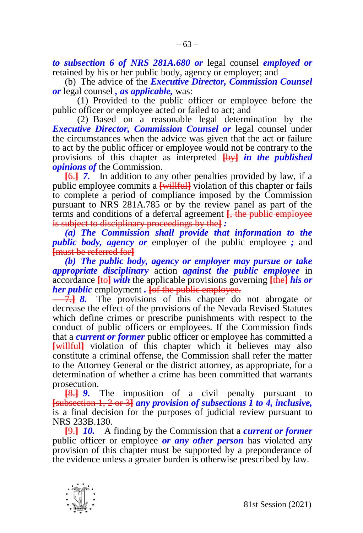*to subsection 6 of NRS 281A.680 or* legal counsel *employed or*  retained by his or her public body, agency or employer; and

(b) The advice of the *Executive Director, Commission Counsel or* legal counsel *, as applicable,* was:

(1) Provided to the public officer or employee before the public officer or employee acted or failed to act; and

(2) Based on a reasonable legal determination by the *Executive Director, Commission Counsel or* legal counsel under the circumstances when the advice was given that the act or failure to act by the public officer or employee would not be contrary to the provisions of this chapter as interpreted **[**by**]** *in the published opinions of* the Commission.

**[**6.**]** *7.* In addition to any other penalties provided by law, if a public employee commits a **[**willful**]** violation of this chapter or fails to complete a period of compliance imposed by the Commission pursuant to NRS 281A.785 or by the review panel as part of the terms and conditions of a deferral agreement **[**, the public employee is subject to disciplinary proceedings by the**]** *:*

*(a) The Commission shall provide that information to the public body, agency or* employer of the public employee *;* and **[**must be referred for**]**

*(b) The public body, agency or employer may pursue or take appropriate disciplinary* action *against the public employee* in accordance **[**to**]** *with* the applicable provisions governing **[**the**]** *his or her public* employment *.* **[**of the public employee.

7.**]** *8.* The provisions of this chapter do not abrogate or decrease the effect of the provisions of the Nevada Revised Statutes which define crimes or prescribe punishments with respect to the conduct of public officers or employees. If the Commission finds that a *current or former* public officer or employee has committed a **[**willful**]** violation of this chapter which it believes may also constitute a criminal offense, the Commission shall refer the matter to the Attorney General or the district attorney, as appropriate, for a determination of whether a crime has been committed that warrants prosecution.

**[**8.**]** *9.* The imposition of a civil penalty pursuant to **[**subsection 1, 2 or 3**]** *any provision of subsections 1 to 4, inclusive,*  is a final decision for the purposes of judicial review pursuant to NRS 233B.130.

**[**9.**]** *10.* A finding by the Commission that a *current or former*  public officer or employee *or any other person* has violated any provision of this chapter must be supported by a preponderance of the evidence unless a greater burden is otherwise prescribed by law.

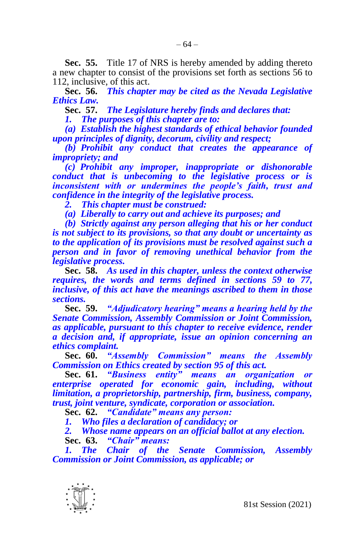**Sec. 55.** Title 17 of NRS is hereby amended by adding thereto a new chapter to consist of the provisions set forth as sections 56 to 112, inclusive, of this act.

**Sec. 56.** *This chapter may be cited as the Nevada Legislative Ethics Law.*

**Sec. 57.** *The Legislature hereby finds and declares that:*

*1. The purposes of this chapter are to:*

*(a) Establish the highest standards of ethical behavior founded upon principles of dignity, decorum, civility and respect;*

*(b) Prohibit any conduct that creates the appearance of impropriety; and*

*(c) Prohibit any improper, inappropriate or dishonorable conduct that is unbecoming to the legislative process or is inconsistent with or undermines the people's faith, trust and confidence in the integrity of the legislative process.*

*2. This chapter must be construed:*

*(a) Liberally to carry out and achieve its purposes; and*

*(b) Strictly against any person alleging that his or her conduct is not subject to its provisions, so that any doubt or uncertainty as to the application of its provisions must be resolved against such a person and in favor of removing unethical behavior from the legislative process.*

**Sec. 58.** *As used in this chapter, unless the context otherwise requires, the words and terms defined in sections 59 to 77, inclusive, of this act have the meanings ascribed to them in those sections.*

**Sec. 59.** *"Adjudicatory hearing" means a hearing held by the Senate Commission, Assembly Commission or Joint Commission, as applicable, pursuant to this chapter to receive evidence, render a decision and, if appropriate, issue an opinion concerning an ethics complaint.*

**Sec. 60.** *"Assembly Commission" means the Assembly Commission on Ethics created by section 95 of this act.*

**Sec. 61.** *"Business entity" means an organization or enterprise operated for economic gain, including, without limitation, a proprietorship, partnership, firm, business, company, trust, joint venture, syndicate, corporation or association.*

**Sec. 62.** *"Candidate" means any person:*

*1. Who files a declaration of candidacy; or*

*2. Whose name appears on an official ballot at any election.* **Sec. 63.** *"Chair" means:*

*1. The Chair of the Senate Commission, Assembly Commission or Joint Commission, as applicable; or*

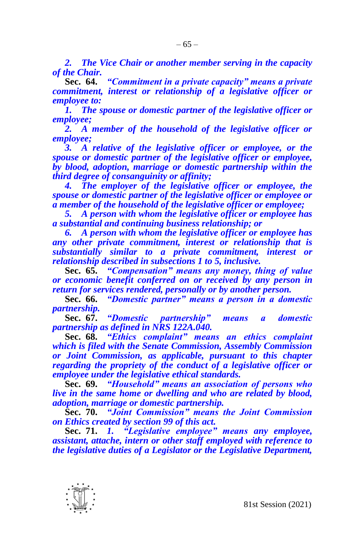*2. The Vice Chair or another member serving in the capacity of the Chair.*

**Sec. 64.** *"Commitment in a private capacity" means a private commitment, interest or relationship of a legislative officer or employee to:*

*1. The spouse or domestic partner of the legislative officer or employee;*

*2. A member of the household of the legislative officer or employee;*

*3. A relative of the legislative officer or employee, or the spouse or domestic partner of the legislative officer or employee, by blood, adoption, marriage or domestic partnership within the third degree of consanguinity or affinity;*

*4. The employer of the legislative officer or employee, the spouse or domestic partner of the legislative officer or employee or a member of the household of the legislative officer or employee;*

*5. A person with whom the legislative officer or employee has a substantial and continuing business relationship; or*

*6. A person with whom the legislative officer or employee has any other private commitment, interest or relationship that is substantially similar to a private commitment, interest or relationship described in subsections 1 to 5, inclusive.*

**Sec. 65.** *"Compensation" means any money, thing of value or economic benefit conferred on or received by any person in return for services rendered, personally or by another person.*

**Sec. 66.** *"Domestic partner" means a person in a domestic partnership.*

**Sec. 67.** *"Domestic partnership" means a domestic partnership as defined in NRS 122A.040.*

**Sec. 68.** *"Ethics complaint" means an ethics complaint which is filed with the Senate Commission, Assembly Commission or Joint Commission, as applicable, pursuant to this chapter regarding the propriety of the conduct of a legislative officer or employee under the legislative ethical standards.*

**Sec. 69.** *"Household" means an association of persons who live in the same home or dwelling and who are related by blood, adoption, marriage or domestic partnership.*

**Sec. 70.** *"Joint Commission" means the Joint Commission on Ethics created by section 99 of this act.*

**Sec. 71.** *1. "Legislative employee" means any employee, assistant, attache, intern or other staff employed with reference to the legislative duties of a Legislator or the Legislative Department,* 

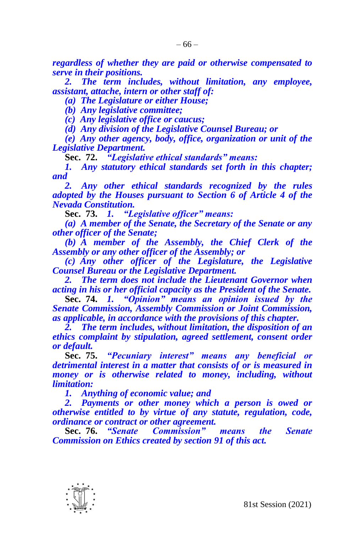*regardless of whether they are paid or otherwise compensated to serve in their positions.*

*2. The term includes, without limitation, any employee, assistant, attache, intern or other staff of:*

*(a) The Legislature or either House;*

*(b) Any legislative committee;*

*(c) Any legislative office or caucus;*

*(d) Any division of the Legislative Counsel Bureau; or*

*(e) Any other agency, body, office, organization or unit of the Legislative Department.*

**Sec. 72.** *"Legislative ethical standards" means:*

*1. Any statutory ethical standards set forth in this chapter; and*

*2. Any other ethical standards recognized by the rules adopted by the Houses pursuant to Section 6 of Article 4 of the Nevada Constitution.*

**Sec. 73.** *1. "Legislative officer" means:*

*(a) A member of the Senate, the Secretary of the Senate or any other officer of the Senate;*

*(b) A member of the Assembly, the Chief Clerk of the Assembly or any other officer of the Assembly; or*

*(c) Any other officer of the Legislature, the Legislative Counsel Bureau or the Legislative Department.*

*2. The term does not include the Lieutenant Governor when acting in his or her official capacity as the President of the Senate.*

**Sec. 74.** *1. "Opinion" means an opinion issued by the Senate Commission, Assembly Commission or Joint Commission, as applicable, in accordance with the provisions of this chapter.*

*2. The term includes, without limitation, the disposition of an ethics complaint by stipulation, agreed settlement, consent order or default.*

**Sec. 75.** *"Pecuniary interest" means any beneficial or detrimental interest in a matter that consists of or is measured in money or is otherwise related to money, including, without limitation:*

*1. Anything of economic value; and*

*2. Payments or other money which a person is owed or otherwise entitled to by virtue of any statute, regulation, code, ordinance or contract or other agreement.*

**Sec. 76.** *"Senate Commission" means the Senate Commission on Ethics created by section 91 of this act.*

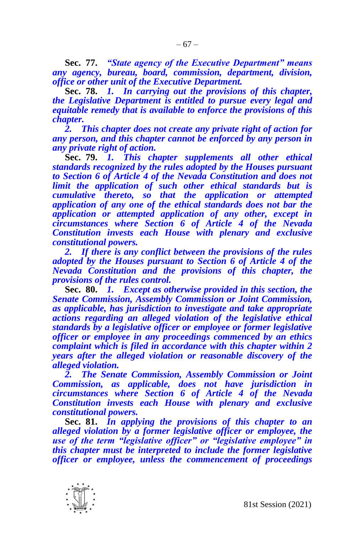**Sec. 77.** *"State agency of the Executive Department" means any agency, bureau, board, commission, department, division, office or other unit of the Executive Department.*

**Sec. 78.** *1. In carrying out the provisions of this chapter, the Legislative Department is entitled to pursue every legal and equitable remedy that is available to enforce the provisions of this chapter.*

*2. This chapter does not create any private right of action for any person, and this chapter cannot be enforced by any person in any private right of action.*

**Sec. 79.** *1. This chapter supplements all other ethical standards recognized by the rules adopted by the Houses pursuant to Section 6 of Article 4 of the Nevada Constitution and does not limit the application of such other ethical standards but is cumulative thereto, so that the application or attempted application of any one of the ethical standards does not bar the application or attempted application of any other, except in circumstances where Section 6 of Article 4 of the Nevada Constitution invests each House with plenary and exclusive constitutional powers.*

*2. If there is any conflict between the provisions of the rules adopted by the Houses pursuant to Section 6 of Article 4 of the Nevada Constitution and the provisions of this chapter, the provisions of the rules control.*

**Sec. 80.** *1. Except as otherwise provided in this section, the Senate Commission, Assembly Commission or Joint Commission, as applicable, has jurisdiction to investigate and take appropriate actions regarding an alleged violation of the legislative ethical standards by a legislative officer or employee or former legislative officer or employee in any proceedings commenced by an ethics complaint which is filed in accordance with this chapter within 2 years after the alleged violation or reasonable discovery of the alleged violation.*

*2. The Senate Commission, Assembly Commission or Joint Commission, as applicable, does not have jurisdiction in circumstances where Section 6 of Article 4 of the Nevada Constitution invests each House with plenary and exclusive constitutional powers.*

**Sec. 81.** *In applying the provisions of this chapter to an alleged violation by a former legislative officer or employee, the use of the term "legislative officer" or "legislative employee" in this chapter must be interpreted to include the former legislative officer or employee, unless the commencement of proceedings* 

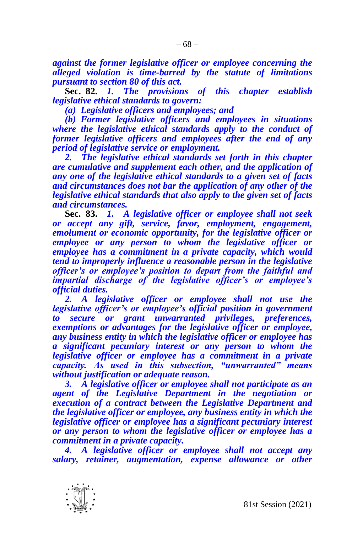*against the former legislative officer or employee concerning the alleged violation is time-barred by the statute of limitations pursuant to section 80 of this act.*

**Sec. 82.** *1. The provisions of this chapter establish legislative ethical standards to govern:*

*(a) Legislative officers and employees; and*

*(b) Former legislative officers and employees in situations where the legislative ethical standards apply to the conduct of former legislative officers and employees after the end of any period of legislative service or employment.*

*2. The legislative ethical standards set forth in this chapter are cumulative and supplement each other, and the application of any one of the legislative ethical standards to a given set of facts and circumstances does not bar the application of any other of the legislative ethical standards that also apply to the given set of facts and circumstances.*

**Sec. 83.** *1. A legislative officer or employee shall not seek or accept any gift, service, favor, employment, engagement, emolument or economic opportunity, for the legislative officer or employee or any person to whom the legislative officer or employee has a commitment in a private capacity, which would tend to improperly influence a reasonable person in the legislative officer's or employee's position to depart from the faithful and impartial discharge of the legislative officer's or employee's official duties.*

*2. A legislative officer or employee shall not use the legislative officer's or employee's official position in government to secure or grant unwarranted privileges, preferences, exemptions or advantages for the legislative officer or employee, any business entity in which the legislative officer or employee has a significant pecuniary interest or any person to whom the legislative officer or employee has a commitment in a private capacity. As used in this subsection, "unwarranted" means without justification or adequate reason.*

*3. A legislative officer or employee shall not participate as an agent of the Legislative Department in the negotiation or execution of a contract between the Legislative Department and the legislative officer or employee, any business entity in which the legislative officer or employee has a significant pecuniary interest or any person to whom the legislative officer or employee has a commitment in a private capacity.*

*4. A legislative officer or employee shall not accept any salary, retainer, augmentation, expense allowance or other* 

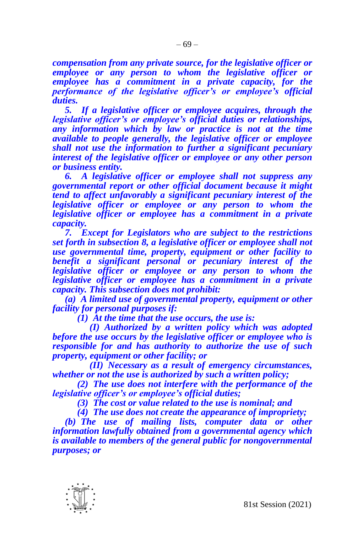*compensation from any private source, for the legislative officer or employee or any person to whom the legislative officer or employee has a commitment in a private capacity, for the performance of the legislative officer's or employee's official duties.*

*5. If a legislative officer or employee acquires, through the legislative officer's or employee's official duties or relationships, any information which by law or practice is not at the time available to people generally, the legislative officer or employee shall not use the information to further a significant pecuniary interest of the legislative officer or employee or any other person or business entity.*

*6. A legislative officer or employee shall not suppress any governmental report or other official document because it might tend to affect unfavorably a significant pecuniary interest of the legislative officer or employee or any person to whom the legislative officer or employee has a commitment in a private capacity.*

*7. Except for Legislators who are subject to the restrictions set forth in subsection 8, a legislative officer or employee shall not use governmental time, property, equipment or other facility to benefit a significant personal or pecuniary interest of the legislative officer or employee or any person to whom the legislative officer or employee has a commitment in a private capacity. This subsection does not prohibit:*

*(a) A limited use of governmental property, equipment or other facility for personal purposes if:*

*(1) At the time that the use occurs, the use is:*

*(I) Authorized by a written policy which was adopted before the use occurs by the legislative officer or employee who is responsible for and has authority to authorize the use of such property, equipment or other facility; or*

*(II) Necessary as a result of emergency circumstances, whether or not the use is authorized by such a written policy;*

*(2) The use does not interfere with the performance of the legislative officer's or employee's official duties;*

*(3) The cost or value related to the use is nominal; and*

*(4) The use does not create the appearance of impropriety;*

*(b) The use of mailing lists, computer data or other information lawfully obtained from a governmental agency which is available to members of the general public for nongovernmental purposes; or*

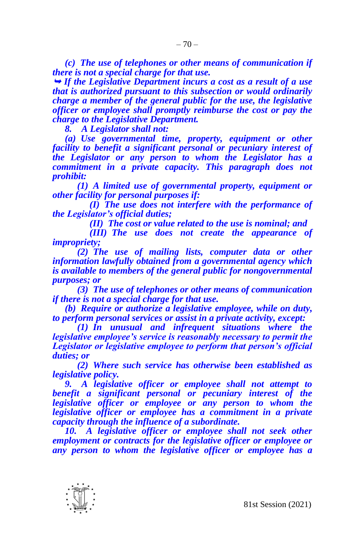*(c) The use of telephones or other means of communication if there is not a special charge for that use.*

 *If the Legislative Department incurs a cost as a result of a use that is authorized pursuant to this subsection or would ordinarily charge a member of the general public for the use, the legislative officer or employee shall promptly reimburse the cost or pay the charge to the Legislative Department.*

*8. A Legislator shall not:*

*(a) Use governmental time, property, equipment or other facility to benefit a significant personal or pecuniary interest of the Legislator or any person to whom the Legislator has a commitment in a private capacity. This paragraph does not prohibit:*

*(1) A limited use of governmental property, equipment or other facility for personal purposes if:*

*(I) The use does not interfere with the performance of the Legislator's official duties;*

*(II) The cost or value related to the use is nominal; and*

*(III) The use does not create the appearance of impropriety;*

*(2) The use of mailing lists, computer data or other information lawfully obtained from a governmental agency which is available to members of the general public for nongovernmental purposes; or*

*(3) The use of telephones or other means of communication if there is not a special charge for that use.*

*(b) Require or authorize a legislative employee, while on duty, to perform personal services or assist in a private activity, except:*

*(1) In unusual and infrequent situations where the legislative employee's service is reasonably necessary to permit the Legislator or legislative employee to perform that person's official duties; or*

*(2) Where such service has otherwise been established as legislative policy.*

*9. A legislative officer or employee shall not attempt to benefit a significant personal or pecuniary interest of the legislative officer or employee or any person to whom the legislative officer or employee has a commitment in a private capacity through the influence of a subordinate.*

10. A legislative officer or employee shall not seek other *employment or contracts for the legislative officer or employee or any person to whom the legislative officer or employee has a* 

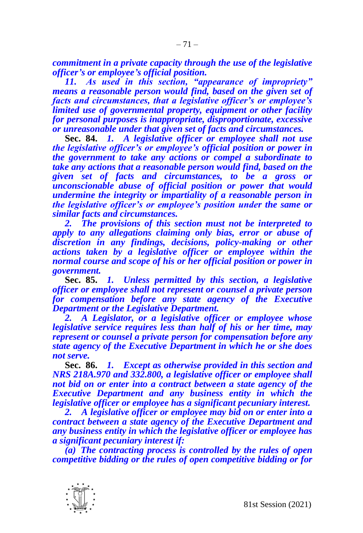*commitment in a private capacity through the use of the legislative officer's or employee's official position.*

*11. As used in this section, "appearance of impropriety" means a reasonable person would find, based on the given set of facts and circumstances, that a legislative officer's or employee's limited use of governmental property, equipment or other facility for personal purposes is inappropriate, disproportionate, excessive or unreasonable under that given set of facts and circumstances.*

**Sec. 84.** *1. A legislative officer or employee shall not use the legislative officer's or employee's official position or power in the government to take any actions or compel a subordinate to take any actions that a reasonable person would find, based on the given set of facts and circumstances, to be a gross or unconscionable abuse of official position or power that would undermine the integrity or impartiality of a reasonable person in the legislative officer's or employee's position under the same or similar facts and circumstances.*

*2. The provisions of this section must not be interpreted to apply to any allegations claiming only bias, error or abuse of discretion in any findings, decisions, policy-making or other actions taken by a legislative officer or employee within the normal course and scope of his or her official position or power in government.*

**Sec. 85.** *1. Unless permitted by this section, a legislative officer or employee shall not represent or counsel a private person for compensation before any state agency of the Executive Department or the Legislative Department.*

*2. A Legislator, or a legislative officer or employee whose legislative service requires less than half of his or her time, may represent or counsel a private person for compensation before any state agency of the Executive Department in which he or she does not serve.*

**Sec. 86.** *1. Except as otherwise provided in this section and NRS 218A.970 and 332.800, a legislative officer or employee shall not bid on or enter into a contract between a state agency of the Executive Department and any business entity in which the legislative officer or employee has a significant pecuniary interest.*

*2. A legislative officer or employee may bid on or enter into a contract between a state agency of the Executive Department and any business entity in which the legislative officer or employee has a significant pecuniary interest if:*

*(a) The contracting process is controlled by the rules of open competitive bidding or the rules of open competitive bidding or for* 

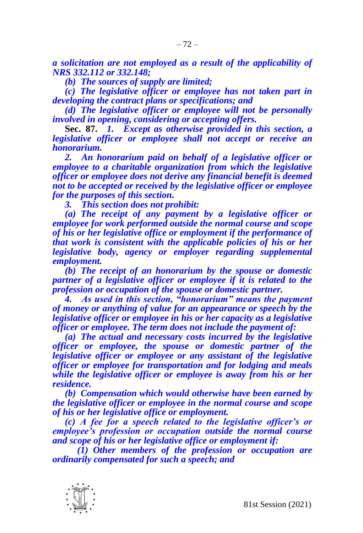*a solicitation are not employed as a result of the applicability of NRS 332.112 or 332.148;*

*(b) The sources of supply are limited;*

*(c) The legislative officer or employee has not taken part in developing the contract plans or specifications; and*

*(d) The legislative officer or employee will not be personally involved in opening, considering or accepting offers.*

**Sec. 87.** *1. Except as otherwise provided in this section, a legislative officer or employee shall not accept or receive an honorarium.*

*2. An honorarium paid on behalf of a legislative officer or employee to a charitable organization from which the legislative officer or employee does not derive any financial benefit is deemed not to be accepted or received by the legislative officer or employee for the purposes of this section.*

*3. This section does not prohibit:*

*(a) The receipt of any payment by a legislative officer or employee for work performed outside the normal course and scope of his or her legislative office or employment if the performance of that work is consistent with the applicable policies of his or her legislative body, agency or employer regarding supplemental employment.*

*(b) The receipt of an honorarium by the spouse or domestic partner of a legislative officer or employee if it is related to the profession or occupation of the spouse or domestic partner.*

*4. As used in this section, "honorarium" means the payment of money or anything of value for an appearance or speech by the legislative officer or employee in his or her capacity as a legislative officer or employee. The term does not include the payment of:*

*(a) The actual and necessary costs incurred by the legislative officer or employee, the spouse or domestic partner of the legislative officer or employee or any assistant of the legislative officer or employee for transportation and for lodging and meals while the legislative officer or employee is away from his or her residence.*

*(b) Compensation which would otherwise have been earned by the legislative officer or employee in the normal course and scope of his or her legislative office or employment.*

*(c) A fee for a speech related to the legislative officer's or employee's profession or occupation outside the normal course and scope of his or her legislative office or employment if:*

*(1) Other members of the profession or occupation are ordinarily compensated for such a speech; and*

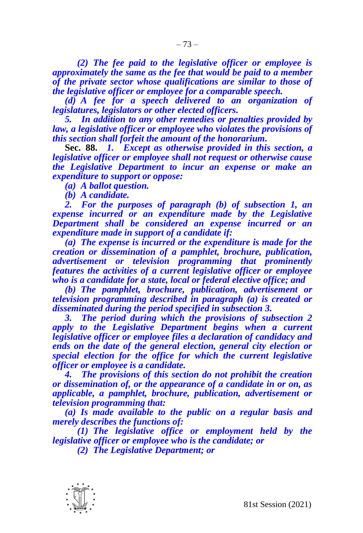*(2) The fee paid to the legislative officer or employee is approximately the same as the fee that would be paid to a member of the private sector whose qualifications are similar to those of the legislative officer or employee for a comparable speech.*

*(d) A fee for a speech delivered to an organization of legislatures, legislators or other elected officers.*

*5. In addition to any other remedies or penalties provided by law, a legislative officer or employee who violates the provisions of this section shall forfeit the amount of the honorarium.*

**Sec. 88.** *1. Except as otherwise provided in this section, a legislative officer or employee shall not request or otherwise cause the Legislative Department to incur an expense or make an expenditure to support or oppose:*

*(a) A ballot question.*

*(b) A candidate.*

*2. For the purposes of paragraph (b) of subsection 1, an expense incurred or an expenditure made by the Legislative Department shall be considered an expense incurred or an expenditure made in support of a candidate if:*

*(a) The expense is incurred or the expenditure is made for the creation or dissemination of a pamphlet, brochure, publication, advertisement or television programming that prominently features the activities of a current legislative officer or employee who is a candidate for a state, local or federal elective office; and*

*(b) The pamphlet, brochure, publication, advertisement or television programming described in paragraph (a) is created or disseminated during the period specified in subsection 3.*

*3. The period during which the provisions of subsection 2 apply to the Legislative Department begins when a current legislative officer or employee files a declaration of candidacy and ends on the date of the general election, general city election or special election for the office for which the current legislative officer or employee is a candidate.*

*4. The provisions of this section do not prohibit the creation or dissemination of, or the appearance of a candidate in or on, as applicable, a pamphlet, brochure, publication, advertisement or television programming that:*

*(a) Is made available to the public on a regular basis and merely describes the functions of:*

*(1) The legislative office or employment held by the legislative officer or employee who is the candidate; or*

*(2) The Legislative Department; or*

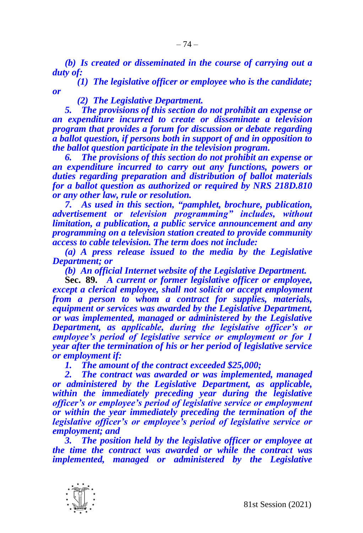*(b) Is created or disseminated in the course of carrying out a duty of:*

*(1) The legislative officer or employee who is the candidate; or*

## *(2) The Legislative Department.*

*5. The provisions of this section do not prohibit an expense or an expenditure incurred to create or disseminate a television program that provides a forum for discussion or debate regarding a ballot question, if persons both in support of and in opposition to the ballot question participate in the television program.*

*6. The provisions of this section do not prohibit an expense or an expenditure incurred to carry out any functions, powers or duties regarding preparation and distribution of ballot materials for a ballot question as authorized or required by NRS 218D.810 or any other law, rule or resolution.*

*7. As used in this section, "pamphlet, brochure, publication, advertisement or television programming" includes, without limitation, a publication, a public service announcement and any programming on a television station created to provide community access to cable television. The term does not include:*

*(a) A press release issued to the media by the Legislative Department; or*

*(b) An official Internet website of the Legislative Department.*

**Sec. 89.** *A current or former legislative officer or employee, except a clerical employee, shall not solicit or accept employment from a person to whom a contract for supplies, materials, equipment or services was awarded by the Legislative Department, or was implemented, managed or administered by the Legislative Department, as applicable, during the legislative officer's or employee's period of legislative service or employment or for 1 year after the termination of his or her period of legislative service or employment if:*

*1. The amount of the contract exceeded \$25,000;*

*2. The contract was awarded or was implemented, managed or administered by the Legislative Department, as applicable, within the immediately preceding year during the legislative officer's or employee's period of legislative service or employment or within the year immediately preceding the termination of the legislative officer's or employee's period of legislative service or employment; and*

*3. The position held by the legislative officer or employee at the time the contract was awarded or while the contract was implemented, managed or administered by the Legislative* 

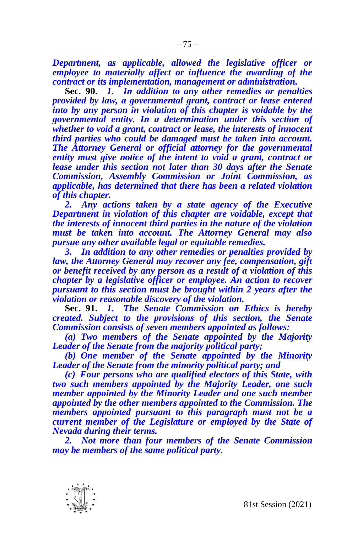*Department, as applicable, allowed the legislative officer or employee to materially affect or influence the awarding of the contract or its implementation, management or administration.*

**Sec. 90.** *1. In addition to any other remedies or penalties provided by law, a governmental grant, contract or lease entered into by any person in violation of this chapter is voidable by the governmental entity. In a determination under this section of whether to void a grant, contract or lease, the interests of innocent third parties who could be damaged must be taken into account. The Attorney General or official attorney for the governmental entity must give notice of the intent to void a grant, contract or lease under this section not later than 30 days after the Senate Commission, Assembly Commission or Joint Commission, as applicable, has determined that there has been a related violation of this chapter.*

*2. Any actions taken by a state agency of the Executive Department in violation of this chapter are voidable, except that the interests of innocent third parties in the nature of the violation must be taken into account. The Attorney General may also pursue any other available legal or equitable remedies.*

*3. In addition to any other remedies or penalties provided by law, the Attorney General may recover any fee, compensation, gift or benefit received by any person as a result of a violation of this chapter by a legislative officer or employee. An action to recover pursuant to this section must be brought within 2 years after the violation or reasonable discovery of the violation.*

**Sec. 91.** *1. The Senate Commission on Ethics is hereby created. Subject to the provisions of this section, the Senate Commission consists of seven members appointed as follows:*

*(a) Two members of the Senate appointed by the Majority Leader of the Senate from the majority political party;*

*(b) One member of the Senate appointed by the Minority Leader of the Senate from the minority political party; and*

*(c) Four persons who are qualified electors of this State, with two such members appointed by the Majority Leader, one such member appointed by the Minority Leader and one such member appointed by the other members appointed to the Commission. The members appointed pursuant to this paragraph must not be a current member of the Legislature or employed by the State of Nevada during their terms.*

*2. Not more than four members of the Senate Commission may be members of the same political party.*

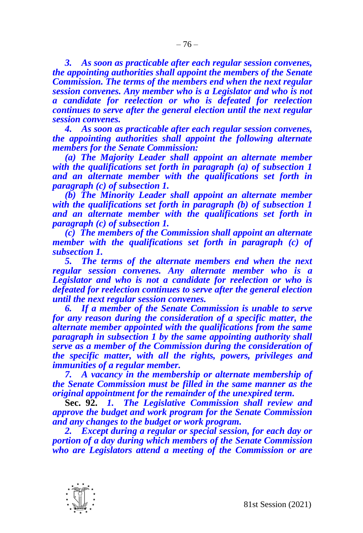*3. As soon as practicable after each regular session convenes, the appointing authorities shall appoint the members of the Senate Commission. The terms of the members end when the next regular session convenes. Any member who is a Legislator and who is not a candidate for reelection or who is defeated for reelection continues to serve after the general election until the next regular session convenes.*

*4. As soon as practicable after each regular session convenes, the appointing authorities shall appoint the following alternate members for the Senate Commission:*

*(a) The Majority Leader shall appoint an alternate member*  with the qualifications set forth in paragraph (a) of subsection 1 *and an alternate member with the qualifications set forth in paragraph (c) of subsection 1.*

*(b) The Minority Leader shall appoint an alternate member with the qualifications set forth in paragraph (b) of subsection 1 and an alternate member with the qualifications set forth in paragraph (c) of subsection 1.*

*(c) The members of the Commission shall appoint an alternate member with the qualifications set forth in paragraph (c) of subsection 1.*

*5. The terms of the alternate members end when the next regular session convenes. Any alternate member who is a Legislator and who is not a candidate for reelection or who is defeated for reelection continues to serve after the general election until the next regular session convenes.*

*6. If a member of the Senate Commission is unable to serve for any reason during the consideration of a specific matter, the alternate member appointed with the qualifications from the same paragraph in subsection 1 by the same appointing authority shall serve as a member of the Commission during the consideration of the specific matter, with all the rights, powers, privileges and immunities of a regular member.*

*7. A vacancy in the membership or alternate membership of the Senate Commission must be filled in the same manner as the original appointment for the remainder of the unexpired term.*

**Sec. 92.** *1. The Legislative Commission shall review and approve the budget and work program for the Senate Commission and any changes to the budget or work program.*

*2. Except during a regular or special session, for each day or portion of a day during which members of the Senate Commission who are Legislators attend a meeting of the Commission or are*

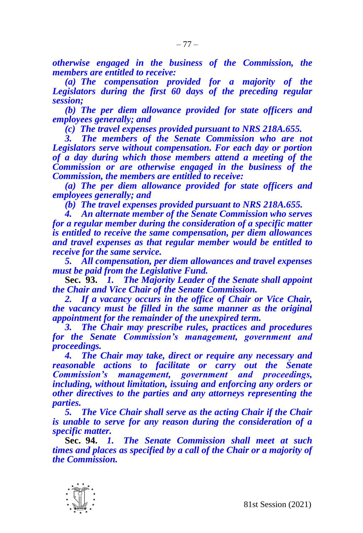*otherwise engaged in the business of the Commission, the members are entitled to receive:*

*(a) The compensation provided for a majority of the Legislators during the first 60 days of the preceding regular session;*

*(b) The per diem allowance provided for state officers and employees generally; and*

*(c) The travel expenses provided pursuant to NRS 218A.655.*

*3. The members of the Senate Commission who are not Legislators serve without compensation. For each day or portion of a day during which those members attend a meeting of the Commission or are otherwise engaged in the business of the Commission, the members are entitled to receive:*

*(a) The per diem allowance provided for state officers and employees generally; and*

*(b) The travel expenses provided pursuant to NRS 218A.655.*

*4. An alternate member of the Senate Commission who serves for a regular member during the consideration of a specific matter is entitled to receive the same compensation, per diem allowances and travel expenses as that regular member would be entitled to receive for the same service.*

*5. All compensation, per diem allowances and travel expenses must be paid from the Legislative Fund.*

**Sec. 93.** *1. The Majority Leader of the Senate shall appoint the Chair and Vice Chair of the Senate Commission.*

*2. If a vacancy occurs in the office of Chair or Vice Chair, the vacancy must be filled in the same manner as the original appointment for the remainder of the unexpired term.*

*3. The Chair may prescribe rules, practices and procedures for the Senate Commission's management, government and proceedings.*

*4. The Chair may take, direct or require any necessary and reasonable actions to facilitate or carry out the Senate Commission's management, government and proceedings, including, without limitation, issuing and enforcing any orders or other directives to the parties and any attorneys representing the parties.*

*5. The Vice Chair shall serve as the acting Chair if the Chair is unable to serve for any reason during the consideration of a specific matter.*

**Sec. 94.** *1. The Senate Commission shall meet at such times and places as specified by a call of the Chair or a majority of the Commission.*

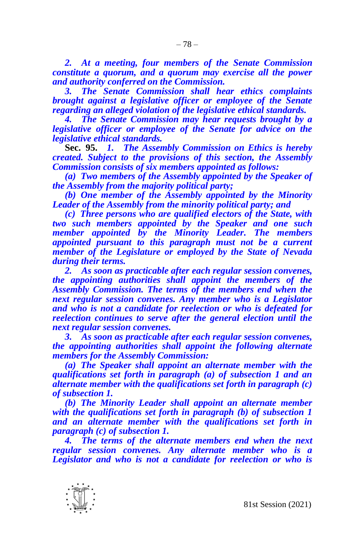*2. At a meeting, four members of the Senate Commission constitute a quorum, and a quorum may exercise all the power and authority conferred on the Commission.*

*3. The Senate Commission shall hear ethics complaints brought against a legislative officer or employee of the Senate regarding an alleged violation of the legislative ethical standards.*

*4. The Senate Commission may hear requests brought by a legislative officer or employee of the Senate for advice on the legislative ethical standards.*

**Sec. 95.** *1. The Assembly Commission on Ethics is hereby created. Subject to the provisions of this section, the Assembly Commission consists of six members appointed as follows:*

*(a) Two members of the Assembly appointed by the Speaker of the Assembly from the majority political party;*

*(b) One member of the Assembly appointed by the Minority Leader of the Assembly from the minority political party; and*

*(c) Three persons who are qualified electors of the State, with two such members appointed by the Speaker and one such member appointed by the Minority Leader. The members appointed pursuant to this paragraph must not be a current member of the Legislature or employed by the State of Nevada during their terms.*

*2. As soon as practicable after each regular session convenes, the appointing authorities shall appoint the members of the Assembly Commission. The terms of the members end when the next regular session convenes. Any member who is a Legislator and who is not a candidate for reelection or who is defeated for reelection continues to serve after the general election until the next regular session convenes.*

*3. As soon as practicable after each regular session convenes, the appointing authorities shall appoint the following alternate members for the Assembly Commission:*

*(a) The Speaker shall appoint an alternate member with the qualifications set forth in paragraph (a) of subsection 1 and an alternate member with the qualifications set forth in paragraph (c) of subsection 1.*

*(b) The Minority Leader shall appoint an alternate member with the qualifications set forth in paragraph (b) of subsection 1 and an alternate member with the qualifications set forth in paragraph (c) of subsection 1.*

*4. The terms of the alternate members end when the next regular session convenes. Any alternate member who is a Legislator and who is not a candidate for reelection or who is* 

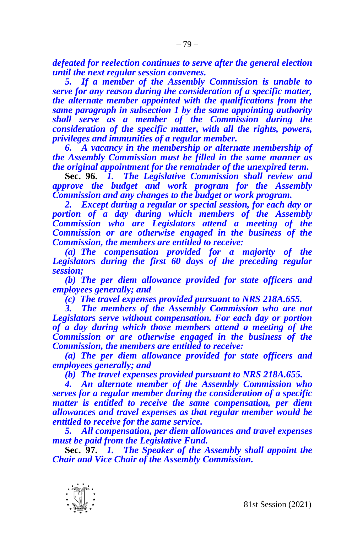*defeated for reelection continues to serve after the general election until the next regular session convenes.*

*5. If a member of the Assembly Commission is unable to serve for any reason during the consideration of a specific matter, the alternate member appointed with the qualifications from the same paragraph in subsection 1 by the same appointing authority shall serve as a member of the Commission during the consideration of the specific matter, with all the rights, powers, privileges and immunities of a regular member.*

*6. A vacancy in the membership or alternate membership of the Assembly Commission must be filled in the same manner as the original appointment for the remainder of the unexpired term.*

**Sec. 96.** *1. The Legislative Commission shall review and approve the budget and work program for the Assembly Commission and any changes to the budget or work program.*

*2. Except during a regular or special session, for each day or portion of a day during which members of the Assembly Commission who are Legislators attend a meeting of the Commission or are otherwise engaged in the business of the Commission, the members are entitled to receive:*

*(a) The compensation provided for a majority of the Legislators during the first 60 days of the preceding regular session;*

*(b) The per diem allowance provided for state officers and employees generally; and*

*(c) The travel expenses provided pursuant to NRS 218A.655.*

*3. The members of the Assembly Commission who are not Legislators serve without compensation. For each day or portion of a day during which those members attend a meeting of the Commission or are otherwise engaged in the business of the Commission, the members are entitled to receive:*

*(a) The per diem allowance provided for state officers and employees generally; and*

*(b) The travel expenses provided pursuant to NRS 218A.655.*

*4. An alternate member of the Assembly Commission who serves for a regular member during the consideration of a specific matter is entitled to receive the same compensation, per diem allowances and travel expenses as that regular member would be entitled to receive for the same service.*

*5. All compensation, per diem allowances and travel expenses must be paid from the Legislative Fund.*

**Sec. 97.** *1. The Speaker of the Assembly shall appoint the Chair and Vice Chair of the Assembly Commission.*

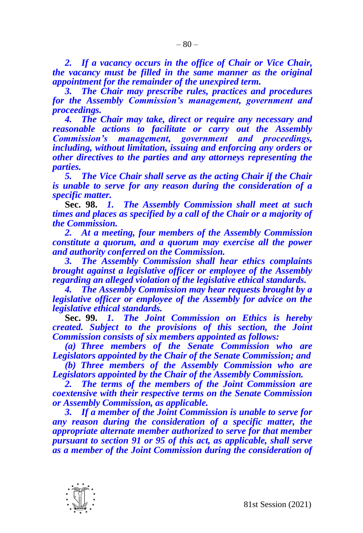*2. If a vacancy occurs in the office of Chair or Vice Chair, the vacancy must be filled in the same manner as the original appointment for the remainder of the unexpired term.*

*3. The Chair may prescribe rules, practices and procedures for the Assembly Commission's management, government and proceedings.*

*4. The Chair may take, direct or require any necessary and reasonable actions to facilitate or carry out the Assembly Commission's management, government and proceedings, including, without limitation, issuing and enforcing any orders or other directives to the parties and any attorneys representing the parties.*

*5. The Vice Chair shall serve as the acting Chair if the Chair is unable to serve for any reason during the consideration of a specific matter.*

**Sec. 98.** *1. The Assembly Commission shall meet at such times and places as specified by a call of the Chair or a majority of the Commission.*

*2. At a meeting, four members of the Assembly Commission constitute a quorum, and a quorum may exercise all the power and authority conferred on the Commission.*

*3. The Assembly Commission shall hear ethics complaints brought against a legislative officer or employee of the Assembly regarding an alleged violation of the legislative ethical standards.*

*4. The Assembly Commission may hear requests brought by a legislative officer or employee of the Assembly for advice on the legislative ethical standards.*

**Sec. 99.** *1. The Joint Commission on Ethics is hereby created. Subject to the provisions of this section, the Joint Commission consists of six members appointed as follows:*

*(a) Three members of the Senate Commission who are Legislators appointed by the Chair of the Senate Commission; and*

*(b) Three members of the Assembly Commission who are Legislators appointed by the Chair of the Assembly Commission.*

*2. The terms of the members of the Joint Commission are coextensive with their respective terms on the Senate Commission or Assembly Commission, as applicable.*

*3. If a member of the Joint Commission is unable to serve for any reason during the consideration of a specific matter, the appropriate alternate member authorized to serve for that member pursuant to section 91 or 95 of this act, as applicable, shall serve as a member of the Joint Commission during the consideration of* 

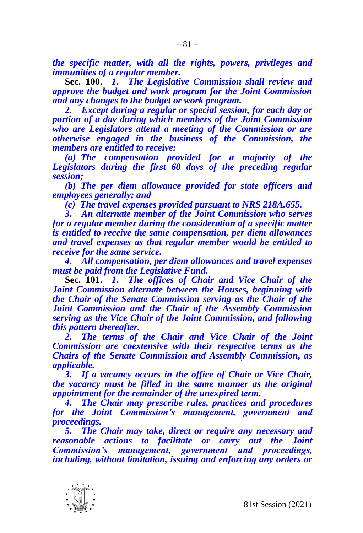*the specific matter, with all the rights, powers, privileges and immunities of a regular member.*

**Sec. 100.** *1. The Legislative Commission shall review and approve the budget and work program for the Joint Commission and any changes to the budget or work program.*

*2. Except during a regular or special session, for each day or portion of a day during which members of the Joint Commission who are Legislators attend a meeting of the Commission or are otherwise engaged in the business of the Commission, the members are entitled to receive:*

*(a) The compensation provided for a majority of the Legislators during the first 60 days of the preceding regular session;*

*(b) The per diem allowance provided for state officers and employees generally; and*

*(c) The travel expenses provided pursuant to NRS 218A.655.*

*3. An alternate member of the Joint Commission who serves for a regular member during the consideration of a specific matter is entitled to receive the same compensation, per diem allowances and travel expenses as that regular member would be entitled to receive for the same service.*

*4. All compensation, per diem allowances and travel expenses must be paid from the Legislative Fund.*

**Sec. 101.** *1. The offices of Chair and Vice Chair of the Joint Commission alternate between the Houses, beginning with the Chair of the Senate Commission serving as the Chair of the Joint Commission and the Chair of the Assembly Commission serving as the Vice Chair of the Joint Commission, and following this pattern thereafter.*

*2. The terms of the Chair and Vice Chair of the Joint Commission are coextensive with their respective terms as the Chairs of the Senate Commission and Assembly Commission, as applicable.*

*3. If a vacancy occurs in the office of Chair or Vice Chair, the vacancy must be filled in the same manner as the original appointment for the remainder of the unexpired term.*

*4. The Chair may prescribe rules, practices and procedures for the Joint Commission's management, government and proceedings.*

*5. The Chair may take, direct or require any necessary and reasonable actions to facilitate or carry out the Joint Commission's management, government and proceedings, including, without limitation, issuing and enforcing any orders or* 

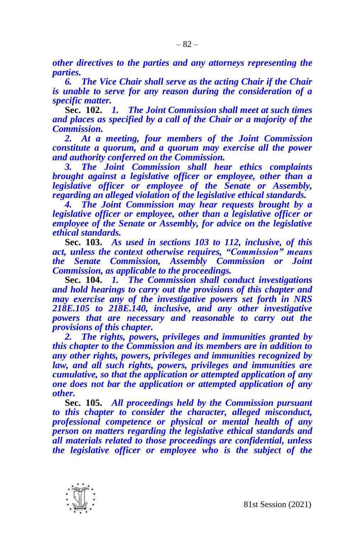*other directives to the parties and any attorneys representing the parties.*

*6. The Vice Chair shall serve as the acting Chair if the Chair is unable to serve for any reason during the consideration of a specific matter.*

**Sec. 102.** *1. The Joint Commission shall meet at such times and places as specified by a call of the Chair or a majority of the Commission.*

*2. At a meeting, four members of the Joint Commission constitute a quorum, and a quorum may exercise all the power and authority conferred on the Commission.*

*3. The Joint Commission shall hear ethics complaints brought against a legislative officer or employee, other than a legislative officer or employee of the Senate or Assembly, regarding an alleged violation of the legislative ethical standards.*

*4. The Joint Commission may hear requests brought by a legislative officer or employee, other than a legislative officer or employee of the Senate or Assembly, for advice on the legislative ethical standards.*

**Sec. 103.** *As used in sections 103 to 112, inclusive, of this act, unless the context otherwise requires, "Commission" means the Senate Commission, Assembly Commission or Joint Commission, as applicable to the proceedings.*

**Sec. 104.** *1. The Commission shall conduct investigations and hold hearings to carry out the provisions of this chapter and may exercise any of the investigative powers set forth in NRS 218E.105 to 218E.140, inclusive, and any other investigative powers that are necessary and reasonable to carry out the provisions of this chapter.*

*2. The rights, powers, privileges and immunities granted by this chapter to the Commission and its members are in addition to any other rights, powers, privileges and immunities recognized by law, and all such rights, powers, privileges and immunities are cumulative, so that the application or attempted application of any one does not bar the application or attempted application of any other.*

**Sec. 105.** *All proceedings held by the Commission pursuant to this chapter to consider the character, alleged misconduct, professional competence or physical or mental health of any person on matters regarding the legislative ethical standards and all materials related to those proceedings are confidential, unless the legislative officer or employee who is the subject of the* 

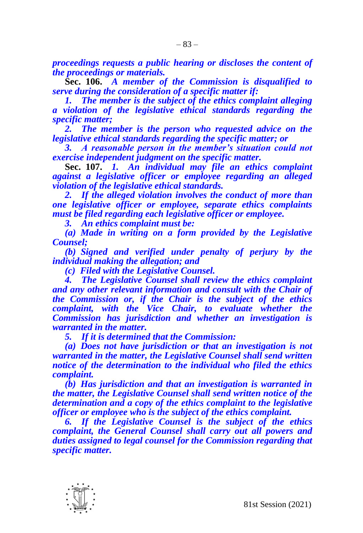*proceedings requests a public hearing or discloses the content of the proceedings or materials.*

**Sec. 106.** *A member of the Commission is disqualified to serve during the consideration of a specific matter if:*

*1. The member is the subject of the ethics complaint alleging a violation of the legislative ethical standards regarding the specific matter;*

*2. The member is the person who requested advice on the legislative ethical standards regarding the specific matter; or*

*3. A reasonable person in the member's situation could not exercise independent judgment on the specific matter.*

**Sec. 107.** *1. An individual may file an ethics complaint against a legislative officer or employee regarding an alleged violation of the legislative ethical standards.*

*2. If the alleged violation involves the conduct of more than one legislative officer or employee, separate ethics complaints must be filed regarding each legislative officer or employee.*

*3. An ethics complaint must be:*

*(a) Made in writing on a form provided by the Legislative Counsel;*

*(b) Signed and verified under penalty of perjury by the individual making the allegation; and*

*(c) Filed with the Legislative Counsel.*

*4. The Legislative Counsel shall review the ethics complaint and any other relevant information and consult with the Chair of the Commission or, if the Chair is the subject of the ethics complaint, with the Vice Chair, to evaluate whether the Commission has jurisdiction and whether an investigation is warranted in the matter.*

*5. If it is determined that the Commission:*

*(a) Does not have jurisdiction or that an investigation is not warranted in the matter, the Legislative Counsel shall send written notice of the determination to the individual who filed the ethics complaint.*

*(b) Has jurisdiction and that an investigation is warranted in the matter, the Legislative Counsel shall send written notice of the determination and a copy of the ethics complaint to the legislative officer or employee who is the subject of the ethics complaint.*

*6. If the Legislative Counsel is the subject of the ethics complaint, the General Counsel shall carry out all powers and duties assigned to legal counsel for the Commission regarding that specific matter.*

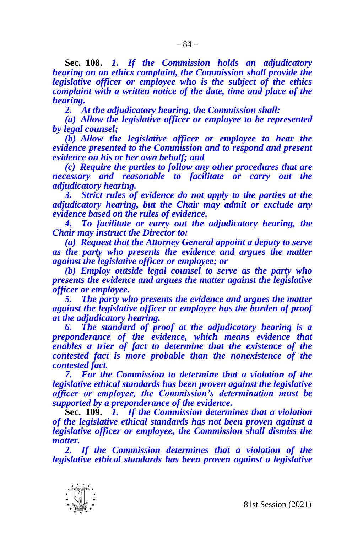– 84 –

**Sec. 108.** *1. If the Commission holds an adjudicatory hearing on an ethics complaint, the Commission shall provide the legislative officer or employee who is the subject of the ethics complaint with a written notice of the date, time and place of the hearing.*

*2. At the adjudicatory hearing, the Commission shall:*

*(a) Allow the legislative officer or employee to be represented by legal counsel;*

*(b) Allow the legislative officer or employee to hear the evidence presented to the Commission and to respond and present evidence on his or her own behalf; and*

*(c) Require the parties to follow any other procedures that are necessary and reasonable to facilitate or carry out the adjudicatory hearing.*

*3. Strict rules of evidence do not apply to the parties at the adjudicatory hearing, but the Chair may admit or exclude any evidence based on the rules of evidence.*

*4. To facilitate or carry out the adjudicatory hearing, the Chair may instruct the Director to:*

*(a) Request that the Attorney General appoint a deputy to serve as the party who presents the evidence and argues the matter against the legislative officer or employee; or*

*(b) Employ outside legal counsel to serve as the party who presents the evidence and argues the matter against the legislative officer or employee.*

*5. The party who presents the evidence and argues the matter against the legislative officer or employee has the burden of proof at the adjudicatory hearing.*

*6. The standard of proof at the adjudicatory hearing is a preponderance of the evidence, which means evidence that enables a trier of fact to determine that the existence of the contested fact is more probable than the nonexistence of the contested fact.*

*7. For the Commission to determine that a violation of the legislative ethical standards has been proven against the legislative officer or employee, the Commission's determination must be supported by a preponderance of the evidence.*

**Sec. 109.** *1. If the Commission determines that a violation of the legislative ethical standards has not been proven against a legislative officer or employee, the Commission shall dismiss the matter.*

*2. If the Commission determines that a violation of the legislative ethical standards has been proven against a legislative*

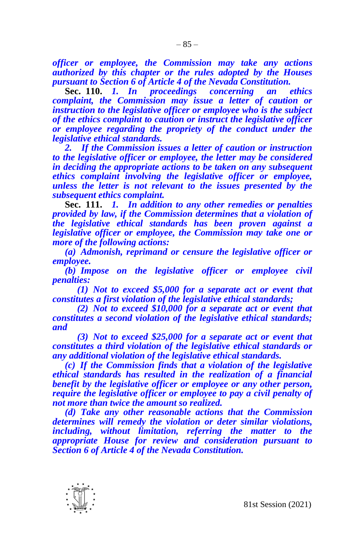*officer or employee, the Commission may take any actions authorized by this chapter or the rules adopted by the Houses pursuant to Section 6 of Article 4 of the Nevada Constitution.*

**Sec. 110.** *1. In proceedings concerning an ethics complaint, the Commission may issue a letter of caution or instruction to the legislative officer or employee who is the subject of the ethics complaint to caution or instruct the legislative officer or employee regarding the propriety of the conduct under the legislative ethical standards.*

*2. If the Commission issues a letter of caution or instruction to the legislative officer or employee, the letter may be considered in deciding the appropriate actions to be taken on any subsequent ethics complaint involving the legislative officer or employee, unless the letter is not relevant to the issues presented by the subsequent ethics complaint.*

**Sec. 111.** *1. In addition to any other remedies or penalties provided by law, if the Commission determines that a violation of the legislative ethical standards has been proven against a legislative officer or employee, the Commission may take one or more of the following actions:*

*(a) Admonish, reprimand or censure the legislative officer or employee.*

*(b) Impose on the legislative officer or employee civil penalties:*

*(1) Not to exceed \$5,000 for a separate act or event that constitutes a first violation of the legislative ethical standards;*

*(2) Not to exceed \$10,000 for a separate act or event that constitutes a second violation of the legislative ethical standards; and*

*(3) Not to exceed \$25,000 for a separate act or event that constitutes a third violation of the legislative ethical standards or any additional violation of the legislative ethical standards.*

*(c) If the Commission finds that a violation of the legislative ethical standards has resulted in the realization of a financial benefit by the legislative officer or employee or any other person, require the legislative officer or employee to pay a civil penalty of not more than twice the amount so realized.*

*(d) Take any other reasonable actions that the Commission determines will remedy the violation or deter similar violations, including, without limitation, referring the matter to the appropriate House for review and consideration pursuant to Section 6 of Article 4 of the Nevada Constitution.*

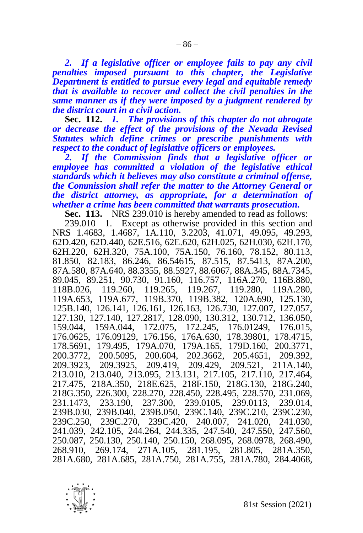*2. If a legislative officer or employee fails to pay any civil penalties imposed pursuant to this chapter, the Legislative Department is entitled to pursue every legal and equitable remedy that is available to recover and collect the civil penalties in the same manner as if they were imposed by a judgment rendered by the district court in a civil action.*

**Sec. 112.** *1. The provisions of this chapter do not abrogate or decrease the effect of the provisions of the Nevada Revised Statutes which define crimes or prescribe punishments with respect to the conduct of legislative officers or employees.*

*2. If the Commission finds that a legislative officer or employee has committed a violation of the legislative ethical standards which it believes may also constitute a criminal offense, the Commission shall refer the matter to the Attorney General or the district attorney, as appropriate, for a determination of whether a crime has been committed that warrants prosecution.*

**Sec. 113.** NRS 239.010 is hereby amended to read as follows:

239.010 1. Except as otherwise provided in this section and NRS 1.4683, 1.4687, 1A.110, 3.2203, 41.071, 49.095, 49.293, 62D.420, 62D.440, 62E.516, 62E.620, 62H.025, 62H.030, 62H.170, 62H.220, 62H.320, 75A.100, 75A.150, 76.160, 78.152, 80.113, 81.850, 82.183, 86.246, 86.54615, 87.515, 87.5413, 87A.200, 87A.580, 87A.640, 88.3355, 88.5927, 88.6067, 88A.345, 88A.7345, 89.045, 89.251, 90.730, 91.160, 116.757, 116A.270, 116B.880, 118B.026, 119.260, 119.265, 119.267, 119.280, 119A.280, 119A.653, 119A.677, 119B.370, 119B.382, 120A.690, 125.130, 125B.140, 126.141, 126.161, 126.163, 126.730, 127.007, 127.057, 127.130, 127.140, 127.2817, 128.090, 130.312, 130.712, 136.050, 159.044, 159A.044, 172.075, 172.245, 176.01249, 176.015, 176.0625, 176.09129, 176.156, 176A.630, 178.39801, 178.4715, 178.5691, 179.495, 179A.070, 179A.165, 179D.160, 200.3771, 200.3772, 200.5095, 200.604, 202.3662, 205.4651, 209.392, 209.3923, 209.3925, 209.419, 209.429, 209.521, 211A.140, 213.010, 213.040, 213.095, 213.131, 217.105, 217.110, 217.464, 217.475, 218A.350, 218E.625, 218F.150, 218G.130, 218G.240, 218G.350, 226.300, 228.270, 228.450, 228.495, 228.570, 231.069, 231.1473, 233.190, 237.300, 239.0105, 239.0113, 239.014, 239B.030, 239B.040, 239B.050, 239C.140, 239C.210, 239C.230, 239C.250, 239C.270, 239C.420, 240.007, 241.020, 241.030, 241.039, 242.105, 244.264, 244.335, 247.540, 247.550, 247.560, 250.087, 250.130, 250.140, 250.150, 268.095, 268.0978, 268.490, 268.910, 269.174, 271A.105, 281.195, 281.805, 281A.350, 281A.680, 281A.685, 281A.750, 281A.755, 281A.780, 284.4068,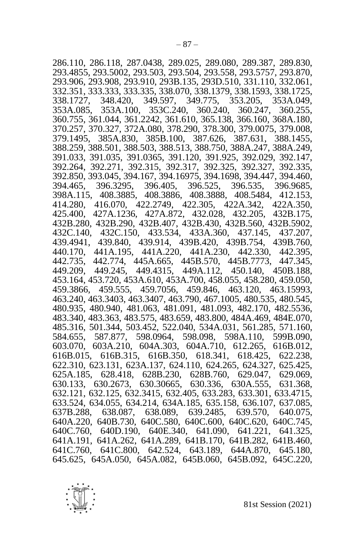286.110, 286.118, 287.0438, 289.025, 289.080, 289.387, 289.830, 293.4855, 293.5002, 293.503, 293.504, 293.558, 293.5757, 293.870, 293.906, 293.908, 293.910, 293B.135, 293D.510, 331.110, 332.061, 332.351, 333.333, 333.335, 338.070, 338.1379, 338.1593, 338.1725, 338.1727, 348.420, 349.597, 349.775, 353.205, 353A.049, 353A.085, 353A.100, 353C.240, 360.240, 360.247, 360.255, 360.755, 361.044, 361.2242, 361.610, 365.138, 366.160, 368A.180, 370.257, 370.327, 372A.080, 378.290, 378.300, 379.0075, 379.008, 379.1495, 385A.830, 385B.100, 387.626, 387.631, 388.1455, 388.259, 388.501, 388.503, 388.513, 388.750, 388A.247, 388A.249, 391.033, 391.035, 391.0365, 391.120, 391.925, 392.029, 392.147, 392.264, 392.271, 392.315, 392.317, 392.325, 392.327, 392.335, 392.850, 393.045, 394.167, 394.16975, 394.1698, 394.447, 394.460, 394.465, 396.3295, 396.405, 396.525, 396.535, 396.9685, 398A.115, 408.3885, 408.3886, 408.3888, 408.5484, 412.153, 414.280, 416.070, 422.2749, 422.305, 422A.342, 422A.350, 425.400, 427A.1236, 427A.872, 432.028, 432.205, 432B.175, 432B.280, 432B.290, 432B.407, 432B.430, 432B.560, 432B.5902, 432C.140, 432C.150, 433.534, 433A.360, 437.145, 437.207, 439.4941, 439.840, 439.914, 439B.420, 439B.754, 439B.760, 440.170, 441A.195, 441A.220, 441A.230, 442.330, 442.395, 442.735, 442.774, 445A.665, 445B.570, 445B.7773, 447.345, 449.209, 449.245, 449.4315, 449A.112, 450.140, 450B.188, 453.164, 453.720, 453A.610, 453A.700, 458.055, 458.280, 459.050, 459.3866, 459.555, 459.7056, 459.846, 463.120, 463.15993, 463.240, 463.3403, 463.3407, 463.790, 467.1005, 480.535, 480.545, 480.935, 480.940, 481.063, 481.091, 481.093, 482.170, 482.5536, 483.340, 483.363, 483.575, 483.659, 483.800, 484A.469, 484E.070, 485.316, 501.344, 503.452, 522.040, 534A.031, 561.285, 571.160, 584.655, 587.877, 598.0964, 598.098, 598A.110, 599B.090, 584.655, 587.877, 598.0964, 598.098, 598A.110, 603.070, 603A.210, 604A.303, 604A.710, 612.265, 616B.012, 616B.015, 616B.315, 616B.350, 618.341, 618.425, 622.238, 622.310, 623.131, 623A.137, 624.110, 624.265, 624.327, 625.425, 625A.185, 628.418, 628B.230, 628B.760, 629.047, 629.069, 630.133, 630.2673, 630.30665, 630.336, 630A.555, 631.368, 632.121, 632.125, 632.3415, 632.405, 633.283, 633.301, 633.4715, 633.524, 634.055, 634.214, 634A.185, 635.158, 636.107, 637.085, 637B.288, 638.087, 638.089, 639.2485, 639.570, 640.075, 640A.220, 640B.730, 640C.580, 640C.600, 640C.620, 640C.745, 640C.760, 640D.190, 640E.340, 641.090, 641.221, 641.325, 641A.191, 641A.262, 641A.289, 641B.170, 641B.282, 641B.460, 641C.760, 641C.800, 642.524, 643.189, 644A.870, 645.180, 645.625, 645A.050, 645A.082, 645B.060, 645B.092, 645C.220,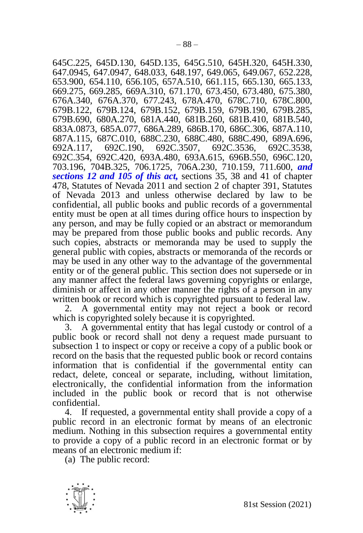645C.225, 645D.130, 645D.135, 645G.510, 645H.320, 645H.330, 647.0945, 647.0947, 648.033, 648.197, 649.065, 649.067, 652.228, 653.900, 654.110, 656.105, 657A.510, 661.115, 665.130, 665.133, 669.275, 669.285, 669A.310, 671.170, 673.450, 673.480, 675.380, 676A.340, 676A.370, 677.243, 678A.470, 678C.710, 678C.800, 679B.122, 679B.124, 679B.152, 679B.159, 679B.190, 679B.285, 679B.690, 680A.270, 681A.440, 681B.260, 681B.410, 681B.540, 683A.0873, 685A.077, 686A.289, 686B.170, 686C.306, 687A.110, 687A.115, 687C.010, 688C.230, 688C.480, 688C.490, 689A.696, 692A.117, 692C.190, 692C.3507, 692C.3536, 692C.3538, 692C.354, 692C.420, 693A.480, 693A.615, 696B.550, 696C.120, 703.196, 704B.325, 706.1725, 706A.230, 710.159, 711.600, *and sections 12 and 105 of this act,* sections 35, 38 and 41 of chapter 478, Statutes of Nevada 2011 and section 2 of chapter 391, Statutes of Nevada 2013 and unless otherwise declared by law to be confidential, all public books and public records of a governmental entity must be open at all times during office hours to inspection by any person, and may be fully copied or an abstract or memorandum may be prepared from those public books and public records. Any such copies, abstracts or memoranda may be used to supply the general public with copies, abstracts or memoranda of the records or may be used in any other way to the advantage of the governmental entity or of the general public. This section does not supersede or in any manner affect the federal laws governing copyrights or enlarge, diminish or affect in any other manner the rights of a person in any written book or record which is copyrighted pursuant to federal law.

2. A governmental entity may not reject a book or record which is copyrighted solely because it is copyrighted.

3. A governmental entity that has legal custody or control of a public book or record shall not deny a request made pursuant to subsection 1 to inspect or copy or receive a copy of a public book or record on the basis that the requested public book or record contains information that is confidential if the governmental entity can redact, delete, conceal or separate, including, without limitation, electronically, the confidential information from the information included in the public book or record that is not otherwise confidential.

4. If requested, a governmental entity shall provide a copy of a public record in an electronic format by means of an electronic medium. Nothing in this subsection requires a governmental entity to provide a copy of a public record in an electronic format or by means of an electronic medium if:

(a) The public record:

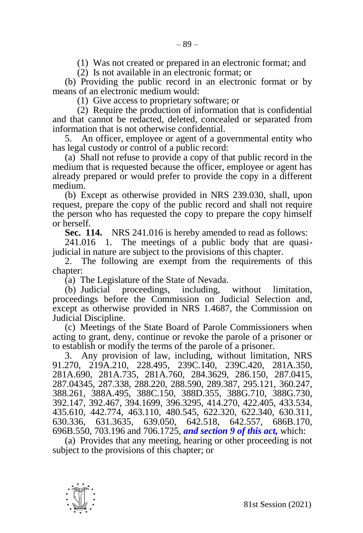(1) Was not created or prepared in an electronic format; and

(2) Is not available in an electronic format; or

(b) Providing the public record in an electronic format or by means of an electronic medium would:

(1) Give access to proprietary software; or

(2) Require the production of information that is confidential and that cannot be redacted, deleted, concealed or separated from information that is not otherwise confidential.

5. An officer, employee or agent of a governmental entity who has legal custody or control of a public record:

(a) Shall not refuse to provide a copy of that public record in the medium that is requested because the officer, employee or agent has already prepared or would prefer to provide the copy in a different medium.

(b) Except as otherwise provided in NRS 239.030, shall, upon request, prepare the copy of the public record and shall not require the person who has requested the copy to prepare the copy himself or herself.

**Sec. 114.** NRS 241.016 is hereby amended to read as follows:

241.016 1. The meetings of a public body that are quasijudicial in nature are subject to the provisions of this chapter.

2. The following are exempt from the requirements of this chapter:

(a) The Legislature of the State of Nevada.

(b) Judicial proceedings, including, without limitation, proceedings before the Commission on Judicial Selection and, except as otherwise provided in NRS 1.4687, the Commission on Judicial Discipline.

(c) Meetings of the State Board of Parole Commissioners when acting to grant, deny, continue or revoke the parole of a prisoner or to establish or modify the terms of the parole of a prisoner.

3. Any provision of law, including, without limitation, NRS 91.270, 219A.210, 228.495, 239C.140, 239C.420, 281A.350, 281A.690, 281A.735, 281A.760, 284.3629, 286.150, 287.0415, 287.04345, 287.338, 288.220, 288.590, 289.387, 295.121, 360.247, 388.261, 388A.495, 388C.150, 388D.355, 388G.710, 388G.730, 392.147, 392.467, 394.1699, 396.3295, 414.270, 422.405, 433.534, 435.610, 442.774, 463.110, 480.545, 622.320, 622.340, 630.311, 630.336, 631.3635, 639.050, 642.518, 642.557, 686B.170, 696B.550, 703.196 and 706.1725, *and section 9 of this act,* which:

(a) Provides that any meeting, hearing or other proceeding is not subject to the provisions of this chapter; or

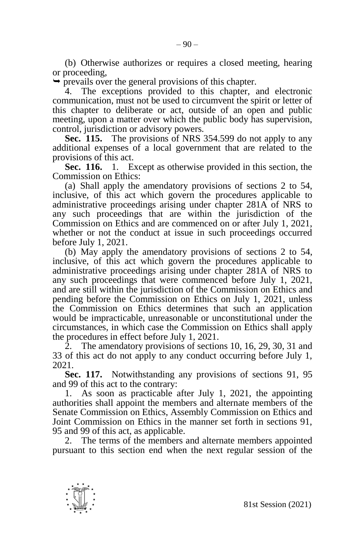(b) Otherwise authorizes or requires a closed meeting, hearing or proceeding,

 $\rightarrow$  prevails over the general provisions of this chapter.

The exceptions provided to this chapter, and electronic communication, must not be used to circumvent the spirit or letter of this chapter to deliberate or act, outside of an open and public meeting, upon a matter over which the public body has supervision, control, jurisdiction or advisory powers.

**Sec. 115.** The provisions of NRS 354.599 do not apply to any additional expenses of a local government that are related to the provisions of this act.

**Sec. 116.** 1. Except as otherwise provided in this section, the Commission on Ethics:

(a) Shall apply the amendatory provisions of sections 2 to 54, inclusive, of this act which govern the procedures applicable to administrative proceedings arising under chapter 281A of NRS to any such proceedings that are within the jurisdiction of the Commission on Ethics and are commenced on or after July 1, 2021, whether or not the conduct at issue in such proceedings occurred before July 1, 2021.

(b) May apply the amendatory provisions of sections 2 to 54, inclusive, of this act which govern the procedures applicable to administrative proceedings arising under chapter 281A of NRS to any such proceedings that were commenced before July 1, 2021, and are still within the jurisdiction of the Commission on Ethics and pending before the Commission on Ethics on July 1, 2021, unless the Commission on Ethics determines that such an application would be impracticable, unreasonable or unconstitutional under the circumstances, in which case the Commission on Ethics shall apply the procedures in effect before July 1, 2021.

2. The amendatory provisions of sections 10, 16, 29, 30, 31 and 33 of this act do not apply to any conduct occurring before July 1, 2021.

**Sec. 117.** Notwithstanding any provisions of sections 91, 95 and 99 of this act to the contrary:

1. As soon as practicable after July 1, 2021, the appointing authorities shall appoint the members and alternate members of the Senate Commission on Ethics, Assembly Commission on Ethics and Joint Commission on Ethics in the manner set forth in sections 91, 95 and 99 of this act, as applicable.

2. The terms of the members and alternate members appointed pursuant to this section end when the next regular session of the